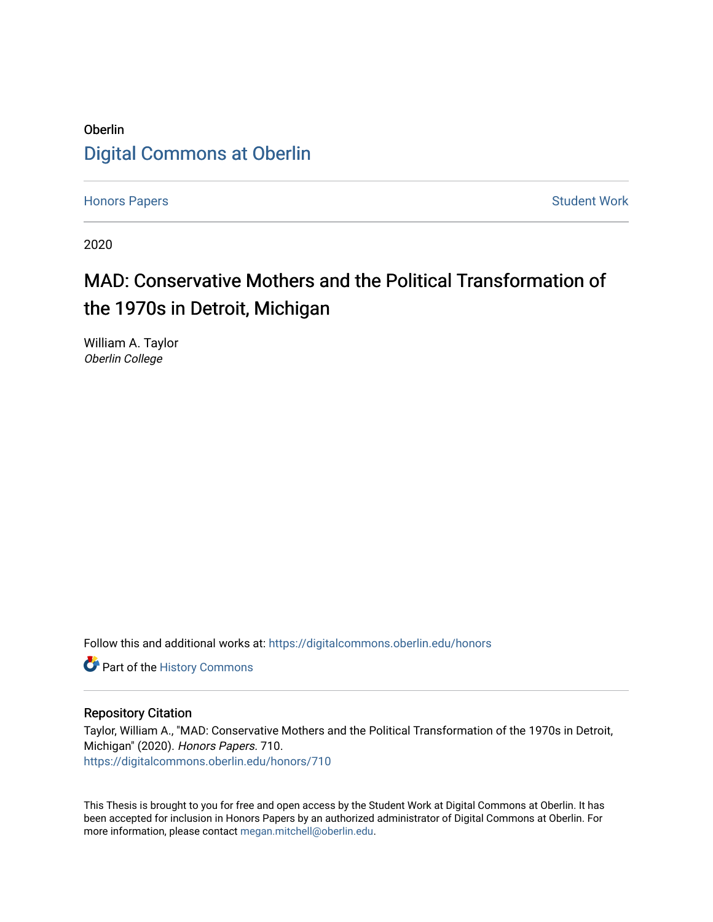# Oberlin [Digital Commons at Oberlin](https://digitalcommons.oberlin.edu/)

[Honors Papers](https://digitalcommons.oberlin.edu/honors) **Student Work** 

2020

# MAD: Conservative Mothers and the Political Transformation of the 1970s in Detroit, Michigan

William A. Taylor Oberlin College

Follow this and additional works at: [https://digitalcommons.oberlin.edu/honors](https://digitalcommons.oberlin.edu/honors?utm_source=digitalcommons.oberlin.edu%2Fhonors%2F710&utm_medium=PDF&utm_campaign=PDFCoverPages) 

Part of the [History Commons](http://network.bepress.com/hgg/discipline/489?utm_source=digitalcommons.oberlin.edu%2Fhonors%2F710&utm_medium=PDF&utm_campaign=PDFCoverPages) 

# Repository Citation

Taylor, William A., "MAD: Conservative Mothers and the Political Transformation of the 1970s in Detroit, Michigan" (2020). Honors Papers. 710. [https://digitalcommons.oberlin.edu/honors/710](https://digitalcommons.oberlin.edu/honors/710?utm_source=digitalcommons.oberlin.edu%2Fhonors%2F710&utm_medium=PDF&utm_campaign=PDFCoverPages) 

This Thesis is brought to you for free and open access by the Student Work at Digital Commons at Oberlin. It has been accepted for inclusion in Honors Papers by an authorized administrator of Digital Commons at Oberlin. For more information, please contact [megan.mitchell@oberlin.edu.](mailto:megan.mitchell@oberlin.edu)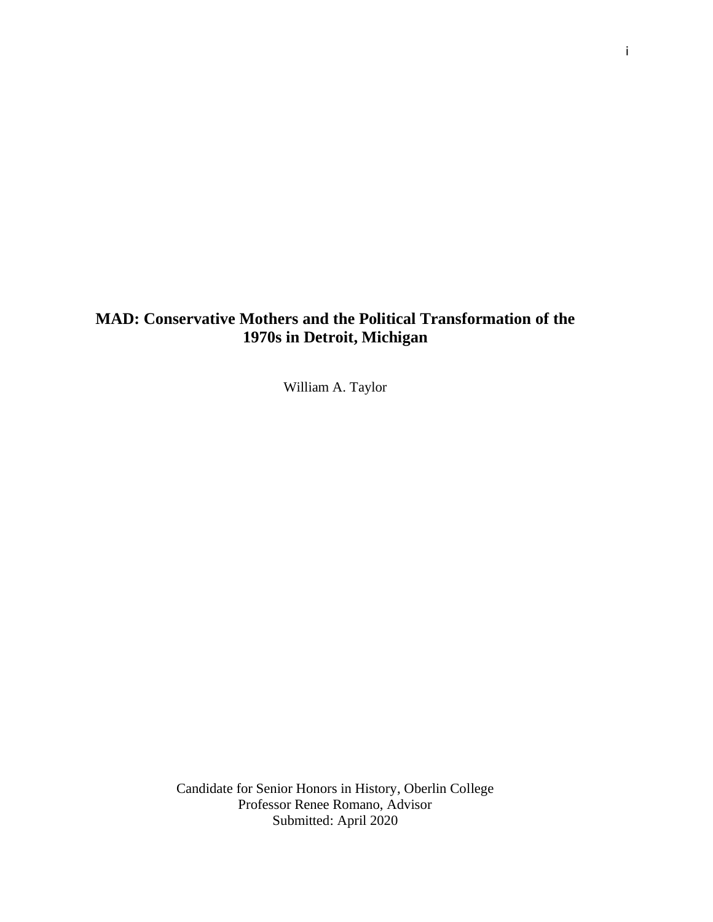# **MAD: Conservative Mothers and the Political Transformation of the 1970s in Detroit, Michigan**

William A. Taylor

Candidate for Senior Honors in History, Oberlin College Professor Renee Romano, Advisor Submitted: April 2020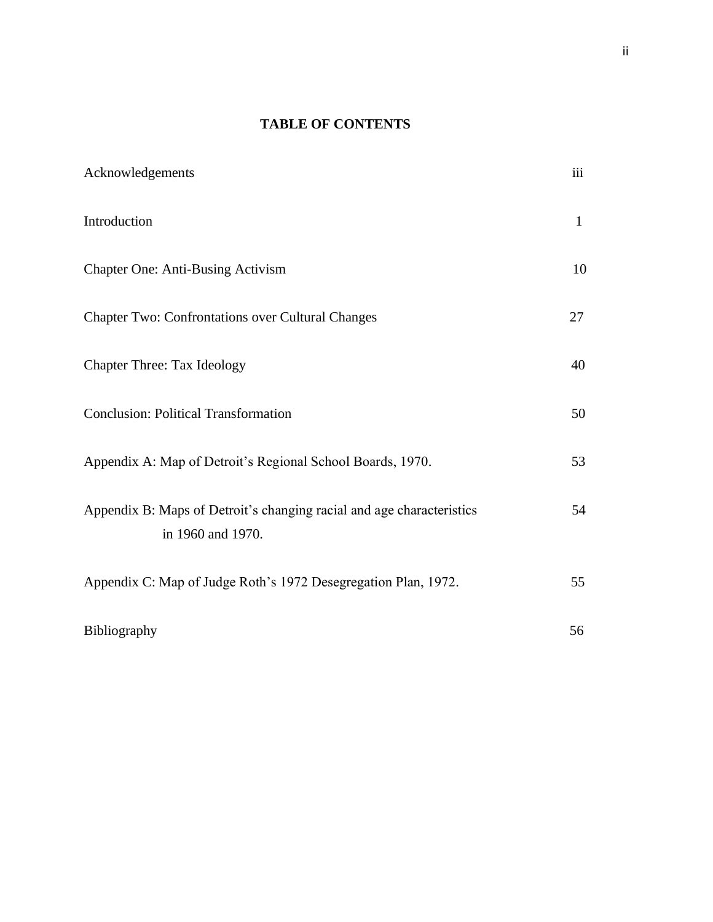# **TABLE OF CONTENTS**

| Acknowledgements                                                                           | iii          |
|--------------------------------------------------------------------------------------------|--------------|
| Introduction                                                                               | $\mathbf{1}$ |
| <b>Chapter One: Anti-Busing Activism</b>                                                   | 10           |
| Chapter Two: Confrontations over Cultural Changes                                          | 27           |
| <b>Chapter Three: Tax Ideology</b>                                                         | 40           |
| <b>Conclusion: Political Transformation</b>                                                | 50           |
| Appendix A: Map of Detroit's Regional School Boards, 1970.                                 | 53           |
| Appendix B: Maps of Detroit's changing racial and age characteristics<br>in 1960 and 1970. | 54           |
| Appendix C: Map of Judge Roth's 1972 Desegregation Plan, 1972.                             | 55           |
| Bibliography                                                                               | 56           |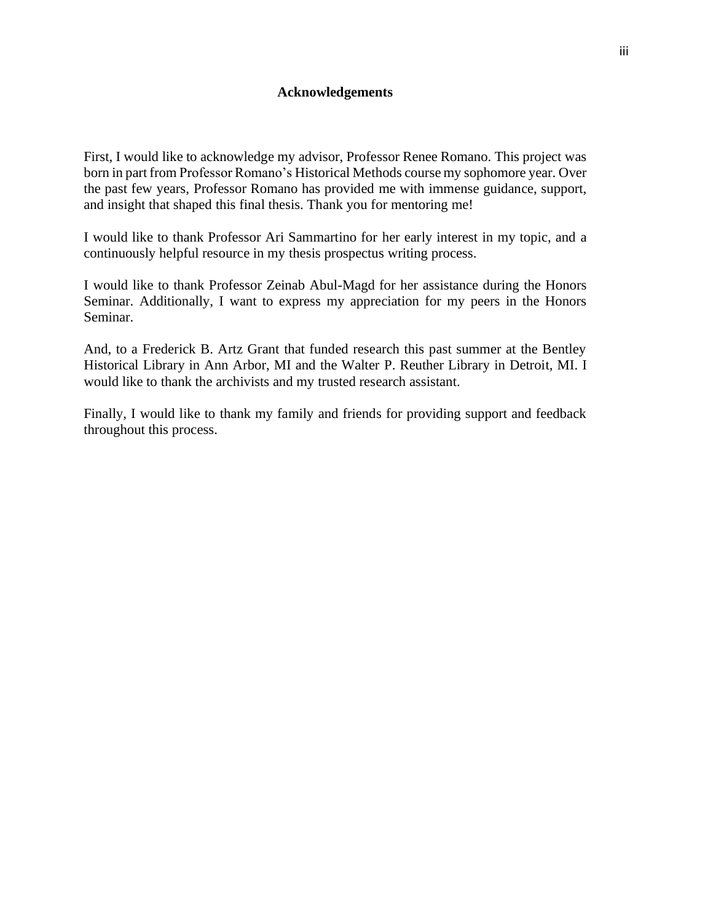# **Acknowledgements**

First, I would like to acknowledge my advisor, Professor Renee Romano. This project was born in part from Professor Romano's Historical Methods course my sophomore year. Over the past few years, Professor Romano has provided me with immense guidance, support, and insight that shaped this final thesis. Thank you for mentoring me!

I would like to thank Professor Ari Sammartino for her early interest in my topic, and a continuously helpful resource in my thesis prospectus writing process.

I would like to thank Professor Zeinab Abul-Magd for her assistance during the Honors Seminar. Additionally, I want to express my appreciation for my peers in the Honors Seminar.

And, to a Frederick B. Artz Grant that funded research this past summer at the Bentley Historical Library in Ann Arbor, MI and the Walter P. Reuther Library in Detroit, MI. I would like to thank the archivists and my trusted research assistant.

Finally, I would like to thank my family and friends for providing support and feedback throughout this process.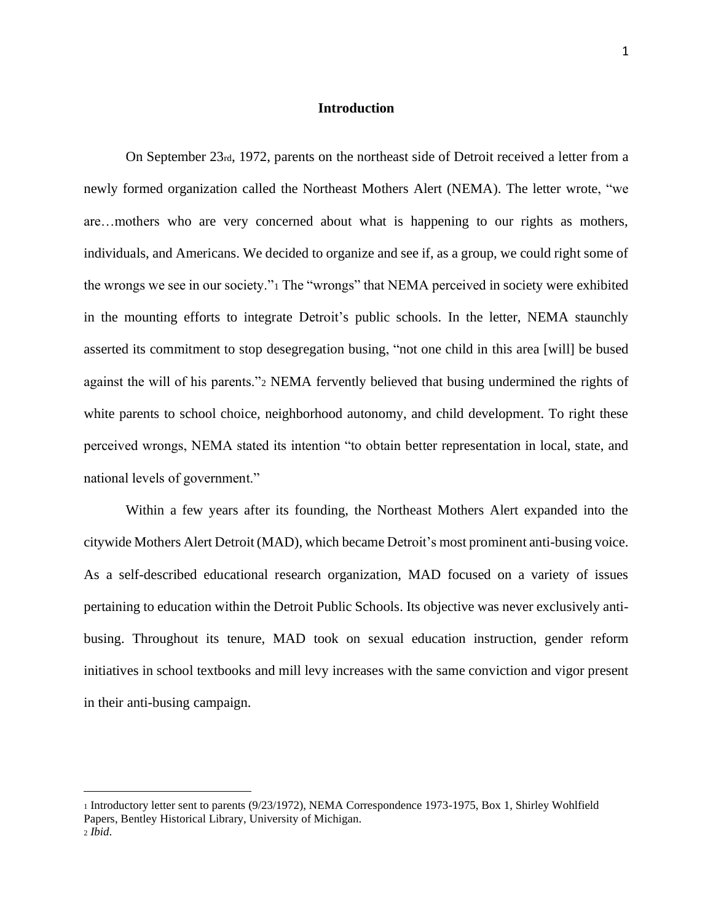## **Introduction**

On September 23rd, 1972, parents on the northeast side of Detroit received a letter from a newly formed organization called the Northeast Mothers Alert (NEMA). The letter wrote, "we are…mothers who are very concerned about what is happening to our rights as mothers, individuals, and Americans. We decided to organize and see if, as a group, we could right some of the wrongs we see in our society."<sup>1</sup> The "wrongs" that NEMA perceived in society were exhibited in the mounting efforts to integrate Detroit's public schools. In the letter, NEMA staunchly asserted its commitment to stop desegregation busing, "not one child in this area [will] be bused against the will of his parents."<sup>2</sup> NEMA fervently believed that busing undermined the rights of white parents to school choice, neighborhood autonomy, and child development. To right these perceived wrongs, NEMA stated its intention "to obtain better representation in local, state, and national levels of government."

Within a few years after its founding, the Northeast Mothers Alert expanded into the citywide Mothers Alert Detroit (MAD), which became Detroit's most prominent anti-busing voice. As a self-described educational research organization, MAD focused on a variety of issues pertaining to education within the Detroit Public Schools. Its objective was never exclusively antibusing. Throughout its tenure, MAD took on sexual education instruction, gender reform initiatives in school textbooks and mill levy increases with the same conviction and vigor present in their anti-busing campaign.

<sup>1</sup> Introductory letter sent to parents (9/23/1972), NEMA Correspondence 1973-1975, Box 1, Shirley Wohlfield Papers, Bentley Historical Library, University of Michigan.

<sup>2</sup> *Ibid*.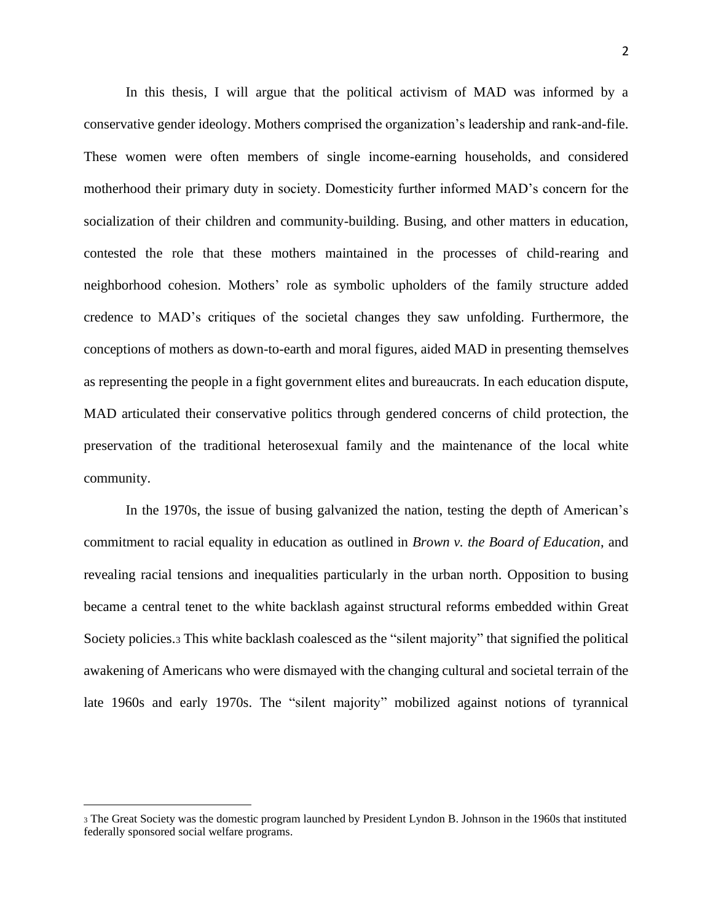In this thesis, I will argue that the political activism of MAD was informed by a conservative gender ideology. Mothers comprised the organization's leadership and rank-and-file. These women were often members of single income-earning households, and considered motherhood their primary duty in society. Domesticity further informed MAD's concern for the socialization of their children and community-building. Busing, and other matters in education, contested the role that these mothers maintained in the processes of child-rearing and neighborhood cohesion. Mothers' role as symbolic upholders of the family structure added credence to MAD's critiques of the societal changes they saw unfolding. Furthermore, the conceptions of mothers as down-to-earth and moral figures, aided MAD in presenting themselves as representing the people in a fight government elites and bureaucrats. In each education dispute, MAD articulated their conservative politics through gendered concerns of child protection, the preservation of the traditional heterosexual family and the maintenance of the local white community.

In the 1970s, the issue of busing galvanized the nation, testing the depth of American's commitment to racial equality in education as outlined in *Brown v. the Board of Education*, and revealing racial tensions and inequalities particularly in the urban north. Opposition to busing became a central tenet to the white backlash against structural reforms embedded within Great Society policies.<sup>3</sup> This white backlash coalesced as the "silent majority" that signified the political awakening of Americans who were dismayed with the changing cultural and societal terrain of the late 1960s and early 1970s. The "silent majority" mobilized against notions of tyrannical

<sup>3</sup> The Great Society was the domestic program launched by President Lyndon B. Johnson in the 1960s that instituted federally sponsored social welfare programs.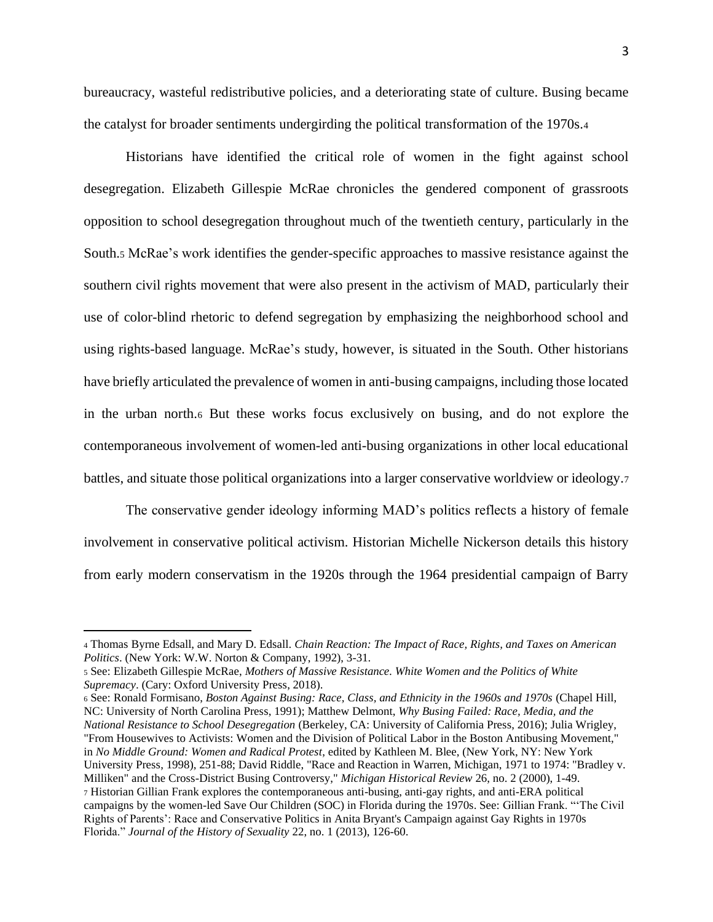bureaucracy, wasteful redistributive policies, and a deteriorating state of culture. Busing became the catalyst for broader sentiments undergirding the political transformation of the 1970s.<sup>4</sup>

Historians have identified the critical role of women in the fight against school desegregation. Elizabeth Gillespie McRae chronicles the gendered component of grassroots opposition to school desegregation throughout much of the twentieth century, particularly in the South.<sup>5</sup> McRae's work identifies the gender-specific approaches to massive resistance against the southern civil rights movement that were also present in the activism of MAD, particularly their use of color-blind rhetoric to defend segregation by emphasizing the neighborhood school and using rights-based language. McRae's study, however, is situated in the South. Other historians have briefly articulated the prevalence of women in anti-busing campaigns, including those located in the urban north.<sup>6</sup> But these works focus exclusively on busing, and do not explore the contemporaneous involvement of women-led anti-busing organizations in other local educational battles, and situate those political organizations into a larger conservative worldview or ideology.<sup>7</sup>

The conservative gender ideology informing MAD's politics reflects a history of female involvement in conservative political activism. Historian Michelle Nickerson details this history from early modern conservatism in the 1920s through the 1964 presidential campaign of Barry

<sup>6</sup> See: Ronald Formisano, *Boston Against Busing: Race, Class, and Ethnicity in the 1960s and 1970s* (Chapel Hill, NC: University of North Carolina Press, 1991); Matthew Delmont, *Why Busing Failed: Race, Media, and the National Resistance to School Desegregation* (Berkeley, CA: University of California Press, 2016); Julia Wrigley, "From Housewives to Activists: Women and the Division of Political Labor in the Boston Antibusing Movement," in *No Middle Ground: Women and Radical Protest*, edited by Kathleen M. Blee, (New York, NY: New York University Press, 1998), 251-88; David Riddle, "Race and Reaction in Warren, Michigan, 1971 to 1974: "Bradley v. Milliken" and the Cross-District Busing Controversy," *Michigan Historical Review* 26, no. 2 (2000), 1-49. <sup>7</sup> Historian Gillian Frank explores the contemporaneous anti-busing, anti-gay rights, and anti-ERA political campaigns by the women-led Save Our Children (SOC) in Florida during the 1970s. See: Gillian Frank. "'The Civil Rights of Parents': Race and Conservative Politics in Anita Bryant's Campaign against Gay Rights in 1970s Florida." *Journal of the History of Sexuality* 22, no. 1 (2013), 126-60.

<sup>4</sup> Thomas Byrne Edsall, and Mary D. Edsall. *Chain Reaction: The Impact of Race, Rights, and Taxes on American Politics*. (New York: W.W. Norton & Company, 1992), 3-31.

<sup>5</sup> See: Elizabeth Gillespie McRae, *Mothers of Massive Resistance. White Women and the Politics of White Supremacy*. (Cary: Oxford University Press, 2018).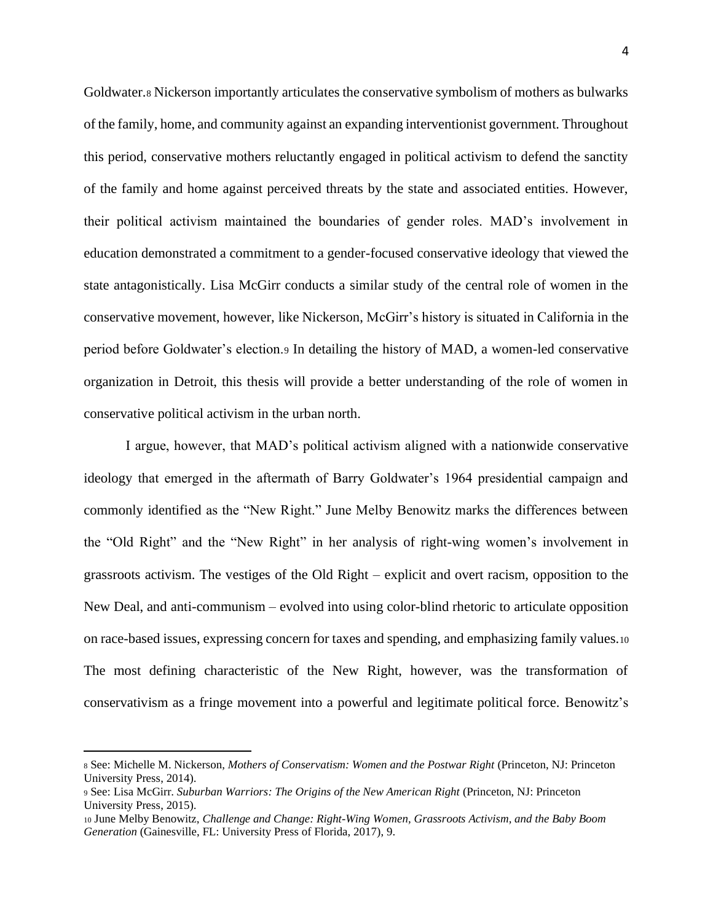Goldwater.<sup>8</sup> Nickerson importantly articulates the conservative symbolism of mothers as bulwarks of the family, home, and community against an expanding interventionist government. Throughout this period, conservative mothers reluctantly engaged in political activism to defend the sanctity of the family and home against perceived threats by the state and associated entities. However, their political activism maintained the boundaries of gender roles. MAD's involvement in education demonstrated a commitment to a gender-focused conservative ideology that viewed the state antagonistically. Lisa McGirr conducts a similar study of the central role of women in the conservative movement, however, like Nickerson, McGirr's history is situated in California in the period before Goldwater's election.<sup>9</sup> In detailing the history of MAD, a women-led conservative organization in Detroit, this thesis will provide a better understanding of the role of women in conservative political activism in the urban north.

I argue, however, that MAD's political activism aligned with a nationwide conservative ideology that emerged in the aftermath of Barry Goldwater's 1964 presidential campaign and commonly identified as the "New Right." June Melby Benowitz marks the differences between the "Old Right" and the "New Right" in her analysis of right-wing women's involvement in grassroots activism. The vestiges of the Old Right – explicit and overt racism, opposition to the New Deal, and anti-communism – evolved into using color-blind rhetoric to articulate opposition on race-based issues, expressing concern for taxes and spending, and emphasizing family values.<sup>10</sup> The most defining characteristic of the New Right, however, was the transformation of conservativism as a fringe movement into a powerful and legitimate political force. Benowitz's

<sup>8</sup> See: Michelle M. Nickerson, *Mothers of Conservatism: Women and the Postwar Right* (Princeton, NJ: Princeton University Press, 2014).

<sup>9</sup> See: Lisa McGirr. *Suburban Warriors: The Origins of the New American Right* (Princeton, NJ: Princeton University Press, 2015).

<sup>10</sup> June Melby Benowitz, *Challenge and Change: Right-Wing Women, Grassroots Activism, and the Baby Boom Generation* (Gainesville, FL: University Press of Florida, 2017), 9.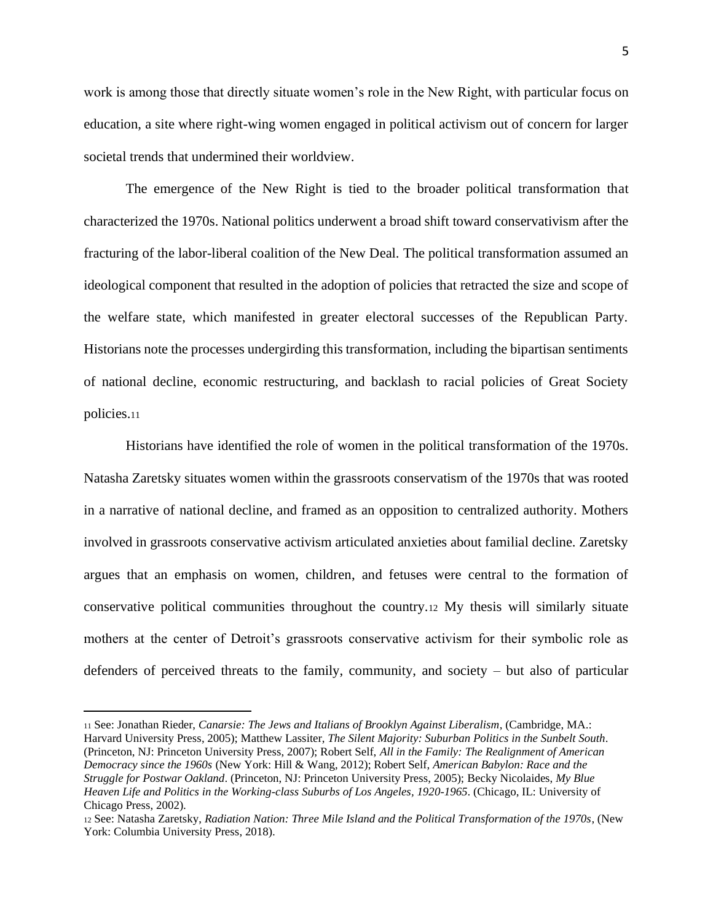work is among those that directly situate women's role in the New Right, with particular focus on education, a site where right-wing women engaged in political activism out of concern for larger societal trends that undermined their worldview.

The emergence of the New Right is tied to the broader political transformation that characterized the 1970s. National politics underwent a broad shift toward conservativism after the fracturing of the labor-liberal coalition of the New Deal. The political transformation assumed an ideological component that resulted in the adoption of policies that retracted the size and scope of the welfare state, which manifested in greater electoral successes of the Republican Party. Historians note the processes undergirding this transformation, including the bipartisan sentiments of national decline, economic restructuring, and backlash to racial policies of Great Society policies.<sup>11</sup>

Historians have identified the role of women in the political transformation of the 1970s. Natasha Zaretsky situates women within the grassroots conservatism of the 1970s that was rooted in a narrative of national decline, and framed as an opposition to centralized authority. Mothers involved in grassroots conservative activism articulated anxieties about familial decline. Zaretsky argues that an emphasis on women, children, and fetuses were central to the formation of conservative political communities throughout the country.<sup>12</sup> My thesis will similarly situate mothers at the center of Detroit's grassroots conservative activism for their symbolic role as defenders of perceived threats to the family, community, and society – but also of particular

<sup>11</sup> See: Jonathan Rieder, *Canarsie: The Jews and Italians of Brooklyn Against Liberalism*, (Cambridge, MA.: Harvard University Press, 2005); Matthew Lassiter, *The Silent Majority: Suburban Politics in the Sunbelt South*. (Princeton, NJ: Princeton University Press, 2007); Robert Self, *All in the Family: The Realignment of American Democracy since the 1960s* (New York: Hill & Wang, 2012); Robert Self, *American Babylon: Race and the Struggle for Postwar Oakland*. (Princeton, NJ: Princeton University Press, 2005); Becky Nicolaides, *My Blue Heaven Life and Politics in the Working-class Suburbs of Los Angeles, 1920-1965*. (Chicago, IL: University of Chicago Press, 2002).

<sup>12</sup> See: Natasha Zaretsky, *Radiation Nation: Three Mile Island and the Political Transformation of the 1970s*, (New York: Columbia University Press, 2018).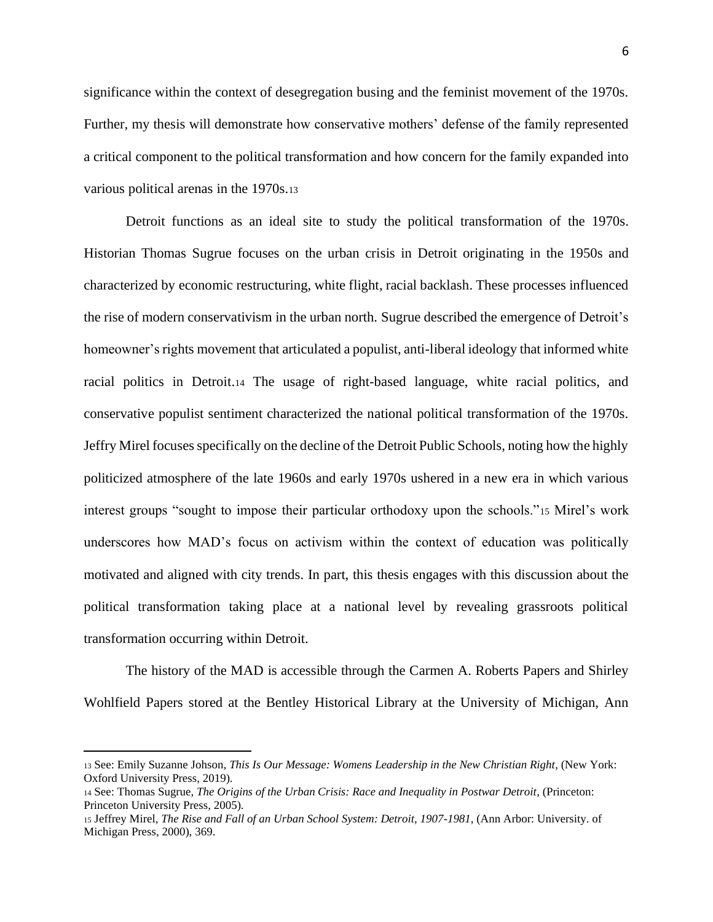significance within the context of desegregation busing and the feminist movement of the 1970s. Further, my thesis will demonstrate how conservative mothers' defense of the family represented a critical component to the political transformation and how concern for the family expanded into various political arenas in the 1970s.<sup>13</sup>

Detroit functions as an ideal site to study the political transformation of the 1970s. Historian Thomas Sugrue focuses on the urban crisis in Detroit originating in the 1950s and characterized by economic restructuring, white flight, racial backlash. These processes influenced the rise of modern conservativism in the urban north. Sugrue described the emergence of Detroit's homeowner's rights movement that articulated a populist, anti-liberal ideology that informed white racial politics in Detroit.<sup>14</sup> The usage of right-based language, white racial politics, and conservative populist sentiment characterized the national political transformation of the 1970s. Jeffry Mirel focuses specifically on the decline of the Detroit Public Schools, noting how the highly politicized atmosphere of the late 1960s and early 1970s ushered in a new era in which various interest groups "sought to impose their particular orthodoxy upon the schools."<sup>15</sup> Mirel's work underscores how MAD's focus on activism within the context of education was politically motivated and aligned with city trends. In part, this thesis engages with this discussion about the political transformation taking place at a national level by revealing grassroots political transformation occurring within Detroit.

The history of the MAD is accessible through the Carmen A. Roberts Papers and Shirley Wohlfield Papers stored at the Bentley Historical Library at the University of Michigan, Ann

<sup>13</sup> See: Emily Suzanne Johson, *This Is Our Message: Womens Leadership in the New Christian Right*, (New York: Oxford University Press, 2019).

<sup>14</sup> See: Thomas Sugrue, *The Origins of the Urban Crisis: Race and Inequality in Postwar Detroit*, (Princeton: Princeton University Press, 2005).

<sup>15</sup> Jeffrey Mirel, *The Rise and Fall of an Urban School System: Detroit, 1907-1981*, (Ann Arbor: University. of Michigan Press, 2000), 369.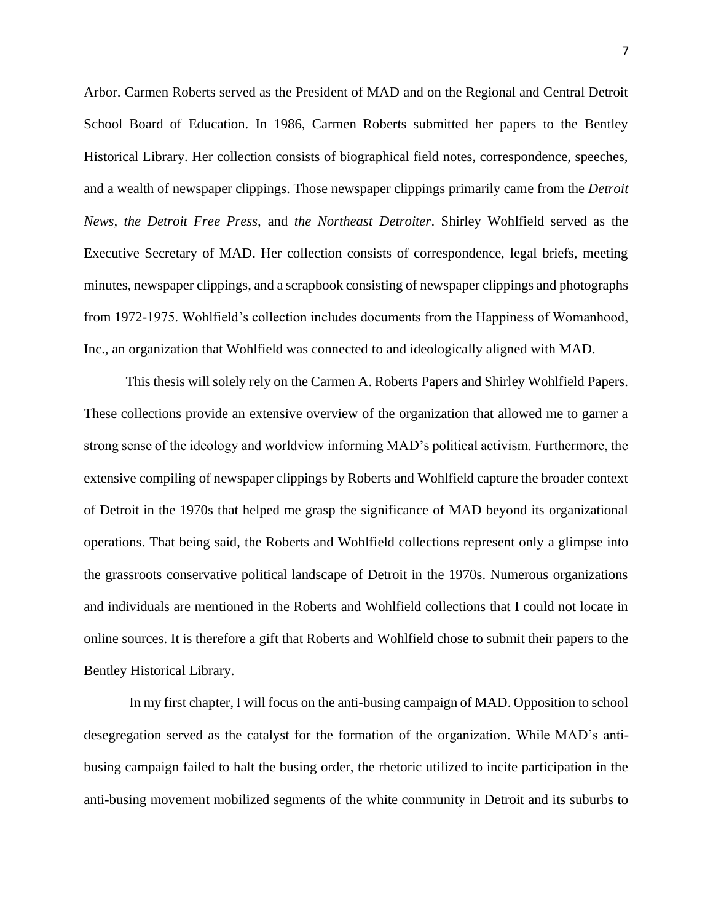Arbor. Carmen Roberts served as the President of MAD and on the Regional and Central Detroit School Board of Education. In 1986, Carmen Roberts submitted her papers to the Bentley Historical Library. Her collection consists of biographical field notes, correspondence, speeches, and a wealth of newspaper clippings. Those newspaper clippings primarily came from the *Detroit News, the Detroit Free Press,* and *the Northeast Detroiter*. Shirley Wohlfield served as the Executive Secretary of MAD. Her collection consists of correspondence, legal briefs, meeting minutes, newspaper clippings, and a scrapbook consisting of newspaper clippings and photographs from 1972-1975. Wohlfield's collection includes documents from the Happiness of Womanhood, Inc., an organization that Wohlfield was connected to and ideologically aligned with MAD.

This thesis will solely rely on the Carmen A. Roberts Papers and Shirley Wohlfield Papers. These collections provide an extensive overview of the organization that allowed me to garner a strong sense of the ideology and worldview informing MAD's political activism. Furthermore, the extensive compiling of newspaper clippings by Roberts and Wohlfield capture the broader context of Detroit in the 1970s that helped me grasp the significance of MAD beyond its organizational operations. That being said, the Roberts and Wohlfield collections represent only a glimpse into the grassroots conservative political landscape of Detroit in the 1970s. Numerous organizations and individuals are mentioned in the Roberts and Wohlfield collections that I could not locate in online sources. It is therefore a gift that Roberts and Wohlfield chose to submit their papers to the Bentley Historical Library.

In my first chapter, I will focus on the anti-busing campaign of MAD. Opposition to school desegregation served as the catalyst for the formation of the organization. While MAD's antibusing campaign failed to halt the busing order, the rhetoric utilized to incite participation in the anti-busing movement mobilized segments of the white community in Detroit and its suburbs to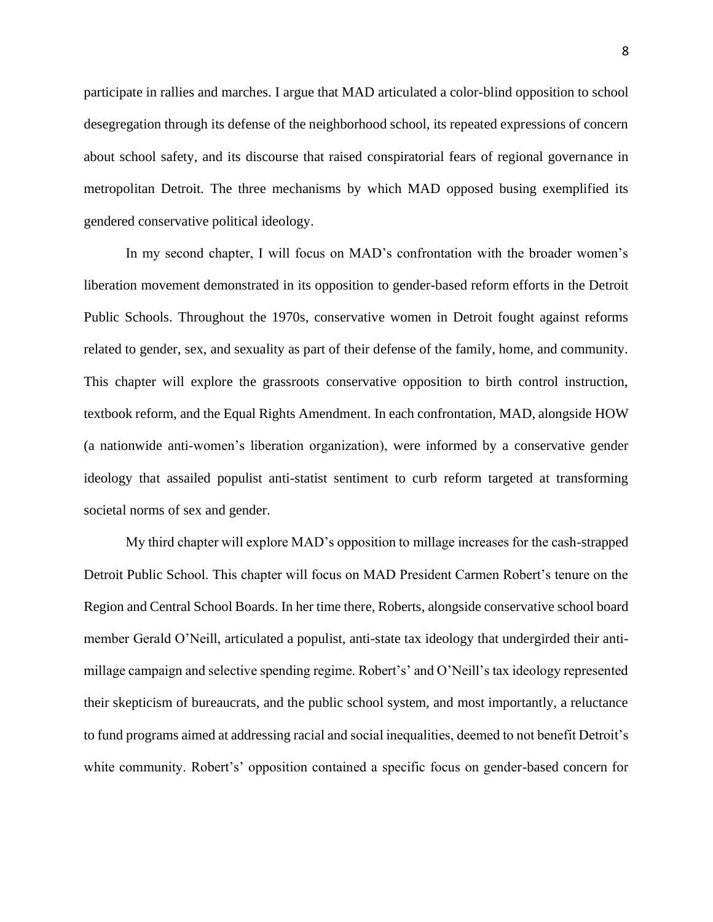participate in rallies and marches. I argue that MAD articulated a color-blind opposition to school desegregation through its defense of the neighborhood school, its repeated expressions of concern about school safety, and its discourse that raised conspiratorial fears of regional governance in metropolitan Detroit. The three mechanisms by which MAD opposed busing exemplified its gendered conservative political ideology.

In my second chapter, I will focus on MAD's confrontation with the broader women's liberation movement demonstrated in its opposition to gender-based reform efforts in the Detroit Public Schools. Throughout the 1970s, conservative women in Detroit fought against reforms related to gender, sex, and sexuality as part of their defense of the family, home, and community. This chapter will explore the grassroots conservative opposition to birth control instruction, textbook reform, and the Equal Rights Amendment. In each confrontation, MAD, alongside HOW (a nationwide anti-women's liberation organization), were informed by a conservative gender ideology that assailed populist anti-statist sentiment to curb reform targeted at transforming societal norms of sex and gender.

My third chapter will explore MAD's opposition to millage increases for the cash-strapped Detroit Public School. This chapter will focus on MAD President Carmen Robert's tenure on the Region and Central School Boards. In her time there, Roberts, alongside conservative school board member Gerald O'Neill, articulated a populist, anti-state tax ideology that undergirded their antimillage campaign and selective spending regime. Robert's' and O'Neill's tax ideology represented their skepticism of bureaucrats, and the public school system, and most importantly, a reluctance to fund programs aimed at addressing racial and social inequalities, deemed to not benefit Detroit's white community. Robert's' opposition contained a specific focus on gender-based concern for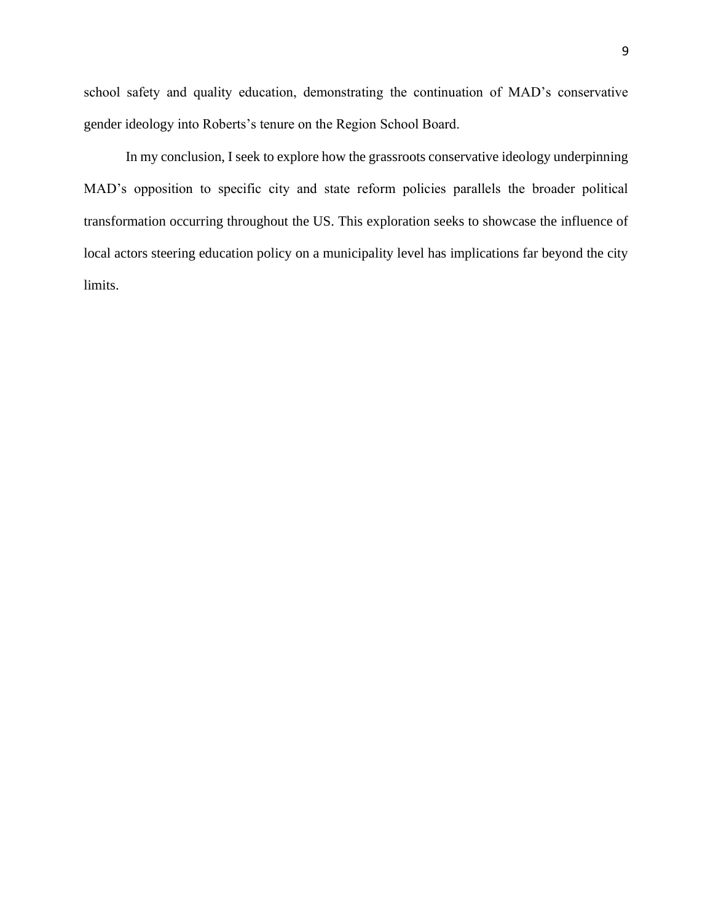school safety and quality education, demonstrating the continuation of MAD's conservative gender ideology into Roberts's tenure on the Region School Board.

In my conclusion, I seek to explore how the grassroots conservative ideology underpinning MAD's opposition to specific city and state reform policies parallels the broader political transformation occurring throughout the US. This exploration seeks to showcase the influence of local actors steering education policy on a municipality level has implications far beyond the city limits.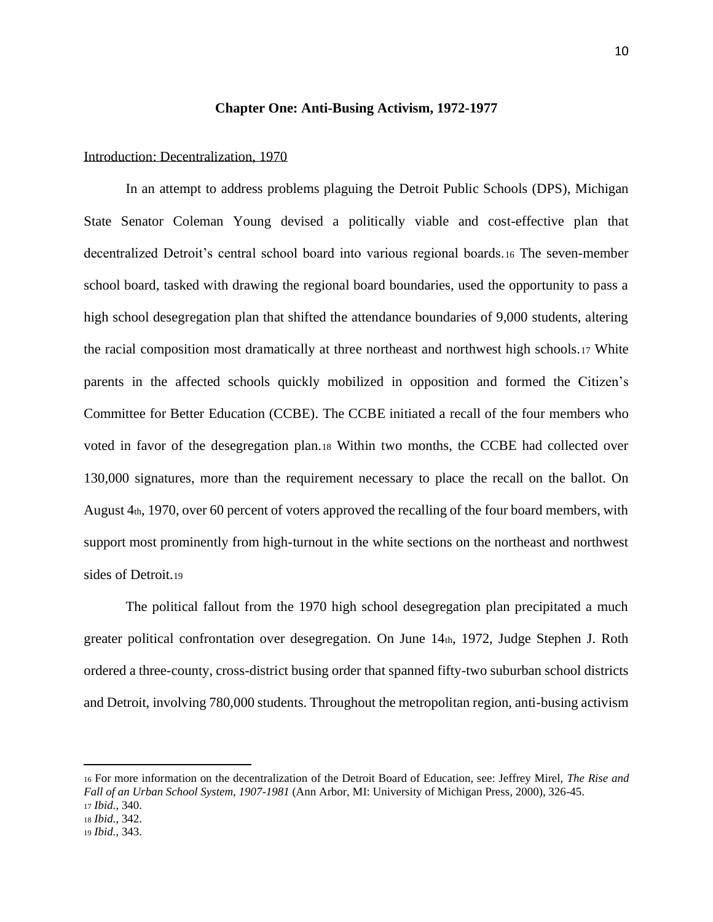# **Chapter One: Anti-Busing Activism, 1972-1977**

#### Introduction: Decentralization, 1970

In an attempt to address problems plaguing the Detroit Public Schools (DPS), Michigan State Senator Coleman Young devised a politically viable and cost-effective plan that decentralized Detroit's central school board into various regional boards.<sup>16</sup> The seven-member school board, tasked with drawing the regional board boundaries, used the opportunity to pass a high school desegregation plan that shifted the attendance boundaries of 9,000 students, altering the racial composition most dramatically at three northeast and northwest high schools.<sup>17</sup> White parents in the affected schools quickly mobilized in opposition and formed the Citizen's Committee for Better Education (CCBE). The CCBE initiated a recall of the four members who voted in favor of the desegregation plan.<sup>18</sup> Within two months, the CCBE had collected over 130,000 signatures, more than the requirement necessary to place the recall on the ballot. On August 4th, 1970, over 60 percent of voters approved the recalling of the four board members, with support most prominently from high-turnout in the white sections on the northeast and northwest sides of Detroit.<sup>19</sup>

The political fallout from the 1970 high school desegregation plan precipitated a much greater political confrontation over desegregation. On June 14th, 1972, Judge Stephen J. Roth ordered a three-county, cross-district busing order that spanned fifty-two suburban school districts and Detroit, involving 780,000 students. Throughout the metropolitan region, anti-busing activism

<sup>16</sup> For more information on the decentralization of the Detroit Board of Education, see: Jeffrey Mirel, *The Rise and Fall of an Urban School System, 1907-1981* (Ann Arbor, MI: University of Michigan Press, 2000), 326-45. <sup>17</sup> *Ibid.*, 340.

<sup>18</sup> *Ibid.*, 342.

<sup>19</sup> *Ibid.*, 343.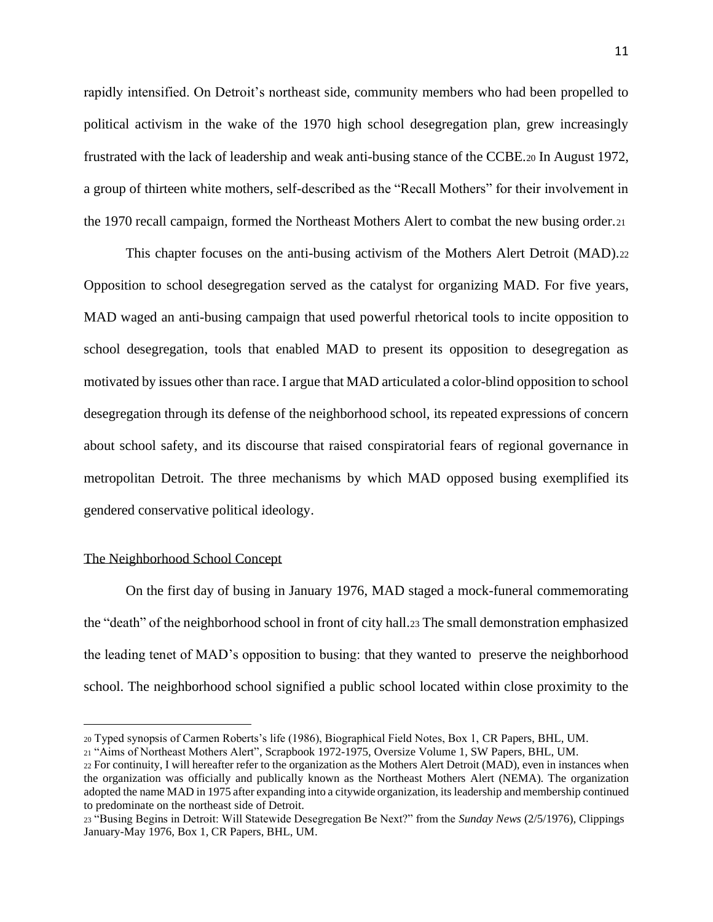rapidly intensified. On Detroit's northeast side, community members who had been propelled to political activism in the wake of the 1970 high school desegregation plan, grew increasingly frustrated with the lack of leadership and weak anti-busing stance of the CCBE.<sup>20</sup> In August 1972, a group of thirteen white mothers, self-described as the "Recall Mothers" for their involvement in the 1970 recall campaign, formed the Northeast Mothers Alert to combat the new busing order.<sup>21</sup>

This chapter focuses on the anti-busing activism of the Mothers Alert Detroit (MAD).<sup>22</sup> Opposition to school desegregation served as the catalyst for organizing MAD. For five years, MAD waged an anti-busing campaign that used powerful rhetorical tools to incite opposition to school desegregation, tools that enabled MAD to present its opposition to desegregation as motivated by issues other than race. I argue that MAD articulated a color-blind opposition to school desegregation through its defense of the neighborhood school, its repeated expressions of concern about school safety, and its discourse that raised conspiratorial fears of regional governance in metropolitan Detroit. The three mechanisms by which MAD opposed busing exemplified its gendered conservative political ideology.

#### The Neighborhood School Concept

On the first day of busing in January 1976, MAD staged a mock-funeral commemorating the "death" of the neighborhood school in front of city hall.<sup>23</sup> The small demonstration emphasized the leading tenet of MAD's opposition to busing: that they wanted to preserve the neighborhood school. The neighborhood school signified a public school located within close proximity to the

<sup>20</sup> Typed synopsis of Carmen Roberts's life (1986), Biographical Field Notes, Box 1, CR Papers, BHL, UM.

<sup>21</sup> "Aims of Northeast Mothers Alert", Scrapbook 1972-1975, Oversize Volume 1, SW Papers, BHL, UM.

<sup>22</sup> For continuity, I will hereafter refer to the organization as the Mothers Alert Detroit (MAD), even in instances when the organization was officially and publically known as the Northeast Mothers Alert (NEMA). The organization adopted the name MAD in 1975 after expanding into a citywide organization, its leadership and membership continued to predominate on the northeast side of Detroit.

<sup>23</sup> "Busing Begins in Detroit: Will Statewide Desegregation Be Next?" from the *Sunday News* (2/5/1976), Clippings January-May 1976, Box 1, CR Papers, BHL, UM.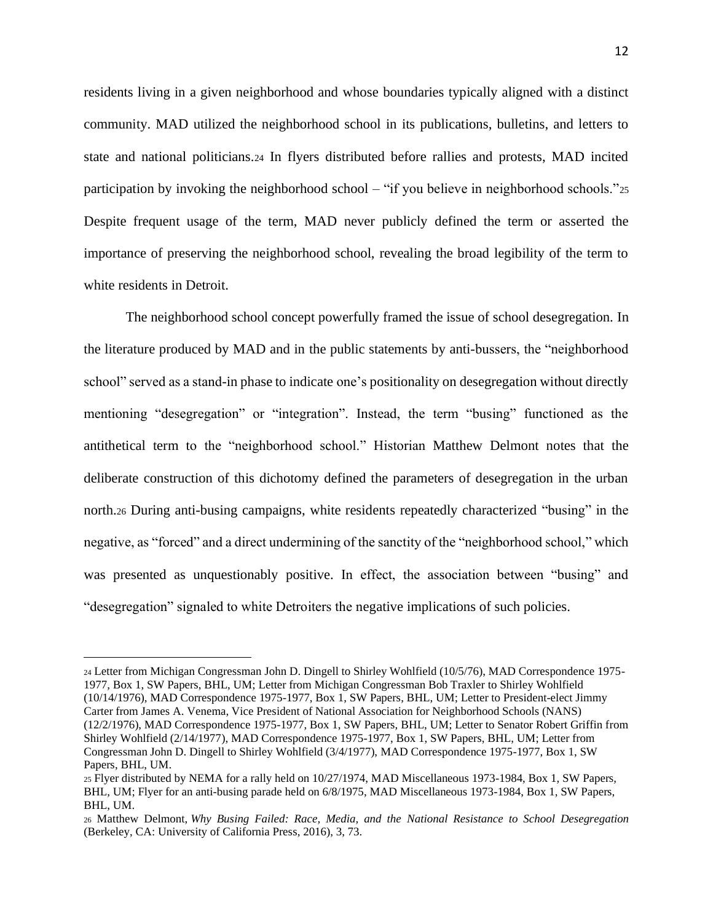residents living in a given neighborhood and whose boundaries typically aligned with a distinct community. MAD utilized the neighborhood school in its publications, bulletins, and letters to state and national politicians.<sup>24</sup> In flyers distributed before rallies and protests, MAD incited participation by invoking the neighborhood school – "if you believe in neighborhood schools."25 Despite frequent usage of the term, MAD never publicly defined the term or asserted the importance of preserving the neighborhood school, revealing the broad legibility of the term to white residents in Detroit.

The neighborhood school concept powerfully framed the issue of school desegregation. In the literature produced by MAD and in the public statements by anti-bussers, the "neighborhood school" served as a stand-in phase to indicate one's positionality on desegregation without directly mentioning "desegregation" or "integration". Instead, the term "busing" functioned as the antithetical term to the "neighborhood school." Historian Matthew Delmont notes that the deliberate construction of this dichotomy defined the parameters of desegregation in the urban north.<sup>26</sup> During anti-busing campaigns, white residents repeatedly characterized "busing" in the negative, as "forced" and a direct undermining of the sanctity of the "neighborhood school," which was presented as unquestionably positive. In effect, the association between "busing" and "desegregation" signaled to white Detroiters the negative implications of such policies.

<sup>24</sup> Letter from Michigan Congressman John D. Dingell to Shirley Wohlfield (10/5/76), MAD Correspondence 1975- 1977, Box 1, SW Papers, BHL, UM; Letter from Michigan Congressman Bob Traxler to Shirley Wohlfield (10/14/1976), MAD Correspondence 1975-1977, Box 1, SW Papers, BHL, UM; Letter to President-elect Jimmy Carter from James A. Venema, Vice President of National Association for Neighborhood Schools (NANS) (12/2/1976), MAD Correspondence 1975-1977, Box 1, SW Papers, BHL, UM; Letter to Senator Robert Griffin from Shirley Wohlfield (2/14/1977), MAD Correspondence 1975-1977, Box 1, SW Papers, BHL, UM; Letter from Congressman John D. Dingell to Shirley Wohlfield (3/4/1977), MAD Correspondence 1975-1977, Box 1, SW Papers, BHL, UM.

<sup>25</sup> Flyer distributed by NEMA for a rally held on 10/27/1974, MAD Miscellaneous 1973-1984, Box 1, SW Papers, BHL, UM; Flyer for an anti-busing parade held on 6/8/1975, MAD Miscellaneous 1973-1984, Box 1, SW Papers, BHL, UM.

<sup>26</sup> Matthew Delmont, *Why Busing Failed: Race, Media, and the National Resistance to School Desegregation* (Berkeley, CA: University of California Press, 2016), 3, 73.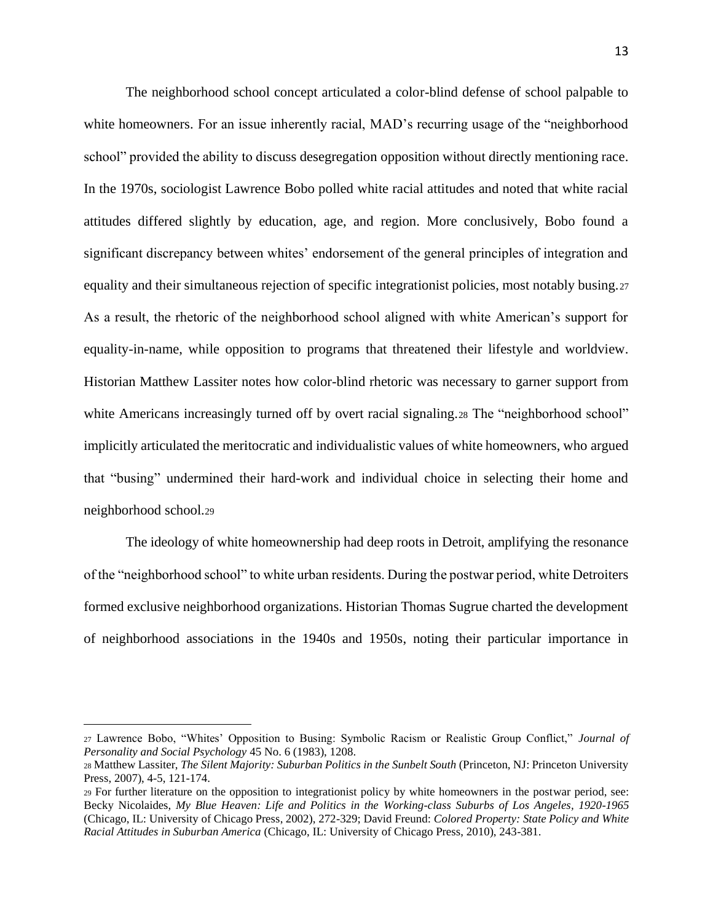The neighborhood school concept articulated a color-blind defense of school palpable to white homeowners. For an issue inherently racial, MAD's recurring usage of the "neighborhood" school" provided the ability to discuss desegregation opposition without directly mentioning race. In the 1970s, sociologist Lawrence Bobo polled white racial attitudes and noted that white racial attitudes differed slightly by education, age, and region. More conclusively, Bobo found a significant discrepancy between whites' endorsement of the general principles of integration and equality and their simultaneous rejection of specific integrationist policies, most notably busing.<sup>27</sup> As a result, the rhetoric of the neighborhood school aligned with white American's support for equality-in-name, while opposition to programs that threatened their lifestyle and worldview. Historian Matthew Lassiter notes how color-blind rhetoric was necessary to garner support from white Americans increasingly turned off by overt racial signaling.28 The "neighborhood school" implicitly articulated the meritocratic and individualistic values of white homeowners, who argued that "busing" undermined their hard-work and individual choice in selecting their home and neighborhood school.<sup>29</sup>

The ideology of white homeownership had deep roots in Detroit, amplifying the resonance of the "neighborhood school" to white urban residents. During the postwar period, white Detroiters formed exclusive neighborhood organizations. Historian Thomas Sugrue charted the development of neighborhood associations in the 1940s and 1950s, noting their particular importance in

<sup>27</sup> Lawrence Bobo, "Whites' Opposition to Busing: Symbolic Racism or Realistic Group Conflict," *Journal of Personality and Social Psychology* 45 No. 6 (1983), 1208.

<sup>28</sup> Matthew Lassiter, *The Silent Majority: Suburban Politics in the Sunbelt South* (Princeton, NJ: Princeton University Press, 2007), 4-5, 121-174.

<sup>29</sup> For further literature on the opposition to integrationist policy by white homeowners in the postwar period, see: Becky Nicolaides, *My Blue Heaven: Life and Politics in the Working-class Suburbs of Los Angeles, 1920-1965*  (Chicago, IL: University of Chicago Press, 2002), 272-329; David Freund: *Colored Property: State Policy and White Racial Attitudes in Suburban America* (Chicago, IL: University of Chicago Press, 2010), 243-381.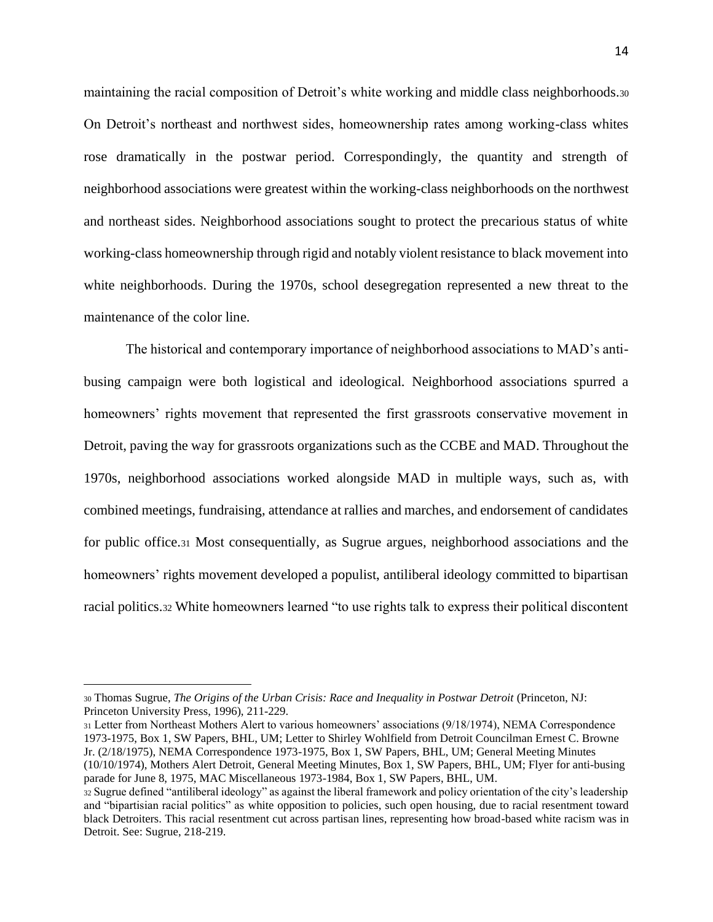maintaining the racial composition of Detroit's white working and middle class neighborhoods.<sup>30</sup> On Detroit's northeast and northwest sides, homeownership rates among working-class whites rose dramatically in the postwar period. Correspondingly, the quantity and strength of neighborhood associations were greatest within the working-class neighborhoods on the northwest and northeast sides. Neighborhood associations sought to protect the precarious status of white working-class homeownership through rigid and notably violent resistance to black movement into white neighborhoods. During the 1970s, school desegregation represented a new threat to the maintenance of the color line.

The historical and contemporary importance of neighborhood associations to MAD's antibusing campaign were both logistical and ideological. Neighborhood associations spurred a homeowners' rights movement that represented the first grassroots conservative movement in Detroit, paving the way for grassroots organizations such as the CCBE and MAD. Throughout the 1970s, neighborhood associations worked alongside MAD in multiple ways, such as, with combined meetings, fundraising, attendance at rallies and marches, and endorsement of candidates for public office.<sup>31</sup> Most consequentially, as Sugrue argues, neighborhood associations and the homeowners' rights movement developed a populist, antiliberal ideology committed to bipartisan racial politics.<sup>32</sup> White homeowners learned "to use rights talk to express their political discontent

<sup>31</sup> Letter from Northeast Mothers Alert to various homeowners' associations (9/18/1974), NEMA Correspondence 1973-1975, Box 1, SW Papers, BHL, UM; Letter to Shirley Wohlfield from Detroit Councilman Ernest C. Browne Jr. (2/18/1975), NEMA Correspondence 1973-1975, Box 1, SW Papers, BHL, UM; General Meeting Minutes (10/10/1974), Mothers Alert Detroit, General Meeting Minutes, Box 1, SW Papers, BHL, UM; Flyer for anti-busing parade for June 8, 1975, MAC Miscellaneous 1973-1984, Box 1, SW Papers, BHL, UM.

<sup>30</sup> Thomas Sugrue, *The Origins of the Urban Crisis: Race and Inequality in Postwar Detroit* (Princeton, NJ: Princeton University Press, 1996), 211-229.

<sup>32</sup>Sugrue defined "antiliberal ideology" as against the liberal framework and policy orientation of the city's leadership and "bipartisian racial politics" as white opposition to policies, such open housing, due to racial resentment toward black Detroiters. This racial resentment cut across partisan lines, representing how broad-based white racism was in Detroit. See: Sugrue, 218-219.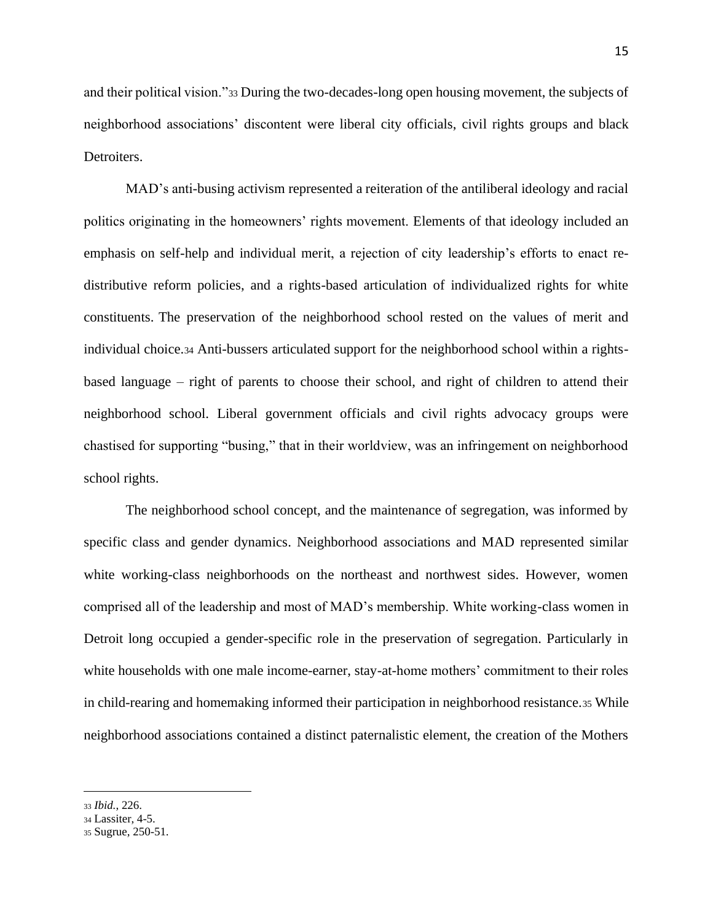and their political vision."<sup>33</sup> During the two-decades-long open housing movement, the subjects of neighborhood associations' discontent were liberal city officials, civil rights groups and black Detroiters.

MAD's anti-busing activism represented a reiteration of the antiliberal ideology and racial politics originating in the homeowners' rights movement. Elements of that ideology included an emphasis on self-help and individual merit, a rejection of city leadership's efforts to enact redistributive reform policies, and a rights-based articulation of individualized rights for white constituents. The preservation of the neighborhood school rested on the values of merit and individual choice.<sup>34</sup> Anti-bussers articulated support for the neighborhood school within a rightsbased language – right of parents to choose their school, and right of children to attend their neighborhood school. Liberal government officials and civil rights advocacy groups were chastised for supporting "busing," that in their worldview, was an infringement on neighborhood school rights.

The neighborhood school concept, and the maintenance of segregation, was informed by specific class and gender dynamics. Neighborhood associations and MAD represented similar white working-class neighborhoods on the northeast and northwest sides. However, women comprised all of the leadership and most of MAD's membership. White working-class women in Detroit long occupied a gender-specific role in the preservation of segregation. Particularly in white households with one male income-earner, stay-at-home mothers' commitment to their roles in child-rearing and homemaking informed their participation in neighborhood resistance.<sup>35</sup> While neighborhood associations contained a distinct paternalistic element, the creation of the Mothers

<sup>33</sup> *Ibid.*, 226.

<sup>34</sup> Lassiter, 4-5.

<sup>35</sup> Sugrue, 250-51.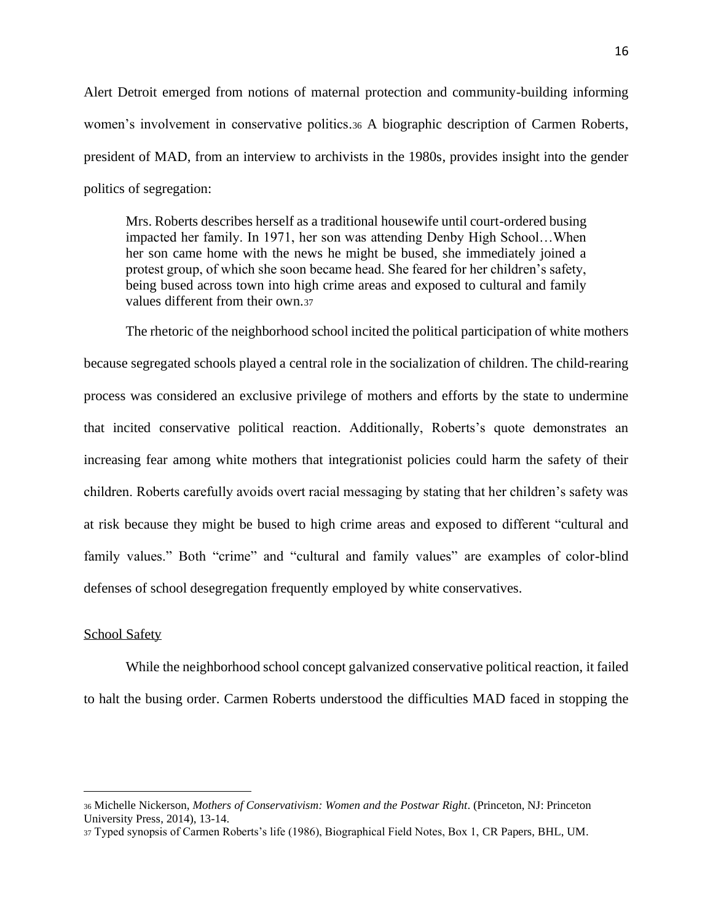Alert Detroit emerged from notions of maternal protection and community-building informing women's involvement in conservative politics.<sup>36</sup> A biographic description of Carmen Roberts, president of MAD, from an interview to archivists in the 1980s, provides insight into the gender politics of segregation:

Mrs. Roberts describes herself as a traditional housewife until court-ordered busing impacted her family. In 1971, her son was attending Denby High School…When her son came home with the news he might be bused, she immediately joined a protest group, of which she soon became head. She feared for her children's safety, being bused across town into high crime areas and exposed to cultural and family values different from their own.<sup>37</sup>

The rhetoric of the neighborhood school incited the political participation of white mothers because segregated schools played a central role in the socialization of children. The child-rearing process was considered an exclusive privilege of mothers and efforts by the state to undermine that incited conservative political reaction. Additionally, Roberts's quote demonstrates an increasing fear among white mothers that integrationist policies could harm the safety of their children. Roberts carefully avoids overt racial messaging by stating that her children's safety was at risk because they might be bused to high crime areas and exposed to different "cultural and family values." Both "crime" and "cultural and family values" are examples of color-blind defenses of school desegregation frequently employed by white conservatives.

#### School Safety

While the neighborhood school concept galvanized conservative political reaction, it failed to halt the busing order. Carmen Roberts understood the difficulties MAD faced in stopping the

<sup>36</sup> Michelle Nickerson, *Mothers of Conservativism: Women and the Postwar Right*. (Princeton, NJ: Princeton University Press, 2014), 13-14.

<sup>37</sup> Typed synopsis of Carmen Roberts's life (1986), Biographical Field Notes, Box 1, CR Papers, BHL, UM.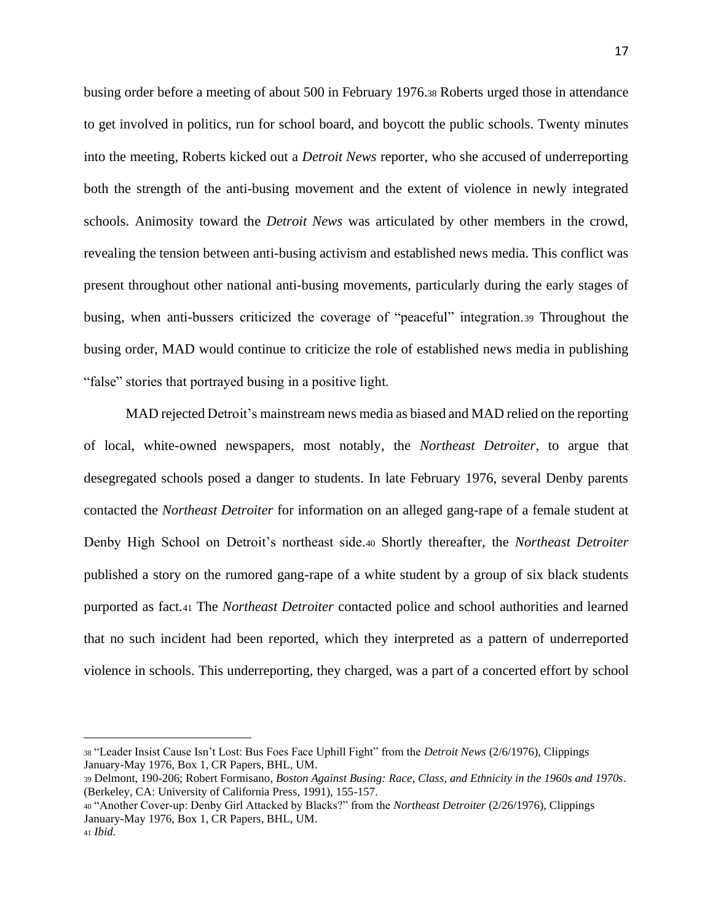busing order before a meeting of about 500 in February 1976.<sup>38</sup> Roberts urged those in attendance to get involved in politics, run for school board, and boycott the public schools. Twenty minutes into the meeting, Roberts kicked out a *Detroit News* reporter, who she accused of underreporting both the strength of the anti-busing movement and the extent of violence in newly integrated schools. Animosity toward the *Detroit News* was articulated by other members in the crowd, revealing the tension between anti-busing activism and established news media. This conflict was present throughout other national anti-busing movements, particularly during the early stages of busing, when anti-bussers criticized the coverage of "peaceful" integration.<sup>39</sup> Throughout the busing order, MAD would continue to criticize the role of established news media in publishing "false" stories that portrayed busing in a positive light.

MAD rejected Detroit's mainstream news media as biased and MAD relied on the reporting of local, white-owned newspapers, most notably, the *Northeast Detroiter*, to argue that desegregated schools posed a danger to students. In late February 1976, several Denby parents contacted the *Northeast Detroiter* for information on an alleged gang-rape of a female student at Denby High School on Detroit's northeast side.<sup>40</sup> Shortly thereafter, the *Northeast Detroiter* published a story on the rumored gang-rape of a white student by a group of six black students purported as fact.<sup>41</sup> The *Northeast Detroiter* contacted police and school authorities and learned that no such incident had been reported, which they interpreted as a pattern of underreported violence in schools. This underreporting, they charged, was a part of a concerted effort by school

<sup>38</sup> "Leader Insist Cause Isn't Lost: Bus Foes Face Uphill Fight" from the *Detroit News* (2/6/1976), Clippings January-May 1976, Box 1, CR Papers, BHL, UM.

<sup>39</sup> Delmont, 190-206; Robert Formisano*, Boston Against Busing: Race, Class, and Ethnicity in the 1960s and 1970s*. (Berkeley, CA: University of California Press, 1991), 155-157.

<sup>40</sup> "Another Cover-up: Denby Girl Attacked by Blacks?" from the *Northeast Detroiter* (2/26/1976), Clippings January-May 1976, Box 1, CR Papers, BHL, UM. <sup>41</sup> *Ibid.*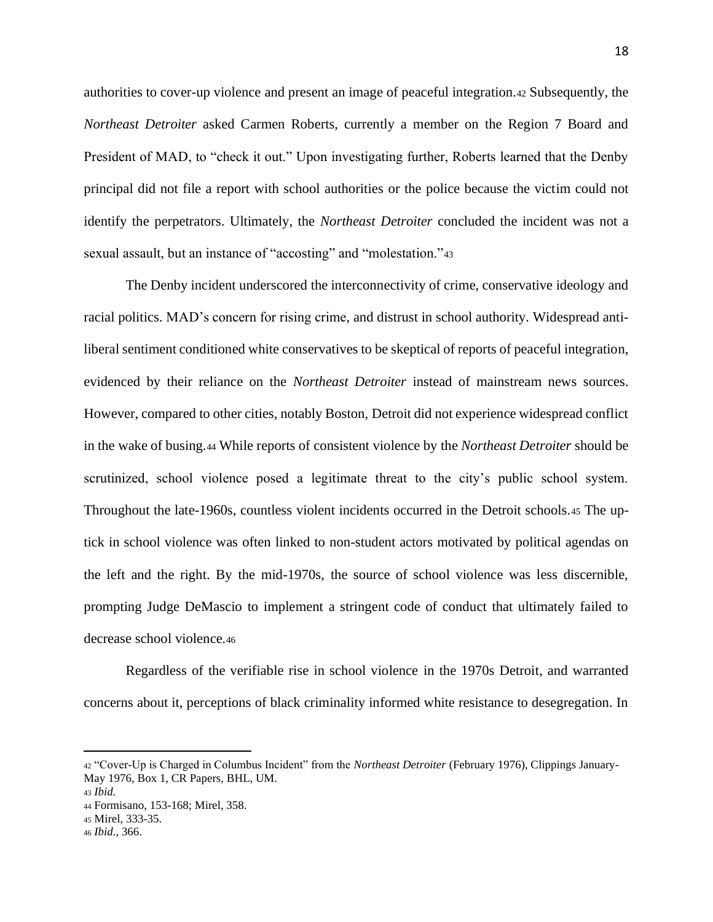authorities to cover-up violence and present an image of peaceful integration.<sup>42</sup> Subsequently, the *Northeast Detroiter* asked Carmen Roberts, currently a member on the Region 7 Board and President of MAD, to "check it out." Upon investigating further, Roberts learned that the Denby principal did not file a report with school authorities or the police because the victim could not identify the perpetrators. Ultimately, the *Northeast Detroiter* concluded the incident was not a sexual assault, but an instance of "accosting" and "molestation."43

The Denby incident underscored the interconnectivity of crime, conservative ideology and racial politics. MAD's concern for rising crime, and distrust in school authority. Widespread antiliberal sentiment conditioned white conservatives to be skeptical of reports of peaceful integration, evidenced by their reliance on the *Northeast Detroiter* instead of mainstream news sources. However, compared to other cities, notably Boston, Detroit did not experience widespread conflict in the wake of busing.<sup>44</sup> While reports of consistent violence by the *Northeast Detroiter* should be scrutinized, school violence posed a legitimate threat to the city's public school system. Throughout the late-1960s, countless violent incidents occurred in the Detroit schools.<sup>45</sup> The uptick in school violence was often linked to non-student actors motivated by political agendas on the left and the right. By the mid-1970s, the source of school violence was less discernible, prompting Judge DeMascio to implement a stringent code of conduct that ultimately failed to decrease school violence.<sup>46</sup>

Regardless of the verifiable rise in school violence in the 1970s Detroit, and warranted concerns about it, perceptions of black criminality informed white resistance to desegregation. In

<sup>42</sup> "Cover-Up is Charged in Columbus Incident" from the *Northeast Detroiter* (February 1976), Clippings January-May 1976, Box 1, CR Papers, BHL, UM.

<sup>43</sup> *Ibid.*

<sup>44</sup> Formisano, 153-168; Mirel, 358.

<sup>45</sup> Mirel, 333-35.

<sup>46</sup> *Ibid.*, 366.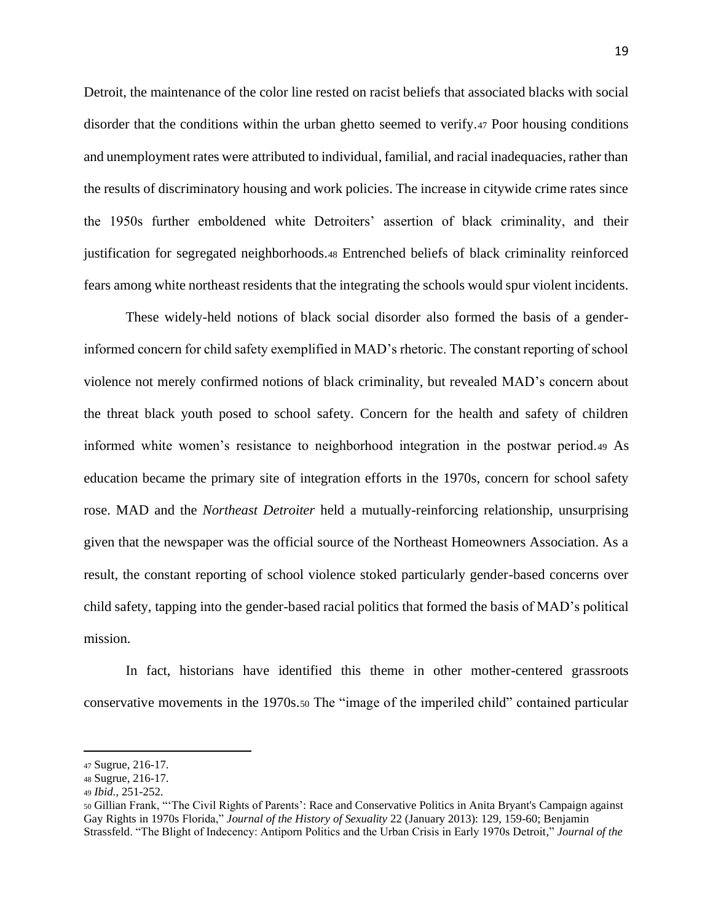Detroit, the maintenance of the color line rested on racist beliefs that associated blacks with social disorder that the conditions within the urban ghetto seemed to verify.<sup>47</sup> Poor housing conditions and unemployment rates were attributed to individual, familial, and racial inadequacies, rather than the results of discriminatory housing and work policies. The increase in citywide crime rates since the 1950s further emboldened white Detroiters' assertion of black criminality, and their justification for segregated neighborhoods.<sup>48</sup> Entrenched beliefs of black criminality reinforced fears among white northeast residents that the integrating the schools would spur violent incidents.

These widely-held notions of black social disorder also formed the basis of a genderinformed concern for child safety exemplified in MAD's rhetoric. The constant reporting of school violence not merely confirmed notions of black criminality, but revealed MAD's concern about the threat black youth posed to school safety. Concern for the health and safety of children informed white women's resistance to neighborhood integration in the postwar period.<sup>49</sup> As education became the primary site of integration efforts in the 1970s, concern for school safety rose. MAD and the *Northeast Detroiter* held a mutually-reinforcing relationship, unsurprising given that the newspaper was the official source of the Northeast Homeowners Association. As a result, the constant reporting of school violence stoked particularly gender-based concerns over child safety, tapping into the gender-based racial politics that formed the basis of MAD's political mission.

In fact, historians have identified this theme in other mother-centered grassroots conservative movements in the 1970s.<sup>50</sup> The "image of the imperiled child" contained particular

<sup>47</sup> Sugrue, 216-17.

<sup>48</sup> Sugrue, 216-17.

<sup>49</sup> *Ibid.*, 251-252.

<sup>50</sup> Gillian Frank, "'The Civil Rights of Parents': Race and Conservative Politics in Anita Bryant's Campaign against Gay Rights in 1970s Florida," *Journal of the History of Sexuality* 22 (January 2013): 129, 159-60; Benjamin Strassfeld. "The Blight of Indecency: Antiporn Politics and the Urban Crisis in Early 1970s Detroit," *Journal of the*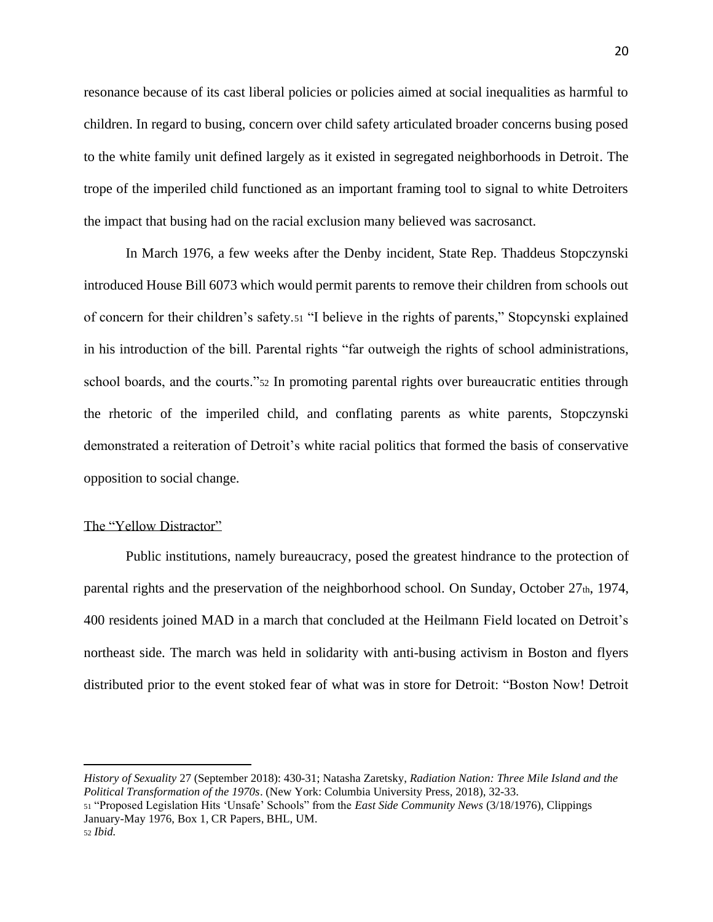resonance because of its cast liberal policies or policies aimed at social inequalities as harmful to children. In regard to busing, concern over child safety articulated broader concerns busing posed to the white family unit defined largely as it existed in segregated neighborhoods in Detroit. The trope of the imperiled child functioned as an important framing tool to signal to white Detroiters the impact that busing had on the racial exclusion many believed was sacrosanct.

In March 1976, a few weeks after the Denby incident, State Rep. Thaddeus Stopczynski introduced House Bill 6073 which would permit parents to remove their children from schools out of concern for their children's safety.<sup>51</sup> "I believe in the rights of parents," Stopcynski explained in his introduction of the bill. Parental rights "far outweigh the rights of school administrations, school boards, and the courts."<sup>52</sup> In promoting parental rights over bureaucratic entities through the rhetoric of the imperiled child, and conflating parents as white parents, Stopczynski demonstrated a reiteration of Detroit's white racial politics that formed the basis of conservative opposition to social change.

# The "Yellow Distractor"

Public institutions, namely bureaucracy, posed the greatest hindrance to the protection of parental rights and the preservation of the neighborhood school. On Sunday, October 27th, 1974, 400 residents joined MAD in a march that concluded at the Heilmann Field located on Detroit's northeast side. The march was held in solidarity with anti-busing activism in Boston and flyers distributed prior to the event stoked fear of what was in store for Detroit: "Boston Now! Detroit

*History of Sexuality* 27 (September 2018): 430-31; Natasha Zaretsky, *Radiation Nation: Three Mile Island and the Political Transformation of the 1970s*. (New York: Columbia University Press, 2018), 32-33.

<sup>51</sup> "Proposed Legislation Hits 'Unsafe' Schools" from the *East Side Community News* (3/18/1976), Clippings January-May 1976, Box 1, CR Papers, BHL, UM. <sup>52</sup> *Ibid.*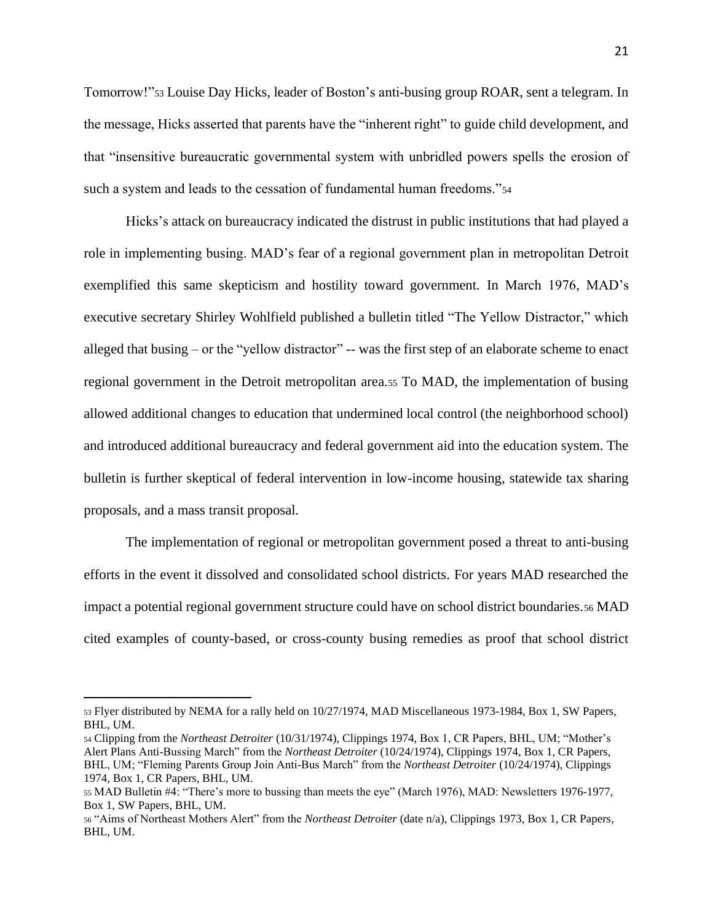Tomorrow!"<sup>53</sup> Louise Day Hicks, leader of Boston's anti-busing group ROAR, sent a telegram. In the message, Hicks asserted that parents have the "inherent right" to guide child development, and that "insensitive bureaucratic governmental system with unbridled powers spells the erosion of such a system and leads to the cessation of fundamental human freedoms."<sup>54</sup>

Hicks's attack on bureaucracy indicated the distrust in public institutions that had played a role in implementing busing. MAD's fear of a regional government plan in metropolitan Detroit exemplified this same skepticism and hostility toward government. In March 1976, MAD's executive secretary Shirley Wohlfield published a bulletin titled "The Yellow Distractor," which alleged that busing – or the "yellow distractor" -- was the first step of an elaborate scheme to enact regional government in the Detroit metropolitan area.<sup>55</sup> To MAD, the implementation of busing allowed additional changes to education that undermined local control (the neighborhood school) and introduced additional bureaucracy and federal government aid into the education system. The bulletin is further skeptical of federal intervention in low-income housing, statewide tax sharing proposals, and a mass transit proposal.

The implementation of regional or metropolitan government posed a threat to anti-busing efforts in the event it dissolved and consolidated school districts. For years MAD researched the impact a potential regional government structure could have on school district boundaries.<sup>56</sup> MAD cited examples of county-based, or cross-county busing remedies as proof that school district

<sup>53</sup> Flyer distributed by NEMA for a rally held on 10/27/1974, MAD Miscellaneous 1973-1984, Box 1, SW Papers, BHL, UM.

<sup>54</sup> Clipping from the *Northeast Detroiter* (10/31/1974), Clippings 1974, Box 1, CR Papers, BHL, UM; "Mother's Alert Plans Anti-Bussing March" from the *Northeast Detroiter* (10/24/1974), Clippings 1974, Box 1, CR Papers, BHL, UM; "Fleming Parents Group Join Anti-Bus March" from the *Northeast Detroiter* (10/24/1974), Clippings 1974, Box 1, CR Papers, BHL, UM.

<sup>55</sup> MAD Bulletin #4: "There's more to bussing than meets the eye" (March 1976), MAD: Newsletters 1976-1977, Box 1, SW Papers, BHL, UM.

<sup>56</sup> "Aims of Northeast Mothers Alert" from the *Northeast Detroiter* (date n/a), Clippings 1973, Box 1, CR Papers, BHL, UM.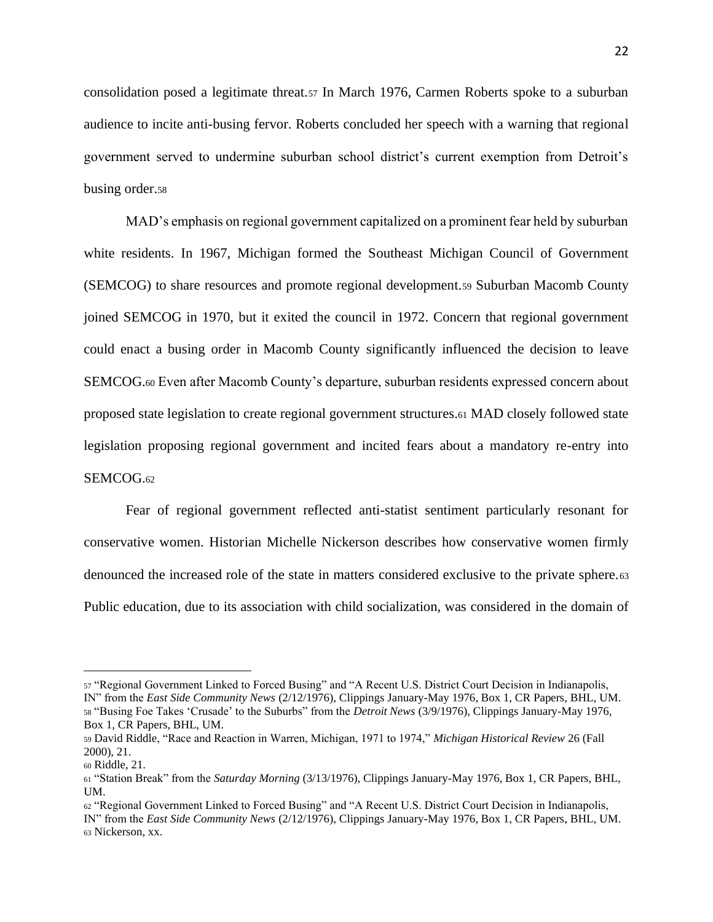consolidation posed a legitimate threat.<sup>57</sup> In March 1976, Carmen Roberts spoke to a suburban audience to incite anti-busing fervor. Roberts concluded her speech with a warning that regional government served to undermine suburban school district's current exemption from Detroit's busing order.<sup>58</sup>

MAD's emphasis on regional government capitalized on a prominent fear held by suburban white residents. In 1967, Michigan formed the Southeast Michigan Council of Government (SEMCOG) to share resources and promote regional development.<sup>59</sup> Suburban Macomb County joined SEMCOG in 1970, but it exited the council in 1972. Concern that regional government could enact a busing order in Macomb County significantly influenced the decision to leave SEMCOG.<sup>60</sup> Even after Macomb County's departure, suburban residents expressed concern about proposed state legislation to create regional government structures.<sup>61</sup> MAD closely followed state legislation proposing regional government and incited fears about a mandatory re-entry into SEMCOG.<sup>62</sup>

Fear of regional government reflected anti-statist sentiment particularly resonant for conservative women. Historian Michelle Nickerson describes how conservative women firmly denounced the increased role of the state in matters considered exclusive to the private sphere.<sup>63</sup> Public education, due to its association with child socialization, was considered in the domain of

<sup>57</sup> "Regional Government Linked to Forced Busing" and "A Recent U.S. District Court Decision in Indianapolis, IN" from the *East Side Community News* (2/12/1976), Clippings January-May 1976, Box 1, CR Papers, BHL, UM. <sup>58</sup> "Busing Foe Takes 'Crusade' to the Suburbs" from the *Detroit News* (3/9/1976), Clippings January-May 1976, Box 1, CR Papers, BHL, UM.

<sup>59</sup> David Riddle, "Race and Reaction in Warren, Michigan, 1971 to 1974," *Michigan Historical Review* 26 (Fall 2000), 21.

<sup>60</sup> Riddle, 21.

<sup>61</sup> "Station Break" from the *Saturday Morning* (3/13/1976), Clippings January-May 1976, Box 1, CR Papers, BHL, UM.

<sup>62</sup> "Regional Government Linked to Forced Busing" and "A Recent U.S. District Court Decision in Indianapolis, IN" from the *East Side Community News* (2/12/1976), Clippings January-May 1976, Box 1, CR Papers, BHL, UM. <sup>63</sup> Nickerson, xx.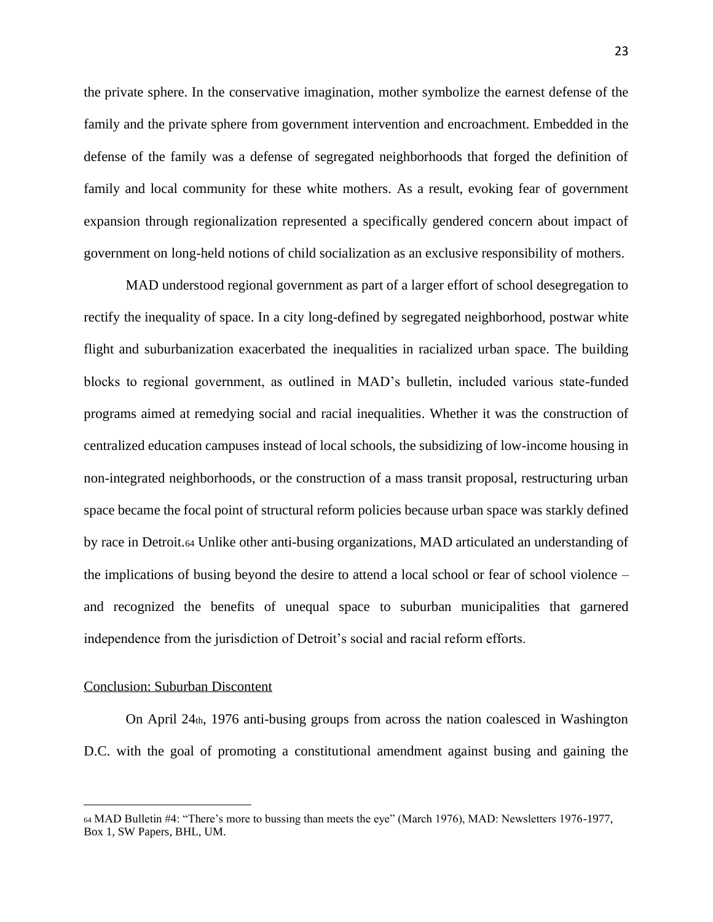the private sphere. In the conservative imagination, mother symbolize the earnest defense of the family and the private sphere from government intervention and encroachment. Embedded in the defense of the family was a defense of segregated neighborhoods that forged the definition of family and local community for these white mothers. As a result, evoking fear of government expansion through regionalization represented a specifically gendered concern about impact of government on long-held notions of child socialization as an exclusive responsibility of mothers.

MAD understood regional government as part of a larger effort of school desegregation to rectify the inequality of space. In a city long-defined by segregated neighborhood, postwar white flight and suburbanization exacerbated the inequalities in racialized urban space. The building blocks to regional government, as outlined in MAD's bulletin, included various state-funded programs aimed at remedying social and racial inequalities. Whether it was the construction of centralized education campuses instead of local schools, the subsidizing of low-income housing in non-integrated neighborhoods, or the construction of a mass transit proposal, restructuring urban space became the focal point of structural reform policies because urban space was starkly defined by race in Detroit.<sup>64</sup> Unlike other anti-busing organizations, MAD articulated an understanding of the implications of busing beyond the desire to attend a local school or fear of school violence – and recognized the benefits of unequal space to suburban municipalities that garnered independence from the jurisdiction of Detroit's social and racial reform efforts.

#### Conclusion: Suburban Discontent

On April 24th, 1976 anti-busing groups from across the nation coalesced in Washington D.C. with the goal of promoting a constitutional amendment against busing and gaining the

<sup>64</sup> MAD Bulletin #4: "There's more to bussing than meets the eye" (March 1976), MAD: Newsletters 1976-1977, Box 1, SW Papers, BHL, UM.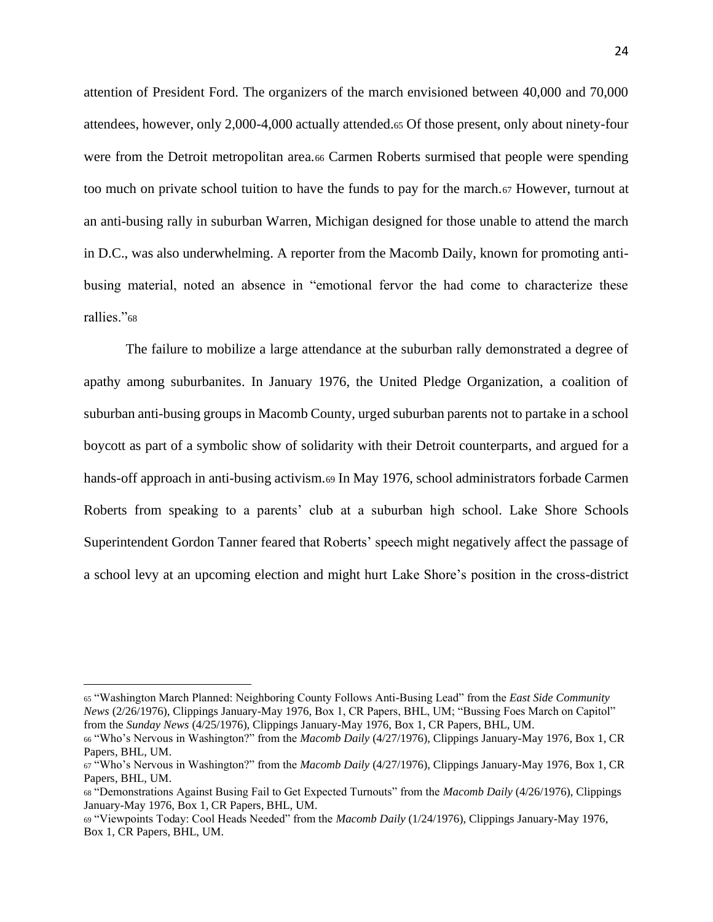attention of President Ford. The organizers of the march envisioned between 40,000 and 70,000 attendees, however, only 2,000-4,000 actually attended.<sup>65</sup> Of those present, only about ninety-four were from the Detroit metropolitan area.<sup>66</sup> Carmen Roberts surmised that people were spending too much on private school tuition to have the funds to pay for the march.<sup>67</sup> However, turnout at an anti-busing rally in suburban Warren, Michigan designed for those unable to attend the march in D.C., was also underwhelming. A reporter from the Macomb Daily, known for promoting antibusing material, noted an absence in "emotional fervor the had come to characterize these rallies."<sup>68</sup>

The failure to mobilize a large attendance at the suburban rally demonstrated a degree of apathy among suburbanites. In January 1976, the United Pledge Organization, a coalition of suburban anti-busing groups in Macomb County, urged suburban parents not to partake in a school boycott as part of a symbolic show of solidarity with their Detroit counterparts, and argued for a hands-off approach in anti-busing activism.<sup>69</sup> In May 1976, school administrators forbade Carmen Roberts from speaking to a parents' club at a suburban high school. Lake Shore Schools Superintendent Gordon Tanner feared that Roberts' speech might negatively affect the passage of a school levy at an upcoming election and might hurt Lake Shore's position in the cross-district

<sup>65</sup> "Washington March Planned: Neighboring County Follows Anti-Busing Lead" from the *East Side Community News* (2/26/1976), Clippings January-May 1976, Box 1, CR Papers, BHL, UM; "Bussing Foes March on Capitol" from the *Sunday News* (4/25/1976), Clippings January-May 1976, Box 1, CR Papers, BHL, UM.

<sup>66</sup> "Who's Nervous in Washington?" from the *Macomb Daily* (4/27/1976), Clippings January-May 1976, Box 1, CR Papers, BHL, UM.

<sup>67</sup> "Who's Nervous in Washington?" from the *Macomb Daily* (4/27/1976), Clippings January-May 1976, Box 1, CR Papers, BHL, UM.

<sup>68</sup> "Demonstrations Against Busing Fail to Get Expected Turnouts" from the *Macomb Daily* (4/26/1976), Clippings January-May 1976, Box 1, CR Papers, BHL, UM.

<sup>69</sup> "Viewpoints Today: Cool Heads Needed" from the *Macomb Daily* (1/24/1976), Clippings January-May 1976, Box 1, CR Papers, BHL, UM.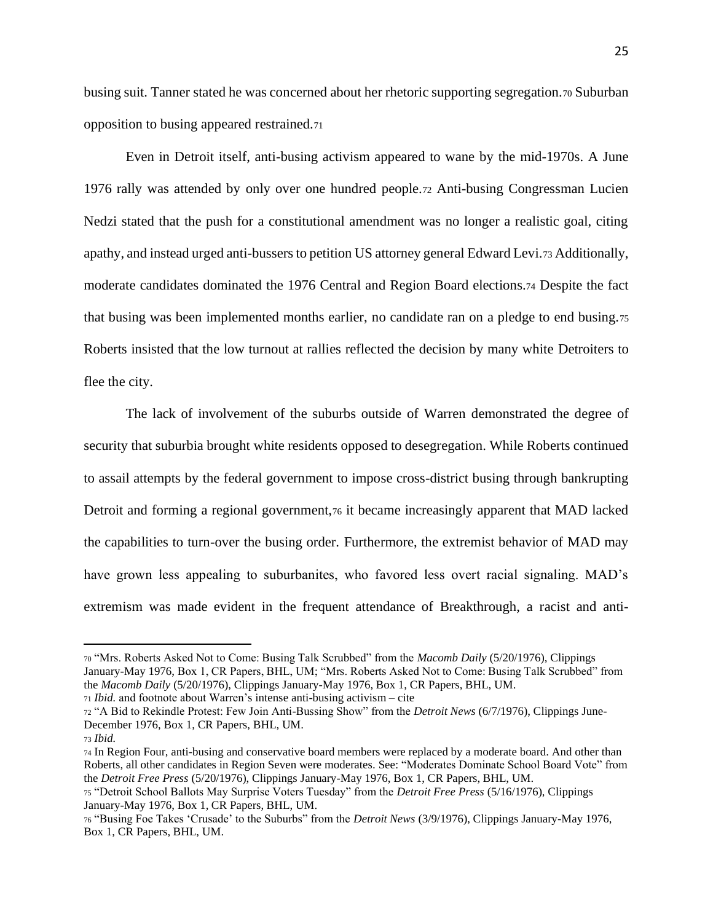busing suit. Tanner stated he was concerned about her rhetoric supporting segregation.<sup>70</sup> Suburban opposition to busing appeared restrained.<sup>71</sup>

Even in Detroit itself, anti-busing activism appeared to wane by the mid-1970s. A June 1976 rally was attended by only over one hundred people.<sup>72</sup> Anti-busing Congressman Lucien Nedzi stated that the push for a constitutional amendment was no longer a realistic goal, citing apathy, and instead urged anti-bussers to petition US attorney general Edward Levi.<sup>73</sup> Additionally, moderate candidates dominated the 1976 Central and Region Board elections.<sup>74</sup> Despite the fact that busing was been implemented months earlier, no candidate ran on a pledge to end busing.<sup>75</sup> Roberts insisted that the low turnout at rallies reflected the decision by many white Detroiters to flee the city.

The lack of involvement of the suburbs outside of Warren demonstrated the degree of security that suburbia brought white residents opposed to desegregation. While Roberts continued to assail attempts by the federal government to impose cross-district busing through bankrupting Detroit and forming a regional government,<sup>76</sup> it became increasingly apparent that MAD lacked the capabilities to turn-over the busing order. Furthermore, the extremist behavior of MAD may have grown less appealing to suburbanites, who favored less overt racial signaling. MAD's extremism was made evident in the frequent attendance of Breakthrough, a racist and anti-

<sup>70</sup> "Mrs. Roberts Asked Not to Come: Busing Talk Scrubbed" from the *Macomb Daily* (5/20/1976), Clippings January-May 1976, Box 1, CR Papers, BHL, UM; "Mrs. Roberts Asked Not to Come: Busing Talk Scrubbed" from the *Macomb Daily* (5/20/1976), Clippings January-May 1976, Box 1, CR Papers, BHL, UM.

<sup>71</sup> *Ibid.* and footnote about Warren's intense anti-busing activism – cite

<sup>72</sup> "A Bid to Rekindle Protest: Few Join Anti-Bussing Show" from the *Detroit News* (6/7/1976), Clippings June-December 1976, Box 1, CR Papers, BHL, UM.

<sup>73</sup> *Ibid.* 

<sup>74</sup> In Region Four, anti-busing and conservative board members were replaced by a moderate board. And other than Roberts, all other candidates in Region Seven were moderates. See: "Moderates Dominate School Board Vote" from the *Detroit Free Press* (5/20/1976), Clippings January-May 1976, Box 1, CR Papers, BHL, UM.

<sup>75</sup> "Detroit School Ballots May Surprise Voters Tuesday" from the *Detroit Free Press* (5/16/1976), Clippings January-May 1976, Box 1, CR Papers, BHL, UM.

<sup>76</sup> "Busing Foe Takes 'Crusade' to the Suburbs" from the *Detroit News* (3/9/1976), Clippings January-May 1976, Box 1, CR Papers, BHL, UM.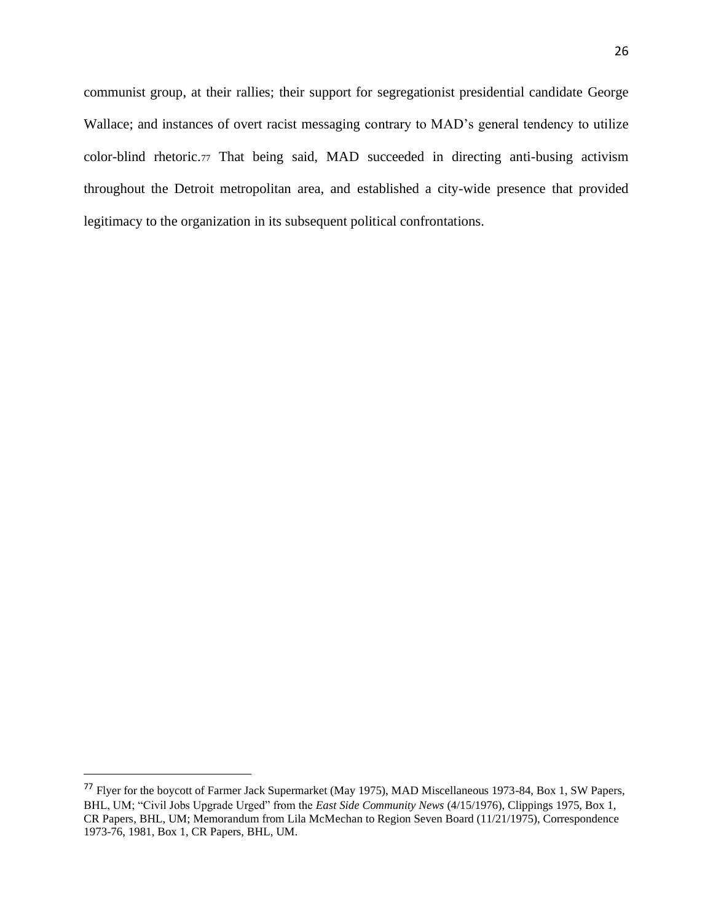communist group, at their rallies; their support for segregationist presidential candidate George Wallace; and instances of overt racist messaging contrary to MAD's general tendency to utilize color-blind rhetoric.<sup>77</sup> That being said, MAD succeeded in directing anti-busing activism throughout the Detroit metropolitan area, and established a city-wide presence that provided legitimacy to the organization in its subsequent political confrontations.

<sup>77</sup> Flyer for the boycott of Farmer Jack Supermarket (May 1975), MAD Miscellaneous 1973-84, Box 1, SW Papers, BHL, UM; "Civil Jobs Upgrade Urged" from the *East Side Community News* (4/15/1976), Clippings 1975, Box 1, CR Papers, BHL, UM; Memorandum from Lila McMechan to Region Seven Board (11/21/1975), Correspondence 1973-76, 1981, Box 1, CR Papers, BHL, UM.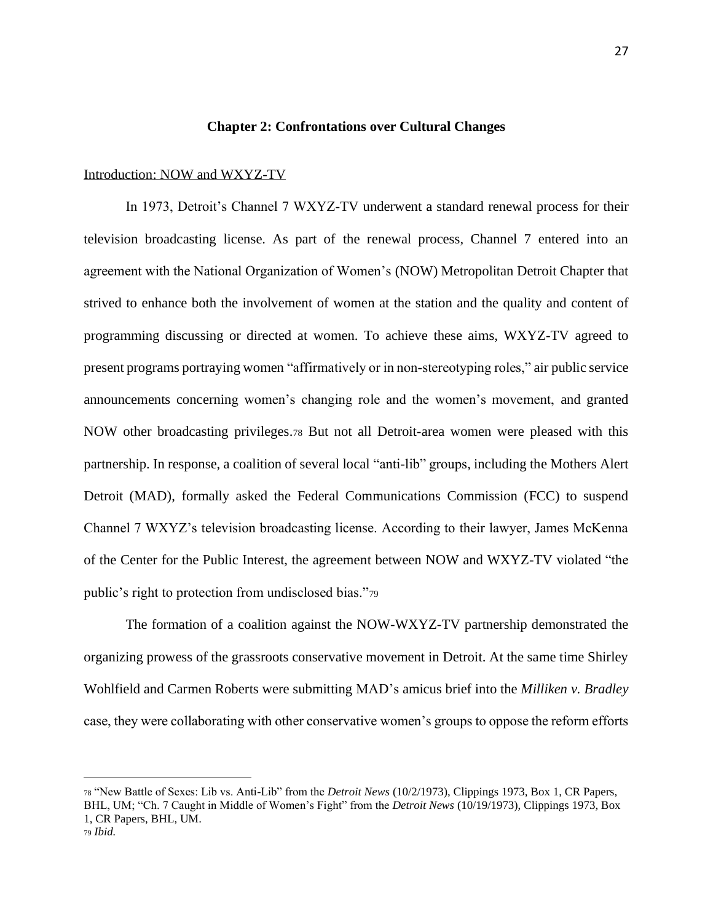#### **Chapter 2: Confrontations over Cultural Changes**

#### Introduction: NOW and WXYZ-TV

In 1973, Detroit's Channel 7 WXYZ-TV underwent a standard renewal process for their television broadcasting license. As part of the renewal process, Channel 7 entered into an agreement with the National Organization of Women's (NOW) Metropolitan Detroit Chapter that strived to enhance both the involvement of women at the station and the quality and content of programming discussing or directed at women. To achieve these aims, WXYZ-TV agreed to present programs portraying women "affirmatively or in non-stereotyping roles," air public service announcements concerning women's changing role and the women's movement, and granted NOW other broadcasting privileges.<sup>78</sup> But not all Detroit-area women were pleased with this partnership. In response, a coalition of several local "anti-lib" groups, including the Mothers Alert Detroit (MAD), formally asked the Federal Communications Commission (FCC) to suspend Channel 7 WXYZ's television broadcasting license. According to their lawyer, James McKenna of the Center for the Public Interest, the agreement between NOW and WXYZ-TV violated "the public's right to protection from undisclosed bias."<sup>79</sup>

The formation of a coalition against the NOW-WXYZ-TV partnership demonstrated the organizing prowess of the grassroots conservative movement in Detroit. At the same time Shirley Wohlfield and Carmen Roberts were submitting MAD's amicus brief into the *Milliken v. Bradley*  case, they were collaborating with other conservative women's groups to oppose the reform efforts

<sup>78</sup> "New Battle of Sexes: Lib vs. Anti-Lib" from the *Detroit News* (10/2/1973), Clippings 1973, Box 1, CR Papers, BHL, UM; "Ch. 7 Caught in Middle of Women's Fight" from the *Detroit News* (10/19/1973), Clippings 1973, Box 1, CR Papers, BHL, UM.

<sup>79</sup> *Ibid.*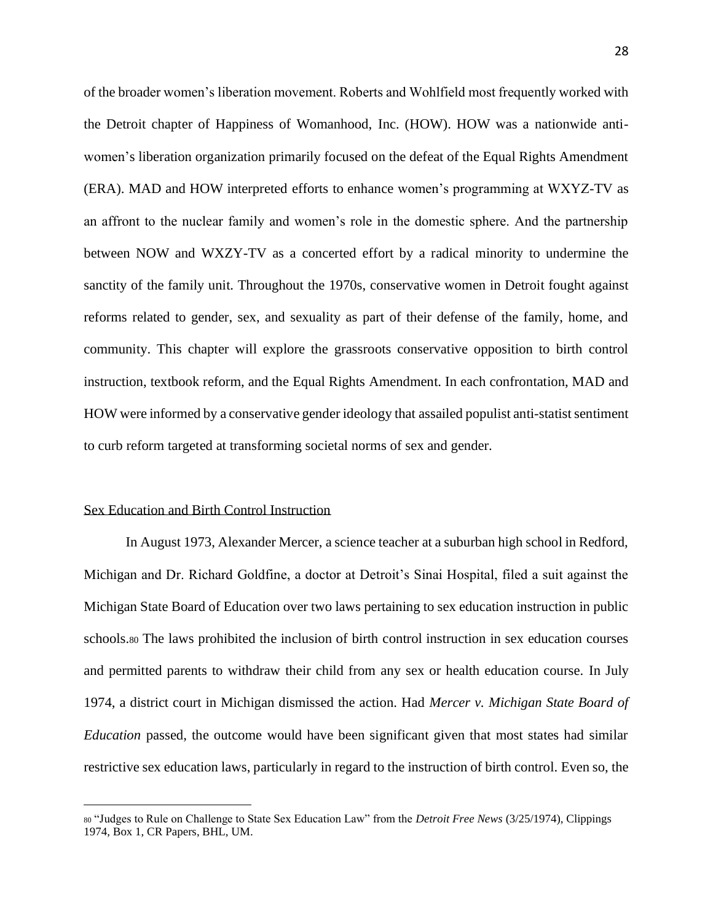of the broader women's liberation movement. Roberts and Wohlfield most frequently worked with the Detroit chapter of Happiness of Womanhood, Inc. (HOW). HOW was a nationwide antiwomen's liberation organization primarily focused on the defeat of the Equal Rights Amendment (ERA). MAD and HOW interpreted efforts to enhance women's programming at WXYZ-TV as an affront to the nuclear family and women's role in the domestic sphere. And the partnership between NOW and WXZY-TV as a concerted effort by a radical minority to undermine the sanctity of the family unit. Throughout the 1970s, conservative women in Detroit fought against reforms related to gender, sex, and sexuality as part of their defense of the family, home, and community. This chapter will explore the grassroots conservative opposition to birth control instruction, textbook reform, and the Equal Rights Amendment. In each confrontation, MAD and HOW were informed by a conservative gender ideology that assailed populist anti-statist sentiment to curb reform targeted at transforming societal norms of sex and gender.

#### Sex Education and Birth Control Instruction

In August 1973, Alexander Mercer, a science teacher at a suburban high school in Redford, Michigan and Dr. Richard Goldfine, a doctor at Detroit's Sinai Hospital, filed a suit against the Michigan State Board of Education over two laws pertaining to sex education instruction in public schools.<sup>80</sup> The laws prohibited the inclusion of birth control instruction in sex education courses and permitted parents to withdraw their child from any sex or health education course. In July 1974, a district court in Michigan dismissed the action. Had *Mercer v. Michigan State Board of Education* passed, the outcome would have been significant given that most states had similar restrictive sex education laws, particularly in regard to the instruction of birth control. Even so, the

<sup>80</sup> "Judges to Rule on Challenge to State Sex Education Law" from the *Detroit Free News* (3/25/1974), Clippings 1974, Box 1, CR Papers, BHL, UM.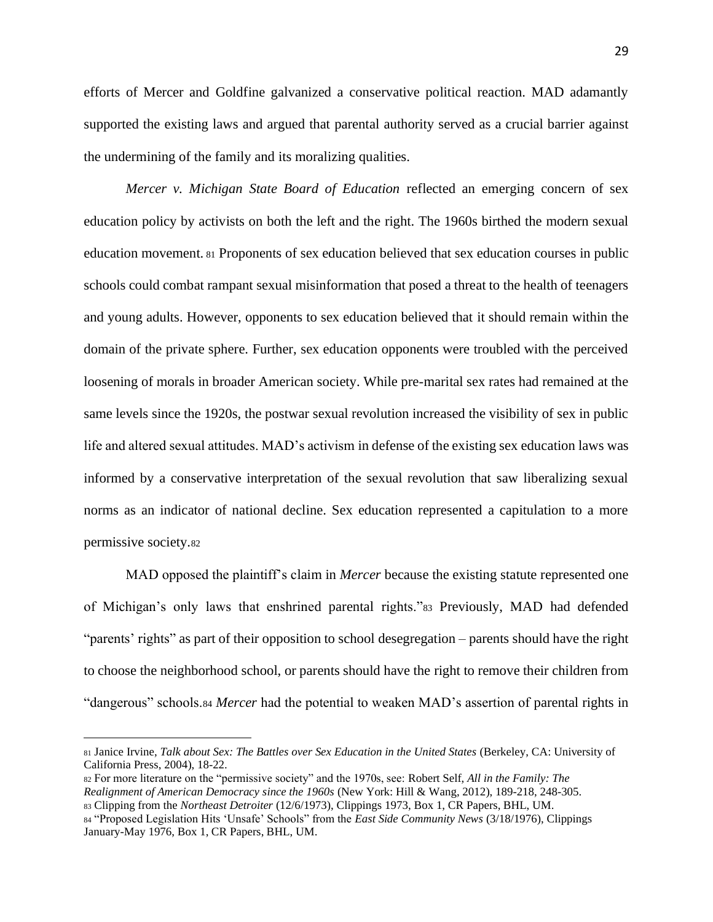efforts of Mercer and Goldfine galvanized a conservative political reaction. MAD adamantly supported the existing laws and argued that parental authority served as a crucial barrier against the undermining of the family and its moralizing qualities.

*Mercer v. Michigan State Board of Education* reflected an emerging concern of sex education policy by activists on both the left and the right. The 1960s birthed the modern sexual education movement. <sup>81</sup> Proponents of sex education believed that sex education courses in public schools could combat rampant sexual misinformation that posed a threat to the health of teenagers and young adults. However, opponents to sex education believed that it should remain within the domain of the private sphere. Further, sex education opponents were troubled with the perceived loosening of morals in broader American society. While pre-marital sex rates had remained at the same levels since the 1920s, the postwar sexual revolution increased the visibility of sex in public life and altered sexual attitudes. MAD's activism in defense of the existing sex education laws was informed by a conservative interpretation of the sexual revolution that saw liberalizing sexual norms as an indicator of national decline. Sex education represented a capitulation to a more permissive society.<sup>82</sup>

MAD opposed the plaintiff's claim in *Mercer* because the existing statute represented one of Michigan's only laws that enshrined parental rights."<sup>83</sup> Previously, MAD had defended "parents' rights" as part of their opposition to school desegregation – parents should have the right to choose the neighborhood school, or parents should have the right to remove their children from "dangerous" schools.<sup>84</sup> *Mercer* had the potential to weaken MAD's assertion of parental rights in

<sup>81</sup> Janice Irvine, *Talk about Sex: The Battles over Sex Education in the United States* (Berkeley, CA: University of California Press, 2004), 18-22.

<sup>82</sup> For more literature on the "permissive society" and the 1970s, see: Robert Self, *All in the Family: The Realignment of American Democracy since the 1960s* (New York: Hill & Wang, 2012), 189-218, 248-305. <sup>83</sup> Clipping from the *Northeast Detroiter* (12/6/1973), Clippings 1973, Box 1, CR Papers, BHL, UM.

<sup>84</sup> "Proposed Legislation Hits 'Unsafe' Schools" from the *East Side Community News* (3/18/1976), Clippings January-May 1976, Box 1, CR Papers, BHL, UM.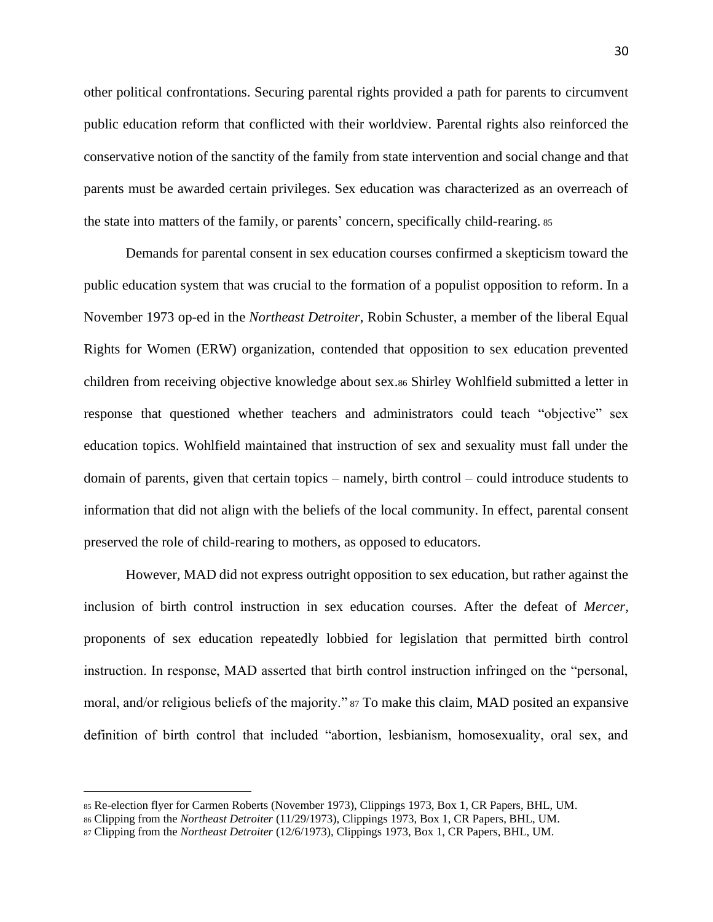other political confrontations. Securing parental rights provided a path for parents to circumvent public education reform that conflicted with their worldview. Parental rights also reinforced the conservative notion of the sanctity of the family from state intervention and social change and that parents must be awarded certain privileges. Sex education was characterized as an overreach of the state into matters of the family, or parents' concern, specifically child-rearing. <sup>85</sup>

Demands for parental consent in sex education courses confirmed a skepticism toward the public education system that was crucial to the formation of a populist opposition to reform. In a November 1973 op-ed in the *Northeast Detroiter*, Robin Schuster, a member of the liberal Equal Rights for Women (ERW) organization, contended that opposition to sex education prevented children from receiving objective knowledge about sex.<sup>86</sup> Shirley Wohlfield submitted a letter in response that questioned whether teachers and administrators could teach "objective" sex education topics. Wohlfield maintained that instruction of sex and sexuality must fall under the domain of parents, given that certain topics – namely, birth control – could introduce students to information that did not align with the beliefs of the local community. In effect, parental consent preserved the role of child-rearing to mothers, as opposed to educators.

However, MAD did not express outright opposition to sex education, but rather against the inclusion of birth control instruction in sex education courses. After the defeat of *Mercer,*  proponents of sex education repeatedly lobbied for legislation that permitted birth control instruction. In response, MAD asserted that birth control instruction infringed on the "personal, moral, and/or religious beliefs of the majority." <sup>87</sup> To make this claim, MAD posited an expansive definition of birth control that included "abortion, lesbianism, homosexuality, oral sex, and

<sup>85</sup> Re-election flyer for Carmen Roberts (November 1973), Clippings 1973, Box 1, CR Papers, BHL, UM.

<sup>86</sup> Clipping from the *Northeast Detroiter* (11/29/1973), Clippings 1973, Box 1, CR Papers, BHL, UM.

<sup>87</sup> Clipping from the *Northeast Detroiter* (12/6/1973), Clippings 1973, Box 1, CR Papers, BHL, UM.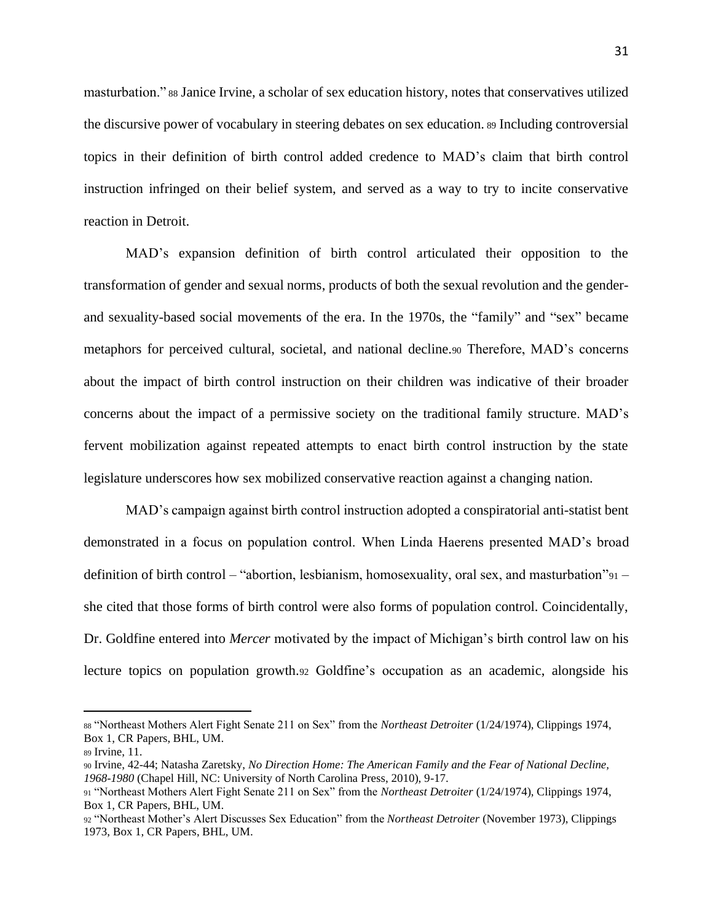masturbation." <sup>88</sup> Janice Irvine, a scholar of sex education history, notes that conservatives utilized the discursive power of vocabulary in steering debates on sex education. <sup>89</sup> Including controversial topics in their definition of birth control added credence to MAD's claim that birth control instruction infringed on their belief system, and served as a way to try to incite conservative reaction in Detroit.

MAD's expansion definition of birth control articulated their opposition to the transformation of gender and sexual norms, products of both the sexual revolution and the genderand sexuality-based social movements of the era. In the 1970s, the "family" and "sex" became metaphors for perceived cultural, societal, and national decline.<sup>90</sup> Therefore, MAD's concerns about the impact of birth control instruction on their children was indicative of their broader concerns about the impact of a permissive society on the traditional family structure. MAD's fervent mobilization against repeated attempts to enact birth control instruction by the state legislature underscores how sex mobilized conservative reaction against a changing nation.

MAD's campaign against birth control instruction adopted a conspiratorial anti-statist bent demonstrated in a focus on population control. When Linda Haerens presented MAD's broad definition of birth control – "abortion, lesbianism, homosexuality, oral sex, and masturbation"<sup>91</sup> – she cited that those forms of birth control were also forms of population control. Coincidentally, Dr. Goldfine entered into *Mercer* motivated by the impact of Michigan's birth control law on his lecture topics on population growth.<sup>92</sup> Goldfine's occupation as an academic, alongside his

<sup>88</sup> "Northeast Mothers Alert Fight Senate 211 on Sex" from the *Northeast Detroiter* (1/24/1974), Clippings 1974, Box 1, CR Papers, BHL, UM.

<sup>89</sup> Irvine, 11.

<sup>90</sup> Irvine, 42-44; Natasha Zaretsky, *No Direction Home: The American Family and the Fear of National Decline, 1968-1980* (Chapel Hill, NC: University of North Carolina Press, 2010), 9-17.

<sup>91</sup> "Northeast Mothers Alert Fight Senate 211 on Sex" from the *Northeast Detroiter* (1/24/1974), Clippings 1974, Box 1, CR Papers, BHL, UM.

<sup>92</sup> "Northeast Mother's Alert Discusses Sex Education" from the *Northeast Detroiter* (November 1973), Clippings 1973, Box 1, CR Papers, BHL, UM.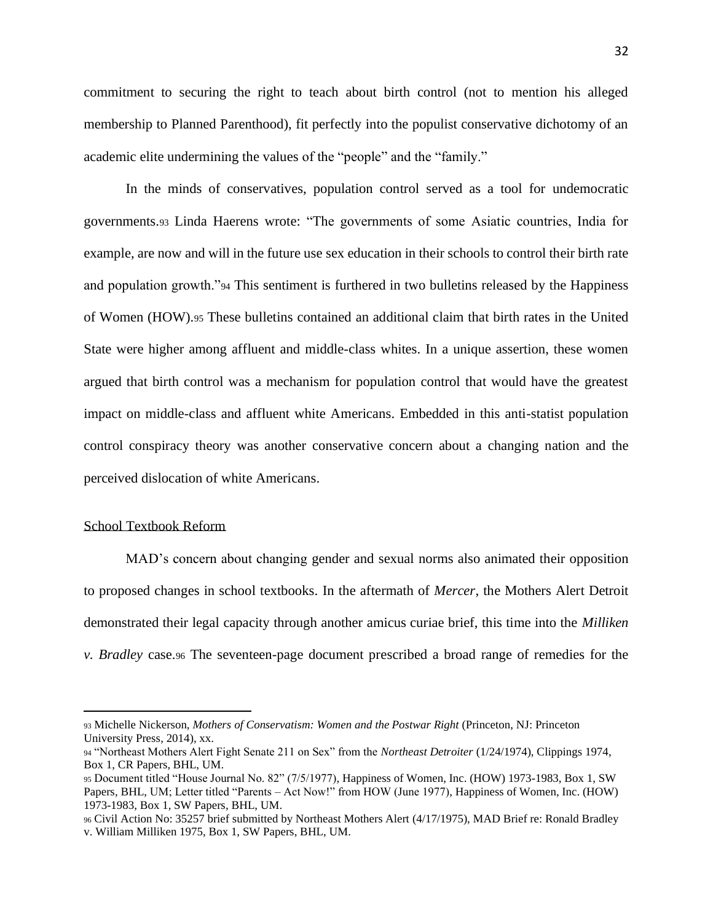commitment to securing the right to teach about birth control (not to mention his alleged membership to Planned Parenthood), fit perfectly into the populist conservative dichotomy of an academic elite undermining the values of the "people" and the "family."

In the minds of conservatives, population control served as a tool for undemocratic governments.<sup>93</sup> Linda Haerens wrote: "The governments of some Asiatic countries, India for example, are now and will in the future use sex education in their schools to control their birth rate and population growth."<sup>94</sup> This sentiment is furthered in two bulletins released by the Happiness of Women (HOW).<sup>95</sup> These bulletins contained an additional claim that birth rates in the United State were higher among affluent and middle-class whites. In a unique assertion, these women argued that birth control was a mechanism for population control that would have the greatest impact on middle-class and affluent white Americans. Embedded in this anti-statist population control conspiracy theory was another conservative concern about a changing nation and the perceived dislocation of white Americans.

## School Textbook Reform

MAD's concern about changing gender and sexual norms also animated their opposition to proposed changes in school textbooks. In the aftermath of *Mercer*, the Mothers Alert Detroit demonstrated their legal capacity through another amicus curiae brief, this time into the *Milliken v. Bradley* case.<sup>96</sup> The seventeen-page document prescribed a broad range of remedies for the

<sup>93</sup> Michelle Nickerson, *Mothers of Conservatism: Women and the Postwar Right* (Princeton, NJ: Princeton University Press, 2014), xx.

<sup>94</sup> "Northeast Mothers Alert Fight Senate 211 on Sex" from the *Northeast Detroiter* (1/24/1974), Clippings 1974, Box 1, CR Papers, BHL, UM.

<sup>95</sup> Document titled "House Journal No. 82" (7/5/1977), Happiness of Women, Inc. (HOW) 1973-1983, Box 1, SW Papers, BHL, UM; Letter titled "Parents – Act Now!" from HOW (June 1977), Happiness of Women, Inc. (HOW) 1973-1983, Box 1, SW Papers, BHL, UM.

<sup>96</sup> Civil Action No: 35257 brief submitted by Northeast Mothers Alert (4/17/1975), MAD Brief re: Ronald Bradley v. William Milliken 1975, Box 1, SW Papers, BHL, UM.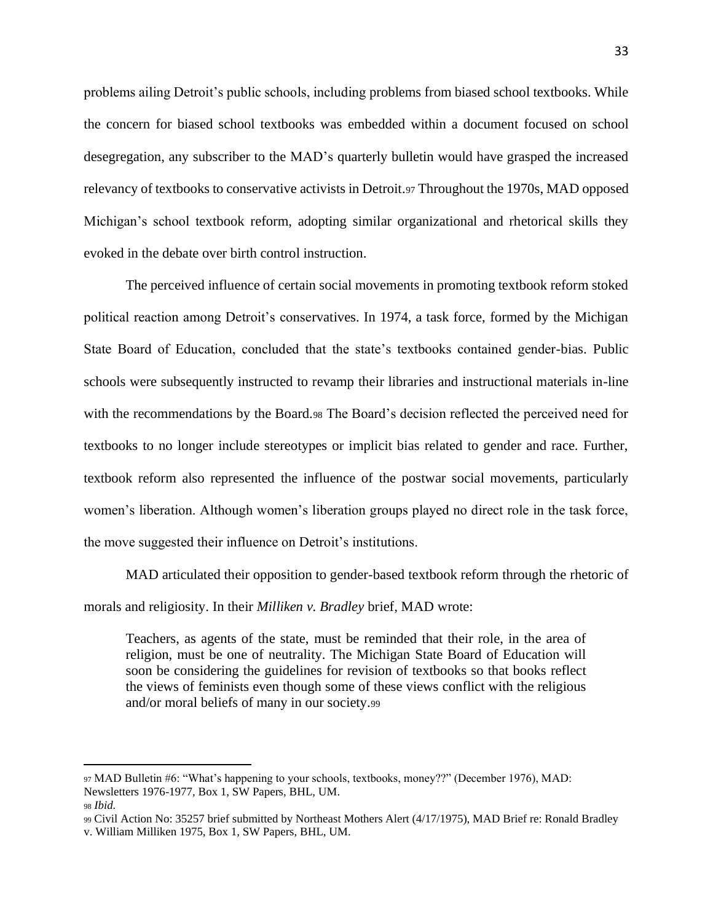problems ailing Detroit's public schools, including problems from biased school textbooks. While the concern for biased school textbooks was embedded within a document focused on school desegregation, any subscriber to the MAD's quarterly bulletin would have grasped the increased relevancy of textbooks to conservative activists in Detroit.<sup>97</sup> Throughout the 1970s, MAD opposed Michigan's school textbook reform, adopting similar organizational and rhetorical skills they evoked in the debate over birth control instruction.

The perceived influence of certain social movements in promoting textbook reform stoked political reaction among Detroit's conservatives. In 1974, a task force, formed by the Michigan State Board of Education, concluded that the state's textbooks contained gender-bias. Public schools were subsequently instructed to revamp their libraries and instructional materials in-line with the recommendations by the Board.<sup>98</sup> The Board's decision reflected the perceived need for textbooks to no longer include stereotypes or implicit bias related to gender and race. Further, textbook reform also represented the influence of the postwar social movements, particularly women's liberation. Although women's liberation groups played no direct role in the task force, the move suggested their influence on Detroit's institutions.

MAD articulated their opposition to gender-based textbook reform through the rhetoric of morals and religiosity. In their *Milliken v. Bradley* brief*,* MAD wrote:

Teachers, as agents of the state, must be reminded that their role, in the area of religion, must be one of neutrality. The Michigan State Board of Education will soon be considering the guidelines for revision of textbooks so that books reflect the views of feminists even though some of these views conflict with the religious and/or moral beliefs of many in our society.<sup>99</sup>

<sup>97</sup> MAD Bulletin #6: "What's happening to your schools, textbooks, money??" (December 1976), MAD: Newsletters 1976-1977, Box 1, SW Papers, BHL, UM. <sup>98</sup> *Ibid.* 

<sup>99</sup> Civil Action No: 35257 brief submitted by Northeast Mothers Alert (4/17/1975), MAD Brief re: Ronald Bradley

v. William Milliken 1975, Box 1, SW Papers, BHL, UM.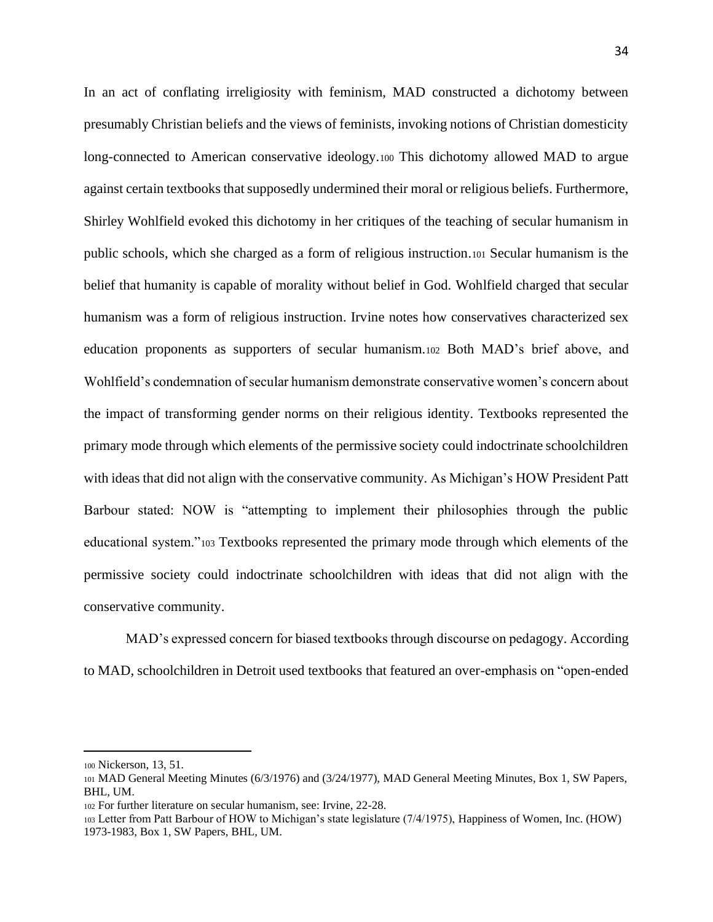In an act of conflating irreligiosity with feminism, MAD constructed a dichotomy between presumably Christian beliefs and the views of feminists, invoking notions of Christian domesticity long-connected to American conservative ideology.<sup>100</sup> This dichotomy allowed MAD to argue against certain textbooks that supposedly undermined their moral or religious beliefs. Furthermore, Shirley Wohlfield evoked this dichotomy in her critiques of the teaching of secular humanism in public schools, which she charged as a form of religious instruction.<sup>101</sup> Secular humanism is the belief that humanity is capable of morality without belief in God. Wohlfield charged that secular humanism was a form of religious instruction. Irvine notes how conservatives characterized sex education proponents as supporters of secular humanism.<sup>102</sup> Both MAD's brief above, and Wohlfield's condemnation of secular humanism demonstrate conservative women's concern about the impact of transforming gender norms on their religious identity. Textbooks represented the primary mode through which elements of the permissive society could indoctrinate schoolchildren with ideas that did not align with the conservative community. As Michigan's HOW President Patt Barbour stated: NOW is "attempting to implement their philosophies through the public educational system."<sup>103</sup> Textbooks represented the primary mode through which elements of the permissive society could indoctrinate schoolchildren with ideas that did not align with the conservative community.

MAD's expressed concern for biased textbooks through discourse on pedagogy. According to MAD, schoolchildren in Detroit used textbooks that featured an over-emphasis on "open-ended

<sup>100</sup> Nickerson, 13, 51.

<sup>101</sup> MAD General Meeting Minutes (6/3/1976) and (3/24/1977), MAD General Meeting Minutes, Box 1, SW Papers, BHL, UM.

<sup>102</sup> For further literature on secular humanism, see: Irvine, 22-28.

<sup>103</sup> Letter from Patt Barbour of HOW to Michigan's state legislature (7/4/1975), Happiness of Women, Inc. (HOW) 1973-1983, Box 1, SW Papers, BHL, UM.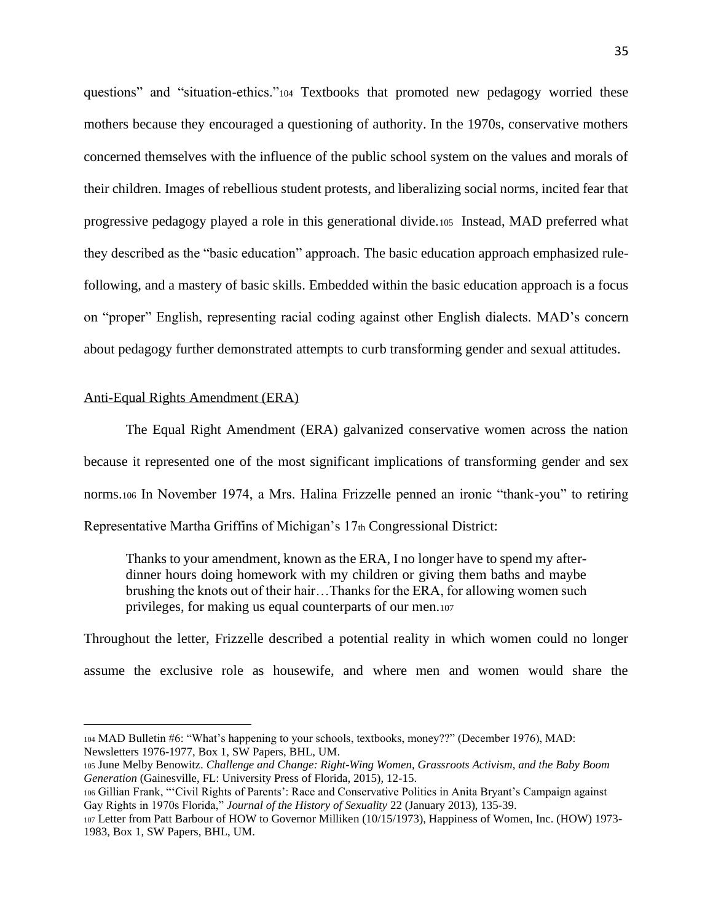questions" and "situation-ethics."<sup>104</sup> Textbooks that promoted new pedagogy worried these mothers because they encouraged a questioning of authority. In the 1970s, conservative mothers concerned themselves with the influence of the public school system on the values and morals of their children. Images of rebellious student protests, and liberalizing social norms, incited fear that progressive pedagogy played a role in this generational divide.105 Instead, MAD preferred what they described as the "basic education" approach. The basic education approach emphasized rulefollowing, and a mastery of basic skills. Embedded within the basic education approach is a focus on "proper" English, representing racial coding against other English dialects. MAD's concern about pedagogy further demonstrated attempts to curb transforming gender and sexual attitudes.

# Anti-Equal Rights Amendment (ERA)

The Equal Right Amendment (ERA) galvanized conservative women across the nation because it represented one of the most significant implications of transforming gender and sex norms.<sup>106</sup> In November 1974, a Mrs. Halina Frizzelle penned an ironic "thank-you" to retiring Representative Martha Griffins of Michigan's 17th Congressional District:

Thanks to your amendment, known as the ERA, I no longer have to spend my afterdinner hours doing homework with my children or giving them baths and maybe brushing the knots out of their hair…Thanks for the ERA, for allowing women such privileges, for making us equal counterparts of our men.<sup>107</sup>

Throughout the letter, Frizzelle described a potential reality in which women could no longer assume the exclusive role as housewife, and where men and women would share the

<sup>104</sup> MAD Bulletin #6: "What's happening to your schools, textbooks, money??" (December 1976), MAD: Newsletters 1976-1977, Box 1, SW Papers, BHL, UM.

<sup>105</sup> June Melby Benowitz. *Challenge and Change: Right-Wing Women, Grassroots Activism, and the Baby Boom Generation* (Gainesville, FL: University Press of Florida, 2015), 12-15.

<sup>106</sup> Gillian Frank, "'Civil Rights of Parents': Race and Conservative Politics in Anita Bryant's Campaign against Gay Rights in 1970s Florida," *Journal of the History of Sexuality* 22 (January 2013), 135-39.

<sup>107</sup> Letter from Patt Barbour of HOW to Governor Milliken (10/15/1973), Happiness of Women, Inc. (HOW) 1973- 1983, Box 1, SW Papers, BHL, UM.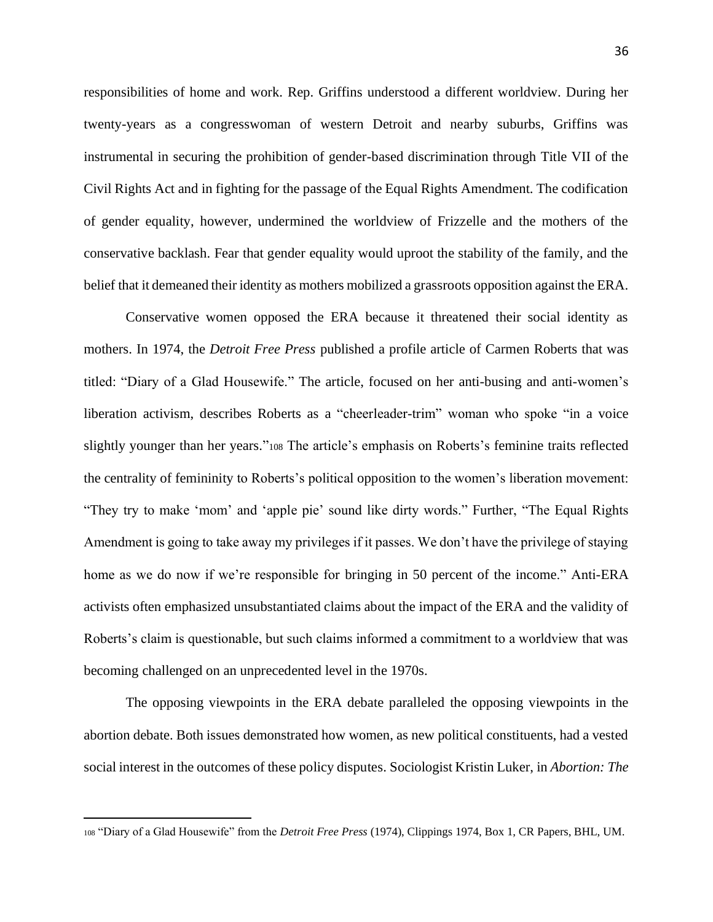responsibilities of home and work. Rep. Griffins understood a different worldview. During her twenty-years as a congresswoman of western Detroit and nearby suburbs, Griffins was instrumental in securing the prohibition of gender-based discrimination through Title VII of the Civil Rights Act and in fighting for the passage of the Equal Rights Amendment. The codification of gender equality, however, undermined the worldview of Frizzelle and the mothers of the conservative backlash. Fear that gender equality would uproot the stability of the family, and the belief that it demeaned their identity as mothers mobilized a grassroots opposition against the ERA.

Conservative women opposed the ERA because it threatened their social identity as mothers. In 1974, the *Detroit Free Press* published a profile article of Carmen Roberts that was titled: "Diary of a Glad Housewife." The article, focused on her anti-busing and anti-women's liberation activism, describes Roberts as a "cheerleader-trim" woman who spoke "in a voice slightly younger than her years."<sup>108</sup> The article's emphasis on Roberts's feminine traits reflected the centrality of femininity to Roberts's political opposition to the women's liberation movement: "They try to make 'mom' and 'apple pie' sound like dirty words." Further, "The Equal Rights Amendment is going to take away my privileges if it passes. We don't have the privilege of staying home as we do now if we're responsible for bringing in 50 percent of the income." Anti-ERA activists often emphasized unsubstantiated claims about the impact of the ERA and the validity of Roberts's claim is questionable, but such claims informed a commitment to a worldview that was becoming challenged on an unprecedented level in the 1970s.

The opposing viewpoints in the ERA debate paralleled the opposing viewpoints in the abortion debate. Both issues demonstrated how women, as new political constituents, had a vested social interest in the outcomes of these policy disputes. Sociologist Kristin Luker, in *Abortion: The* 

<sup>108</sup> "Diary of a Glad Housewife" from the *Detroit Free Press* (1974), Clippings 1974, Box 1, CR Papers, BHL, UM.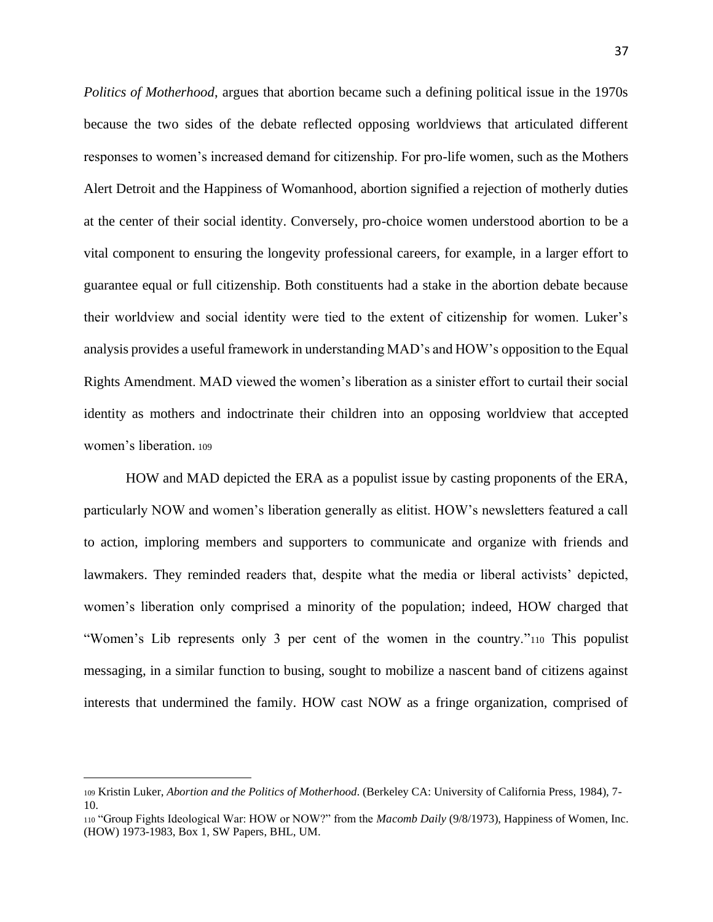*Politics of Motherhood*, argues that abortion became such a defining political issue in the 1970s because the two sides of the debate reflected opposing worldviews that articulated different responses to women's increased demand for citizenship. For pro-life women, such as the Mothers Alert Detroit and the Happiness of Womanhood, abortion signified a rejection of motherly duties at the center of their social identity. Conversely, pro-choice women understood abortion to be a vital component to ensuring the longevity professional careers, for example, in a larger effort to guarantee equal or full citizenship. Both constituents had a stake in the abortion debate because their worldview and social identity were tied to the extent of citizenship for women. Luker's analysis provides a useful framework in understanding MAD's and HOW's opposition to the Equal Rights Amendment. MAD viewed the women's liberation as a sinister effort to curtail their social identity as mothers and indoctrinate their children into an opposing worldview that accepted women's liberation. <sup>109</sup>

HOW and MAD depicted the ERA as a populist issue by casting proponents of the ERA, particularly NOW and women's liberation generally as elitist. HOW's newsletters featured a call to action, imploring members and supporters to communicate and organize with friends and lawmakers. They reminded readers that, despite what the media or liberal activists' depicted, women's liberation only comprised a minority of the population; indeed, HOW charged that "Women's Lib represents only 3 per cent of the women in the country."<sup>110</sup> This populist messaging, in a similar function to busing, sought to mobilize a nascent band of citizens against interests that undermined the family. HOW cast NOW as a fringe organization, comprised of

<sup>109</sup> Kristin Luker, *Abortion and the Politics of Motherhood*. (Berkeley CA: University of California Press, 1984), 7- 10.

<sup>110</sup> "Group Fights Ideological War: HOW or NOW?" from the *Macomb Daily* (9/8/1973), Happiness of Women, Inc. (HOW) 1973-1983, Box 1, SW Papers, BHL, UM.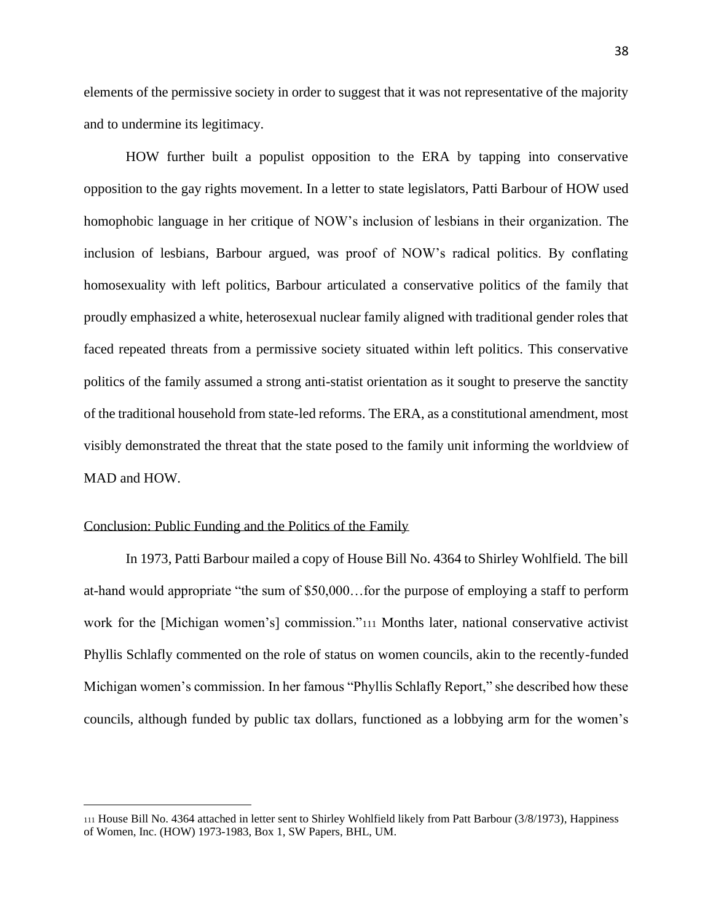elements of the permissive society in order to suggest that it was not representative of the majority and to undermine its legitimacy.

HOW further built a populist opposition to the ERA by tapping into conservative opposition to the gay rights movement. In a letter to state legislators, Patti Barbour of HOW used homophobic language in her critique of NOW's inclusion of lesbians in their organization. The inclusion of lesbians, Barbour argued, was proof of NOW's radical politics. By conflating homosexuality with left politics, Barbour articulated a conservative politics of the family that proudly emphasized a white, heterosexual nuclear family aligned with traditional gender roles that faced repeated threats from a permissive society situated within left politics. This conservative politics of the family assumed a strong anti-statist orientation as it sought to preserve the sanctity of the traditional household from state-led reforms. The ERA, as a constitutional amendment, most visibly demonstrated the threat that the state posed to the family unit informing the worldview of MAD and HOW.

## Conclusion: Public Funding and the Politics of the Family

In 1973, Patti Barbour mailed a copy of House Bill No. 4364 to Shirley Wohlfield. The bill at-hand would appropriate "the sum of \$50,000…for the purpose of employing a staff to perform work for the [Michigan women's] commission."<sup>111</sup> Months later, national conservative activist Phyllis Schlafly commented on the role of status on women councils, akin to the recently-funded Michigan women's commission. In her famous "Phyllis Schlafly Report," she described how these councils, although funded by public tax dollars, functioned as a lobbying arm for the women's

<sup>111</sup> House Bill No. 4364 attached in letter sent to Shirley Wohlfield likely from Patt Barbour (3/8/1973), Happiness of Women, Inc. (HOW) 1973-1983, Box 1, SW Papers, BHL, UM.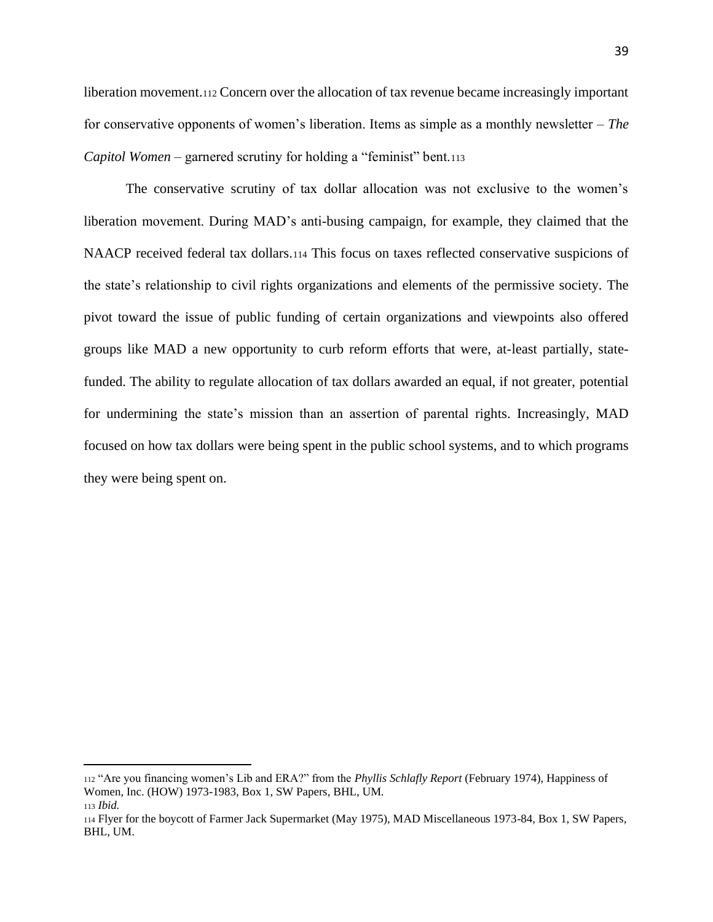liberation movement.<sup>112</sup> Concern over the allocation of tax revenue became increasingly important for conservative opponents of women's liberation. Items as simple as a monthly newsletter – *The Capitol Women* – garnered scrutiny for holding a "feminist" bent.113

The conservative scrutiny of tax dollar allocation was not exclusive to the women's liberation movement. During MAD's anti-busing campaign, for example, they claimed that the NAACP received federal tax dollars.<sup>114</sup> This focus on taxes reflected conservative suspicions of the state's relationship to civil rights organizations and elements of the permissive society. The pivot toward the issue of public funding of certain organizations and viewpoints also offered groups like MAD a new opportunity to curb reform efforts that were, at-least partially, statefunded. The ability to regulate allocation of tax dollars awarded an equal, if not greater, potential for undermining the state's mission than an assertion of parental rights. Increasingly, MAD focused on how tax dollars were being spent in the public school systems, and to which programs they were being spent on.

<sup>112</sup> "Are you financing women's Lib and ERA?" from the *Phyllis Schlafly Report* (February 1974), Happiness of Women, Inc. (HOW) 1973-1983, Box 1, SW Papers, BHL, UM. <sup>113</sup> *Ibid.* 

<sup>114</sup> Flyer for the boycott of Farmer Jack Supermarket (May 1975), MAD Miscellaneous 1973-84, Box 1, SW Papers, BHL, UM.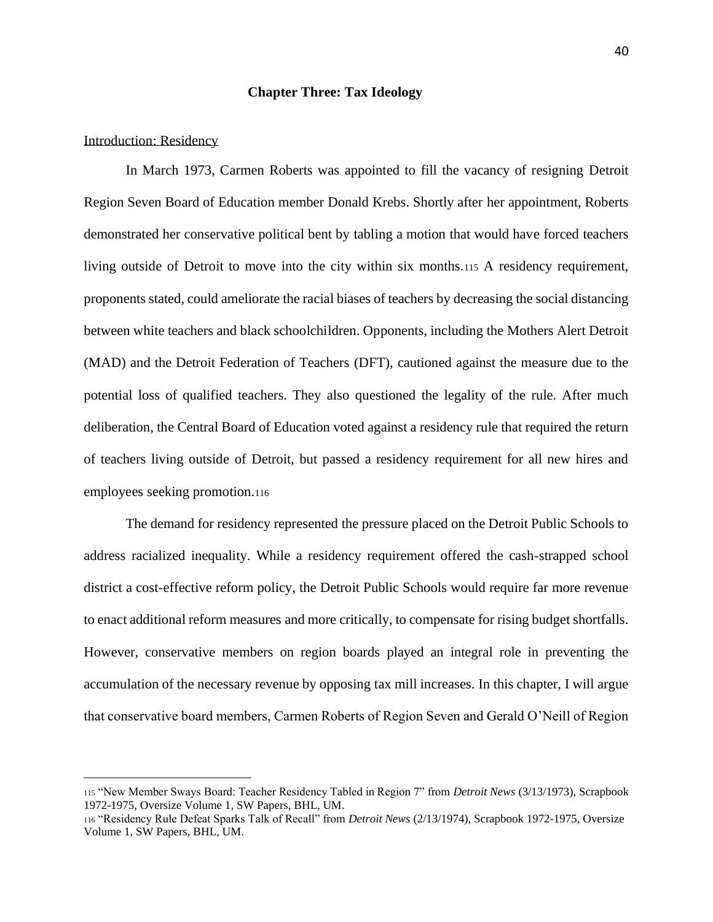# **Chapter Three: Tax Ideology**

## Introduction: Residency

In March 1973, Carmen Roberts was appointed to fill the vacancy of resigning Detroit Region Seven Board of Education member Donald Krebs. Shortly after her appointment, Roberts demonstrated her conservative political bent by tabling a motion that would have forced teachers living outside of Detroit to move into the city within six months.<sup>115</sup> A residency requirement, proponents stated, could ameliorate the racial biases of teachers by decreasing the social distancing between white teachers and black schoolchildren. Opponents, including the Mothers Alert Detroit (MAD) and the Detroit Federation of Teachers (DFT), cautioned against the measure due to the potential loss of qualified teachers. They also questioned the legality of the rule. After much deliberation, the Central Board of Education voted against a residency rule that required the return of teachers living outside of Detroit, but passed a residency requirement for all new hires and employees seeking promotion.<sup>116</sup>

The demand for residency represented the pressure placed on the Detroit Public Schools to address racialized inequality. While a residency requirement offered the cash-strapped school district a cost-effective reform policy, the Detroit Public Schools would require far more revenue to enact additional reform measures and more critically, to compensate for rising budget shortfalls. However, conservative members on region boards played an integral role in preventing the accumulation of the necessary revenue by opposing tax mill increases. In this chapter, I will argue that conservative board members, Carmen Roberts of Region Seven and Gerald O'Neill of Region

<sup>115</sup> "New Member Sways Board: Teacher Residency Tabled in Region 7" from *Detroit News* (3/13/1973), Scrapbook 1972-1975, Oversize Volume 1, SW Papers, BHL, UM.

<sup>116</sup> "Residency Rule Defeat Sparks Talk of Recall" from *Detroit News* (2/13/1974), Scrapbook 1972-1975, Oversize Volume 1, SW Papers, BHL, UM.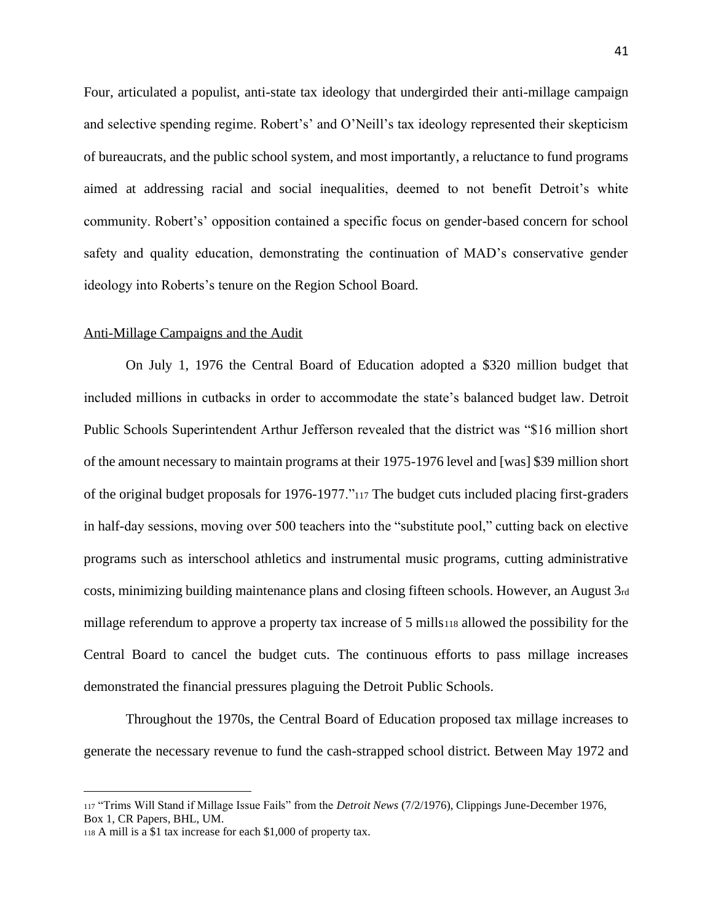Four, articulated a populist, anti-state tax ideology that undergirded their anti-millage campaign and selective spending regime. Robert's' and O'Neill's tax ideology represented their skepticism of bureaucrats, and the public school system, and most importantly, a reluctance to fund programs aimed at addressing racial and social inequalities, deemed to not benefit Detroit's white community. Robert's' opposition contained a specific focus on gender-based concern for school safety and quality education, demonstrating the continuation of MAD's conservative gender ideology into Roberts's tenure on the Region School Board.

#### Anti-Millage Campaigns and the Audit

On July 1, 1976 the Central Board of Education adopted a \$320 million budget that included millions in cutbacks in order to accommodate the state's balanced budget law. Detroit Public Schools Superintendent Arthur Jefferson revealed that the district was "\$16 million short of the amount necessary to maintain programs at their 1975-1976 level and [was] \$39 million short of the original budget proposals for 1976-1977."<sup>117</sup> The budget cuts included placing first-graders in half-day sessions, moving over 500 teachers into the "substitute pool," cutting back on elective programs such as interschool athletics and instrumental music programs, cutting administrative costs, minimizing building maintenance plans and closing fifteen schools. However, an August 3rd millage referendum to approve a property tax increase of 5 mills<sup>118</sup> allowed the possibility for the Central Board to cancel the budget cuts. The continuous efforts to pass millage increases demonstrated the financial pressures plaguing the Detroit Public Schools.

Throughout the 1970s, the Central Board of Education proposed tax millage increases to generate the necessary revenue to fund the cash-strapped school district. Between May 1972 and

<sup>117</sup> "Trims Will Stand if Millage Issue Fails" from the *Detroit News* (7/2/1976), Clippings June-December 1976, Box 1, CR Papers, BHL, UM.

<sup>118</sup> A mill is a \$1 tax increase for each \$1,000 of property tax.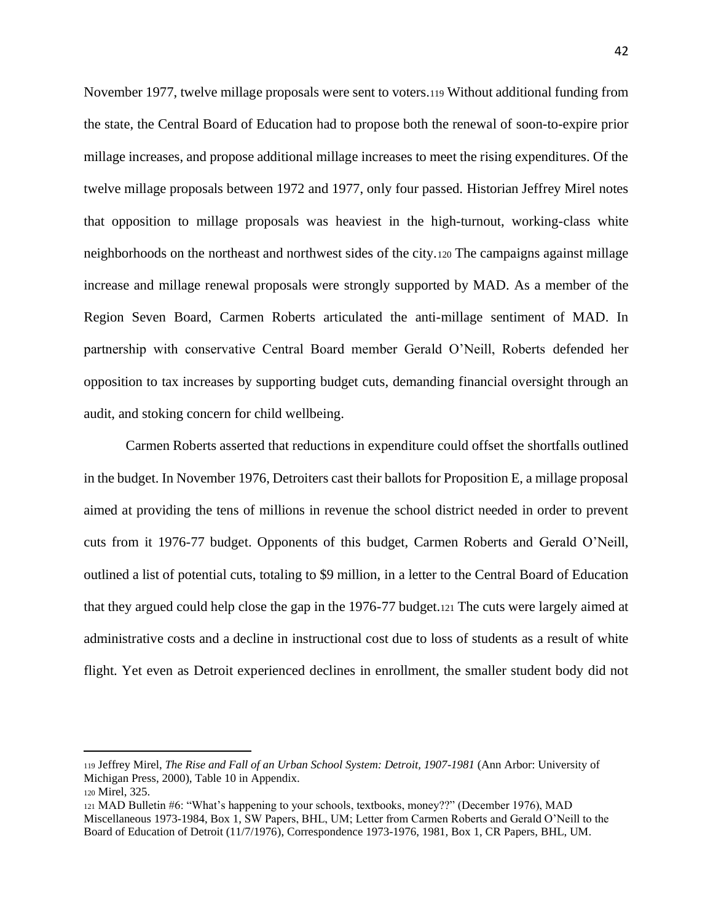November 1977, twelve millage proposals were sent to voters.<sup>119</sup> Without additional funding from the state, the Central Board of Education had to propose both the renewal of soon-to-expire prior millage increases, and propose additional millage increases to meet the rising expenditures. Of the twelve millage proposals between 1972 and 1977, only four passed. Historian Jeffrey Mirel notes that opposition to millage proposals was heaviest in the high-turnout, working-class white neighborhoods on the northeast and northwest sides of the city.<sup>120</sup> The campaigns against millage increase and millage renewal proposals were strongly supported by MAD. As a member of the Region Seven Board, Carmen Roberts articulated the anti-millage sentiment of MAD. In partnership with conservative Central Board member Gerald O'Neill, Roberts defended her opposition to tax increases by supporting budget cuts, demanding financial oversight through an audit, and stoking concern for child wellbeing.

Carmen Roberts asserted that reductions in expenditure could offset the shortfalls outlined in the budget. In November 1976, Detroiters cast their ballots for Proposition E, a millage proposal aimed at providing the tens of millions in revenue the school district needed in order to prevent cuts from it 1976-77 budget. Opponents of this budget, Carmen Roberts and Gerald O'Neill, outlined a list of potential cuts, totaling to \$9 million, in a letter to the Central Board of Education that they argued could help close the gap in the 1976-77 budget.<sup>121</sup> The cuts were largely aimed at administrative costs and a decline in instructional cost due to loss of students as a result of white flight. Yet even as Detroit experienced declines in enrollment, the smaller student body did not

<sup>119</sup> Jeffrey Mirel, *The Rise and Fall of an Urban School System: Detroit, 1907-1981* (Ann Arbor: University of Michigan Press, 2000), Table 10 in Appendix.

<sup>120</sup> Mirel, 325.

<sup>121</sup> MAD Bulletin #6: "What's happening to your schools, textbooks, money??" (December 1976), MAD Miscellaneous 1973-1984, Box 1, SW Papers, BHL, UM; Letter from Carmen Roberts and Gerald O'Neill to the Board of Education of Detroit (11/7/1976), Correspondence 1973-1976, 1981, Box 1, CR Papers, BHL, UM.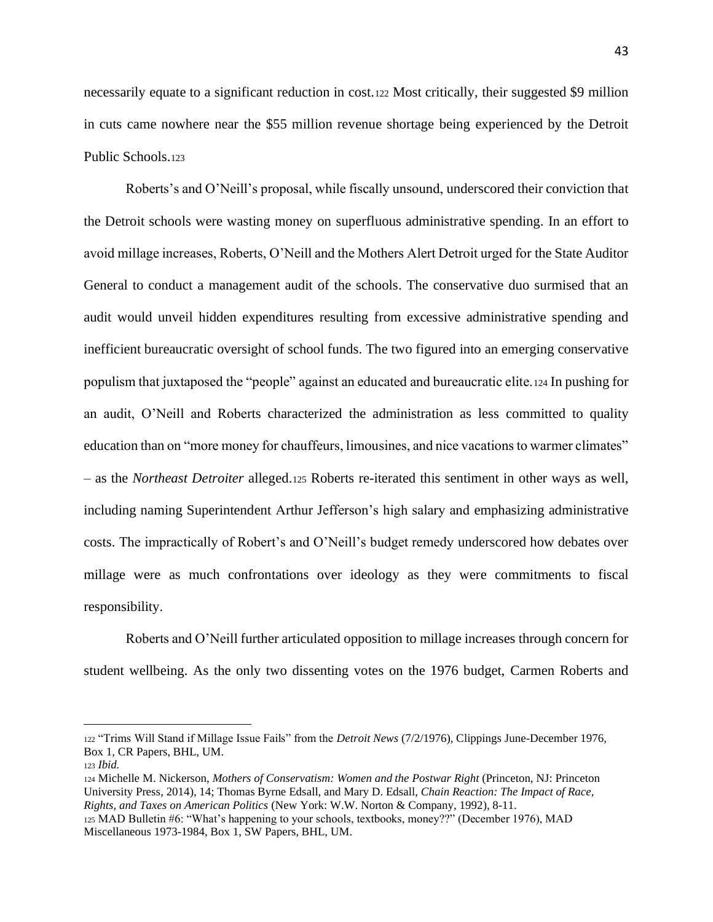necessarily equate to a significant reduction in cost.<sup>122</sup> Most critically, their suggested \$9 million in cuts came nowhere near the \$55 million revenue shortage being experienced by the Detroit Public Schools.<sup>123</sup>

Roberts's and O'Neill's proposal, while fiscally unsound, underscored their conviction that the Detroit schools were wasting money on superfluous administrative spending. In an effort to avoid millage increases, Roberts, O'Neill and the Mothers Alert Detroit urged for the State Auditor General to conduct a management audit of the schools. The conservative duo surmised that an audit would unveil hidden expenditures resulting from excessive administrative spending and inefficient bureaucratic oversight of school funds. The two figured into an emerging conservative populism that juxtaposed the "people" against an educated and bureaucratic elite.<sup>124</sup> In pushing for an audit, O'Neill and Roberts characterized the administration as less committed to quality education than on "more money for chauffeurs, limousines, and nice vacations to warmer climates" – as the *Northeast Detroiter* alleged.<sup>125</sup> Roberts re-iterated this sentiment in other ways as well, including naming Superintendent Arthur Jefferson's high salary and emphasizing administrative costs. The impractically of Robert's and O'Neill's budget remedy underscored how debates over millage were as much confrontations over ideology as they were commitments to fiscal responsibility.

Roberts and O'Neill further articulated opposition to millage increases through concern for student wellbeing. As the only two dissenting votes on the 1976 budget, Carmen Roberts and

<sup>122</sup> "Trims Will Stand if Millage Issue Fails" from the *Detroit News* (7/2/1976), Clippings June-December 1976, Box 1, CR Papers, BHL, UM.

<sup>123</sup> *Ibid.*

<sup>124</sup> Michelle M. Nickerson, *Mothers of Conservatism: Women and the Postwar Right* (Princeton, NJ: Princeton University Press, 2014), 14; Thomas Byrne Edsall, and Mary D. Edsall, *Chain Reaction: The Impact of Race, Rights, and Taxes on American Politics* (New York: W.W. Norton & Company, 1992), 8-11.

<sup>125</sup> MAD Bulletin #6: "What's happening to your schools, textbooks, money??" (December 1976), MAD Miscellaneous 1973-1984, Box 1, SW Papers, BHL, UM.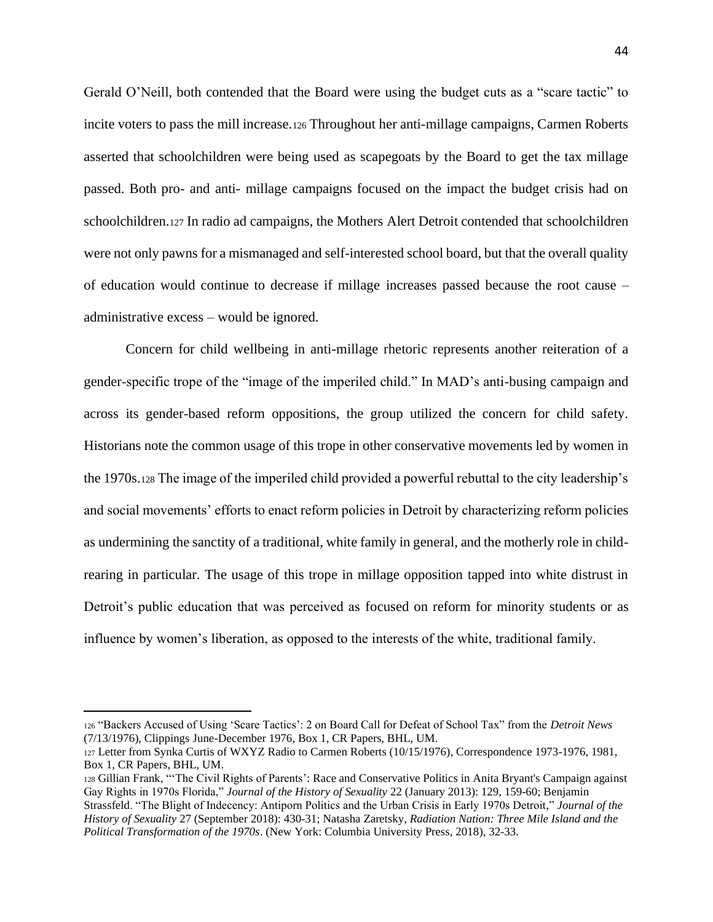Gerald O'Neill, both contended that the Board were using the budget cuts as a "scare tactic" to incite voters to pass the mill increase.<sup>126</sup> Throughout her anti-millage campaigns, Carmen Roberts asserted that schoolchildren were being used as scapegoats by the Board to get the tax millage passed. Both pro- and anti- millage campaigns focused on the impact the budget crisis had on schoolchildren.<sup>127</sup> In radio ad campaigns, the Mothers Alert Detroit contended that schoolchildren were not only pawns for a mismanaged and self-interested school board, but that the overall quality of education would continue to decrease if millage increases passed because the root cause – administrative excess – would be ignored.

Concern for child wellbeing in anti-millage rhetoric represents another reiteration of a gender-specific trope of the "image of the imperiled child." In MAD's anti-busing campaign and across its gender-based reform oppositions, the group utilized the concern for child safety. Historians note the common usage of this trope in other conservative movements led by women in the 1970s.<sup>128</sup> The image of the imperiled child provided a powerful rebuttal to the city leadership's and social movements' efforts to enact reform policies in Detroit by characterizing reform policies as undermining the sanctity of a traditional, white family in general, and the motherly role in childrearing in particular. The usage of this trope in millage opposition tapped into white distrust in Detroit's public education that was perceived as focused on reform for minority students or as influence by women's liberation, as opposed to the interests of the white, traditional family.

<sup>126</sup> "Backers Accused of Using 'Scare Tactics': 2 on Board Call for Defeat of School Tax" from the *Detroit News*  (7/13/1976), Clippings June-December 1976, Box 1, CR Papers, BHL, UM.

<sup>127</sup> Letter from Synka Curtis of WXYZ Radio to Carmen Roberts (10/15/1976), Correspondence 1973-1976, 1981, Box 1, CR Papers, BHL, UM.

<sup>128</sup> Gillian Frank, "'The Civil Rights of Parents': Race and Conservative Politics in Anita Bryant's Campaign against Gay Rights in 1970s Florida," *Journal of the History of Sexuality* 22 (January 2013): 129, 159-60; Benjamin Strassfeld. "The Blight of Indecency: Antiporn Politics and the Urban Crisis in Early 1970s Detroit," *Journal of the History of Sexuality* 27 (September 2018): 430-31; Natasha Zaretsky, *Radiation Nation: Three Mile Island and the Political Transformation of the 1970s*. (New York: Columbia University Press, 2018), 32-33.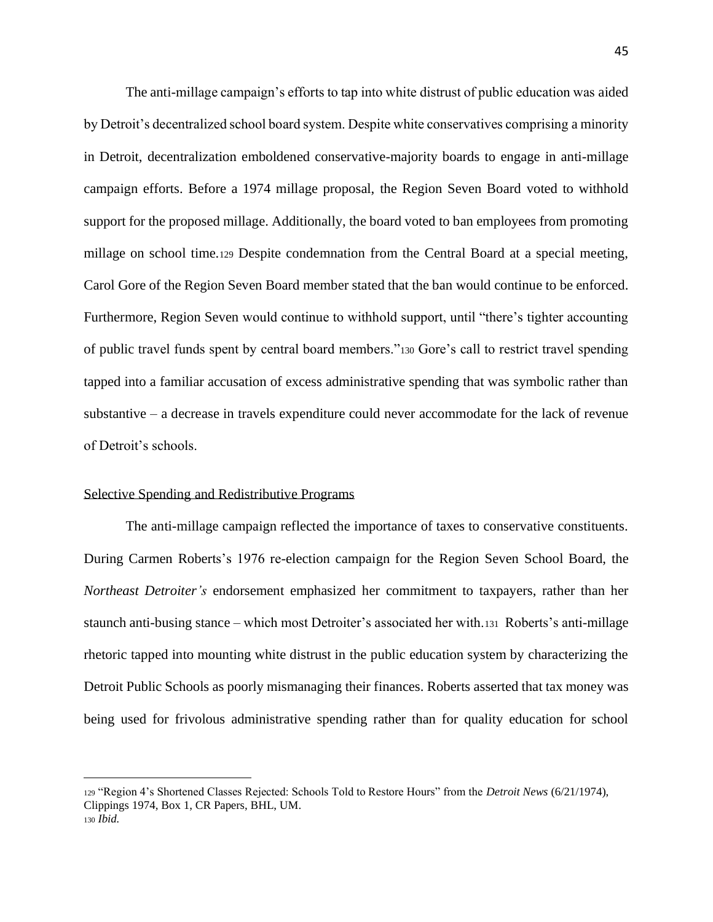The anti-millage campaign's efforts to tap into white distrust of public education was aided by Detroit's decentralized school board system. Despite white conservatives comprising a minority in Detroit, decentralization emboldened conservative-majority boards to engage in anti-millage campaign efforts. Before a 1974 millage proposal, the Region Seven Board voted to withhold support for the proposed millage. Additionally, the board voted to ban employees from promoting millage on school time.<sup>129</sup> Despite condemnation from the Central Board at a special meeting, Carol Gore of the Region Seven Board member stated that the ban would continue to be enforced. Furthermore, Region Seven would continue to withhold support, until "there's tighter accounting of public travel funds spent by central board members."<sup>130</sup> Gore's call to restrict travel spending tapped into a familiar accusation of excess administrative spending that was symbolic rather than substantive – a decrease in travels expenditure could never accommodate for the lack of revenue of Detroit's schools.

## Selective Spending and Redistributive Programs

The anti-millage campaign reflected the importance of taxes to conservative constituents. During Carmen Roberts's 1976 re-election campaign for the Region Seven School Board, the *Northeast Detroiter's* endorsement emphasized her commitment to taxpayers, rather than her staunch anti-busing stance – which most Detroiter's associated her with.131 Roberts's anti-millage rhetoric tapped into mounting white distrust in the public education system by characterizing the Detroit Public Schools as poorly mismanaging their finances. Roberts asserted that tax money was being used for frivolous administrative spending rather than for quality education for school

<sup>129</sup> "Region 4's Shortened Classes Rejected: Schools Told to Restore Hours" from the *Detroit News* (6/21/1974), Clippings 1974, Box 1, CR Papers, BHL, UM. <sup>130</sup> *Ibid.*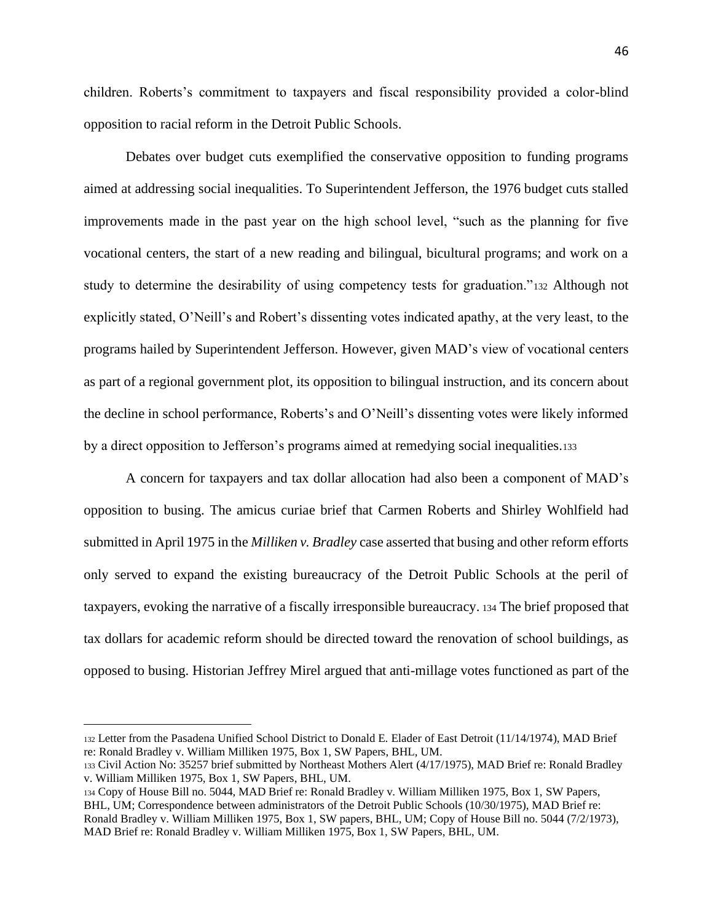children. Roberts's commitment to taxpayers and fiscal responsibility provided a color-blind opposition to racial reform in the Detroit Public Schools.

Debates over budget cuts exemplified the conservative opposition to funding programs aimed at addressing social inequalities. To Superintendent Jefferson, the 1976 budget cuts stalled improvements made in the past year on the high school level, "such as the planning for five vocational centers, the start of a new reading and bilingual, bicultural programs; and work on a study to determine the desirability of using competency tests for graduation."<sup>132</sup> Although not explicitly stated, O'Neill's and Robert's dissenting votes indicated apathy, at the very least, to the programs hailed by Superintendent Jefferson. However, given MAD's view of vocational centers as part of a regional government plot, its opposition to bilingual instruction, and its concern about the decline in school performance, Roberts's and O'Neill's dissenting votes were likely informed by a direct opposition to Jefferson's programs aimed at remedying social inequalities.<sup>133</sup>

A concern for taxpayers and tax dollar allocation had also been a component of MAD's opposition to busing. The amicus curiae brief that Carmen Roberts and Shirley Wohlfield had submitted in April 1975 in the *Milliken v. Bradley* case asserted that busing and other reform efforts only served to expand the existing bureaucracy of the Detroit Public Schools at the peril of taxpayers, evoking the narrative of a fiscally irresponsible bureaucracy. <sup>134</sup> The brief proposed that tax dollars for academic reform should be directed toward the renovation of school buildings, as opposed to busing. Historian Jeffrey Mirel argued that anti-millage votes functioned as part of the

<sup>132</sup> Letter from the Pasadena Unified School District to Donald E. Elader of East Detroit (11/14/1974), MAD Brief re: Ronald Bradley v. William Milliken 1975, Box 1, SW Papers, BHL, UM.

<sup>133</sup> Civil Action No: 35257 brief submitted by Northeast Mothers Alert (4/17/1975), MAD Brief re: Ronald Bradley v. William Milliken 1975, Box 1, SW Papers, BHL, UM.

<sup>134</sup> Copy of House Bill no. 5044, MAD Brief re: Ronald Bradley v. William Milliken 1975, Box 1, SW Papers, BHL, UM; Correspondence between administrators of the Detroit Public Schools (10/30/1975), MAD Brief re: Ronald Bradley v. William Milliken 1975, Box 1, SW papers, BHL, UM; Copy of House Bill no. 5044 (7/2/1973), MAD Brief re: Ronald Bradley v. William Milliken 1975, Box 1, SW Papers, BHL, UM.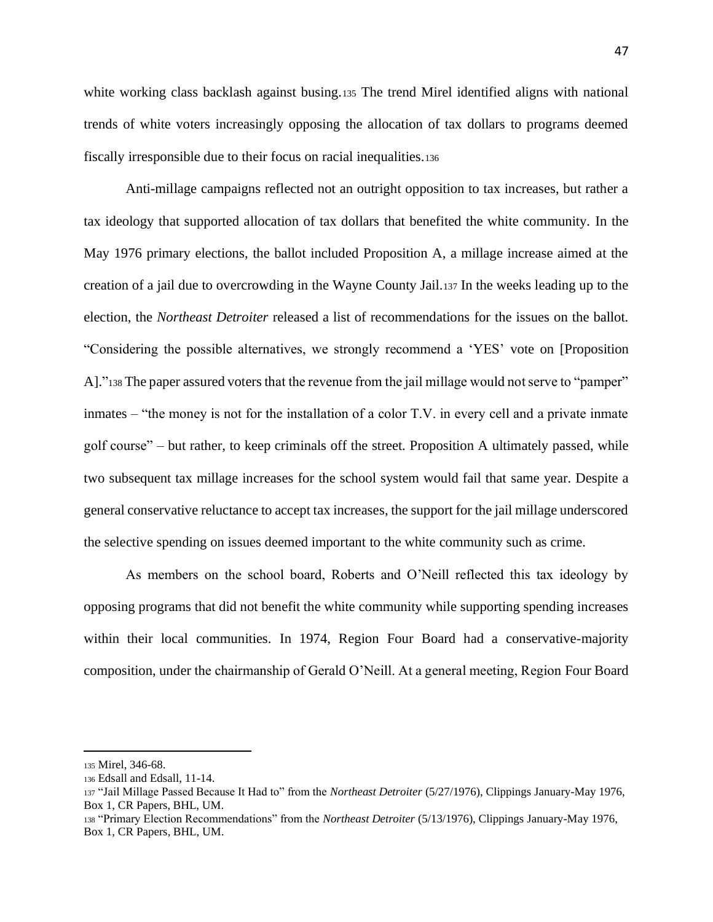white working class backlash against busing.135 The trend Mirel identified aligns with national trends of white voters increasingly opposing the allocation of tax dollars to programs deemed fiscally irresponsible due to their focus on racial inequalities.<sup>136</sup>

Anti-millage campaigns reflected not an outright opposition to tax increases, but rather a tax ideology that supported allocation of tax dollars that benefited the white community. In the May 1976 primary elections, the ballot included Proposition A, a millage increase aimed at the creation of a jail due to overcrowding in the Wayne County Jail.<sup>137</sup> In the weeks leading up to the election, the *Northeast Detroiter* released a list of recommendations for the issues on the ballot. "Considering the possible alternatives, we strongly recommend a 'YES' vote on [Proposition A]."<sup>138</sup> The paper assured voters that the revenue from the jail millage would not serve to "pamper" inmates – "the money is not for the installation of a color T.V. in every cell and a private inmate golf course" – but rather, to keep criminals off the street. Proposition A ultimately passed, while two subsequent tax millage increases for the school system would fail that same year. Despite a general conservative reluctance to accept tax increases, the support for the jail millage underscored the selective spending on issues deemed important to the white community such as crime.

As members on the school board, Roberts and O'Neill reflected this tax ideology by opposing programs that did not benefit the white community while supporting spending increases within their local communities. In 1974, Region Four Board had a conservative-majority composition, under the chairmanship of Gerald O'Neill. At a general meeting, Region Four Board

<sup>135</sup> Mirel, 346-68.

<sup>136</sup> Edsall and Edsall, 11-14.

<sup>137</sup> "Jail Millage Passed Because It Had to" from the *Northeast Detroiter* (5/27/1976), Clippings January-May 1976, Box 1, CR Papers, BHL, UM.

<sup>138</sup> "Primary Election Recommendations" from the *Northeast Detroiter* (5/13/1976), Clippings January-May 1976, Box 1, CR Papers, BHL, UM.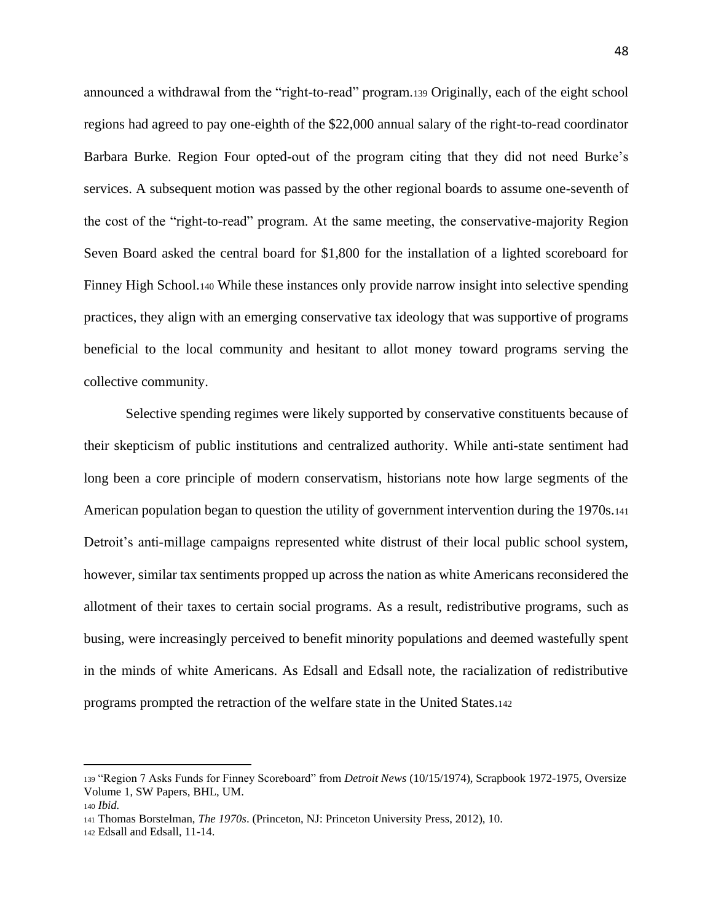announced a withdrawal from the "right-to-read" program.<sup>139</sup> Originally, each of the eight school regions had agreed to pay one-eighth of the \$22,000 annual salary of the right-to-read coordinator Barbara Burke. Region Four opted-out of the program citing that they did not need Burke's services. A subsequent motion was passed by the other regional boards to assume one-seventh of the cost of the "right-to-read" program. At the same meeting, the conservative-majority Region Seven Board asked the central board for \$1,800 for the installation of a lighted scoreboard for Finney High School.<sup>140</sup> While these instances only provide narrow insight into selective spending practices, they align with an emerging conservative tax ideology that was supportive of programs beneficial to the local community and hesitant to allot money toward programs serving the collective community.

Selective spending regimes were likely supported by conservative constituents because of their skepticism of public institutions and centralized authority. While anti-state sentiment had long been a core principle of modern conservatism, historians note how large segments of the American population began to question the utility of government intervention during the 1970s.<sup>141</sup> Detroit's anti-millage campaigns represented white distrust of their local public school system, however, similar tax sentiments propped up across the nation as white Americans reconsidered the allotment of their taxes to certain social programs. As a result, redistributive programs, such as busing, were increasingly perceived to benefit minority populations and deemed wastefully spent in the minds of white Americans. As Edsall and Edsall note, the racialization of redistributive programs prompted the retraction of the welfare state in the United States.<sup>142</sup>

<sup>139</sup> "Region 7 Asks Funds for Finney Scoreboard" from *Detroit News* (10/15/1974), Scrapbook 1972-1975, Oversize Volume 1, SW Papers, BHL, UM.

<sup>140</sup> *Ibid.*

<sup>141</sup> Thomas Borstelman, *The 1970s*. (Princeton, NJ: Princeton University Press, 2012), 10.

<sup>142</sup> Edsall and Edsall, 11-14.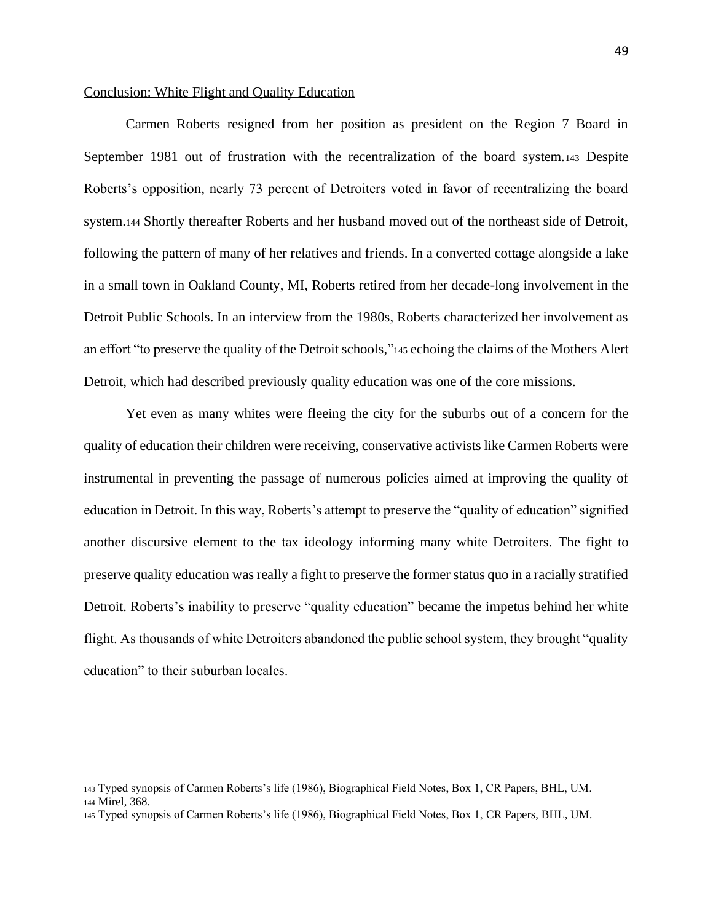## Conclusion: White Flight and Quality Education

Carmen Roberts resigned from her position as president on the Region 7 Board in September 1981 out of frustration with the recentralization of the board system.<sup>143</sup> Despite Roberts's opposition, nearly 73 percent of Detroiters voted in favor of recentralizing the board system.<sup>144</sup> Shortly thereafter Roberts and her husband moved out of the northeast side of Detroit, following the pattern of many of her relatives and friends. In a converted cottage alongside a lake in a small town in Oakland County, MI, Roberts retired from her decade-long involvement in the Detroit Public Schools. In an interview from the 1980s, Roberts characterized her involvement as an effort "to preserve the quality of the Detroit schools,"<sup>145</sup> echoing the claims of the Mothers Alert Detroit, which had described previously quality education was one of the core missions.

Yet even as many whites were fleeing the city for the suburbs out of a concern for the quality of education their children were receiving, conservative activists like Carmen Roberts were instrumental in preventing the passage of numerous policies aimed at improving the quality of education in Detroit. In this way, Roberts's attempt to preserve the "quality of education" signified another discursive element to the tax ideology informing many white Detroiters. The fight to preserve quality education was really a fight to preserve the former status quo in a racially stratified Detroit. Roberts's inability to preserve "quality education" became the impetus behind her white flight. As thousands of white Detroiters abandoned the public school system, they brought "quality education" to their suburban locales.

<sup>143</sup> Typed synopsis of Carmen Roberts's life (1986), Biographical Field Notes, Box 1, CR Papers, BHL, UM.

<sup>144</sup> Mirel, 368.

<sup>145</sup> Typed synopsis of Carmen Roberts's life (1986), Biographical Field Notes, Box 1, CR Papers, BHL, UM.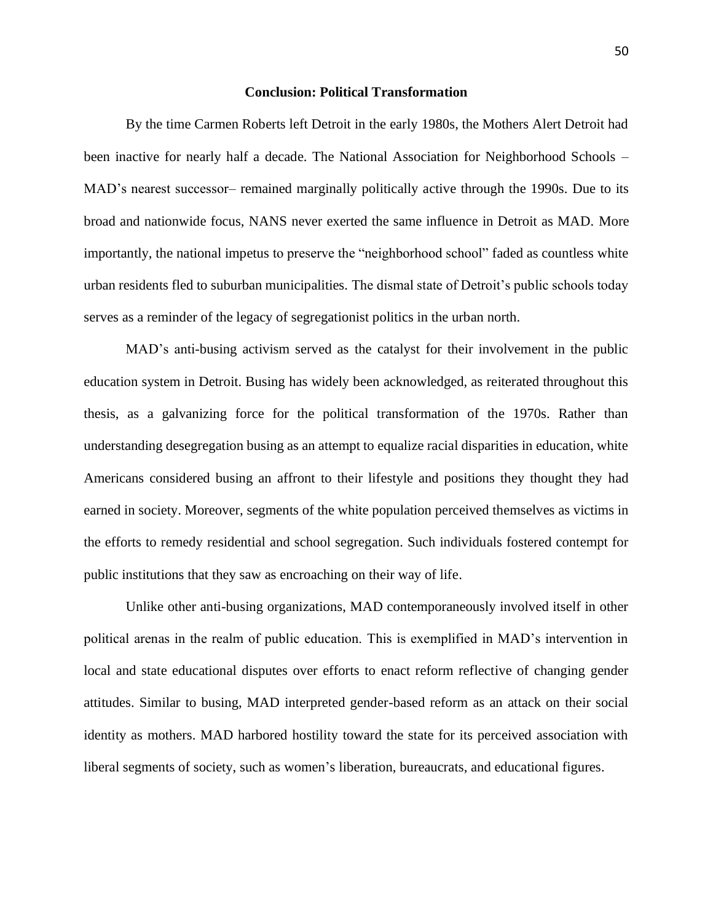#### **Conclusion: Political Transformation**

By the time Carmen Roberts left Detroit in the early 1980s, the Mothers Alert Detroit had been inactive for nearly half a decade. The National Association for Neighborhood Schools – MAD's nearest successor– remained marginally politically active through the 1990s. Due to its broad and nationwide focus, NANS never exerted the same influence in Detroit as MAD. More importantly, the national impetus to preserve the "neighborhood school" faded as countless white urban residents fled to suburban municipalities. The dismal state of Detroit's public schools today serves as a reminder of the legacy of segregationist politics in the urban north.

MAD's anti-busing activism served as the catalyst for their involvement in the public education system in Detroit. Busing has widely been acknowledged, as reiterated throughout this thesis, as a galvanizing force for the political transformation of the 1970s. Rather than understanding desegregation busing as an attempt to equalize racial disparities in education, white Americans considered busing an affront to their lifestyle and positions they thought they had earned in society. Moreover, segments of the white population perceived themselves as victims in the efforts to remedy residential and school segregation. Such individuals fostered contempt for public institutions that they saw as encroaching on their way of life.

Unlike other anti-busing organizations, MAD contemporaneously involved itself in other political arenas in the realm of public education. This is exemplified in MAD's intervention in local and state educational disputes over efforts to enact reform reflective of changing gender attitudes. Similar to busing, MAD interpreted gender-based reform as an attack on their social identity as mothers. MAD harbored hostility toward the state for its perceived association with liberal segments of society, such as women's liberation, bureaucrats, and educational figures.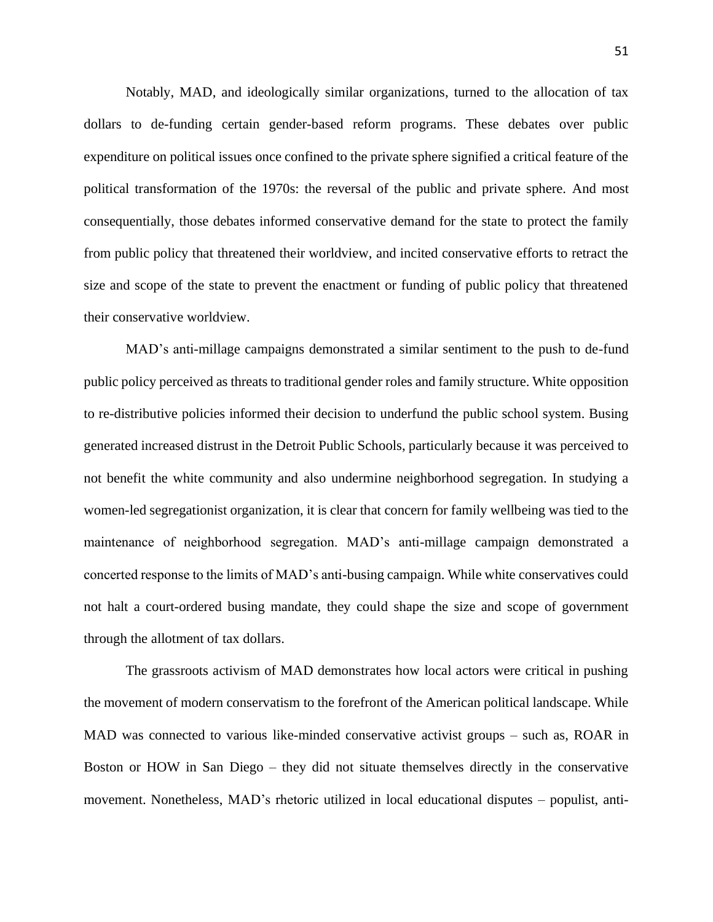Notably, MAD, and ideologically similar organizations, turned to the allocation of tax dollars to de-funding certain gender-based reform programs. These debates over public expenditure on political issues once confined to the private sphere signified a critical feature of the political transformation of the 1970s: the reversal of the public and private sphere. And most consequentially, those debates informed conservative demand for the state to protect the family from public policy that threatened their worldview, and incited conservative efforts to retract the size and scope of the state to prevent the enactment or funding of public policy that threatened their conservative worldview.

MAD's anti-millage campaigns demonstrated a similar sentiment to the push to de-fund public policy perceived as threats to traditional gender roles and family structure. White opposition to re-distributive policies informed their decision to underfund the public school system. Busing generated increased distrust in the Detroit Public Schools, particularly because it was perceived to not benefit the white community and also undermine neighborhood segregation. In studying a women-led segregationist organization, it is clear that concern for family wellbeing was tied to the maintenance of neighborhood segregation. MAD's anti-millage campaign demonstrated a concerted response to the limits of MAD's anti-busing campaign. While white conservatives could not halt a court-ordered busing mandate, they could shape the size and scope of government through the allotment of tax dollars.

The grassroots activism of MAD demonstrates how local actors were critical in pushing the movement of modern conservatism to the forefront of the American political landscape. While MAD was connected to various like-minded conservative activist groups – such as, ROAR in Boston or HOW in San Diego – they did not situate themselves directly in the conservative movement. Nonetheless, MAD's rhetoric utilized in local educational disputes – populist, anti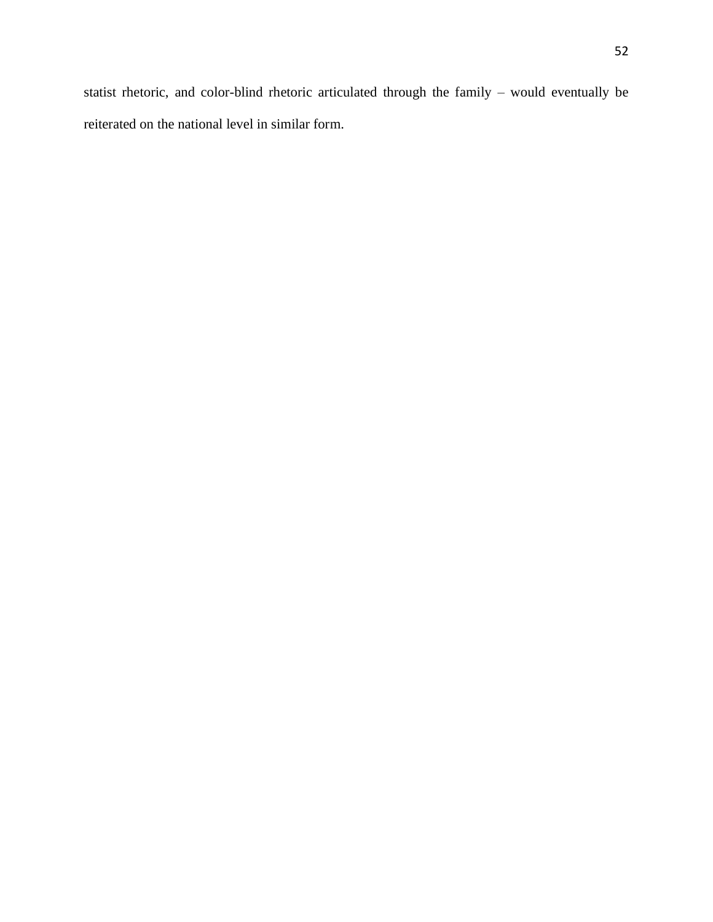statist rhetoric, and color-blind rhetoric articulated through the family – would eventually be reiterated on the national level in similar form.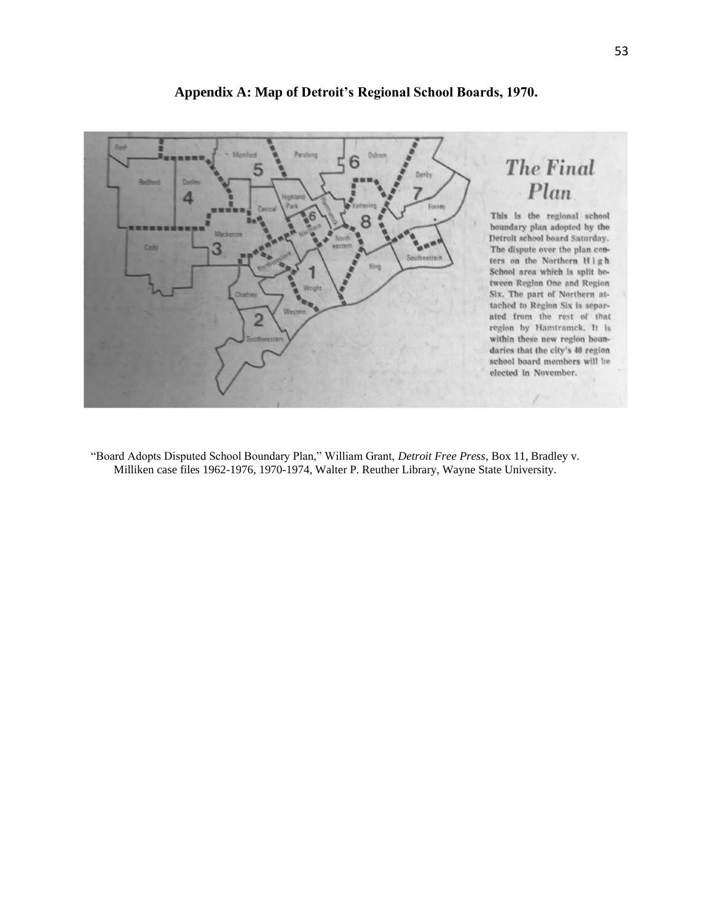

The Final Plan

This is the regional school boundary plan adopted by the Detroit school board Saturday. The dispute over the plan centers on the Northern High School area which is split between Region One and Region Six. The part of Northern attached to Region Six is separated from the rest of that region by Hamtramck. It is within these new region boundaries that the city's 40 region school board members will be elected in November.

"Board Adopts Disputed School Boundary Plan," William Grant, *Detroit Free Press*, Box 11, Bradley v. Milliken case files 1962-1976, 1970-1974, Walter P. Reuther Library, Wayne State University.

**Appendix A: Map of Detroit's Regional School Boards, 1970.**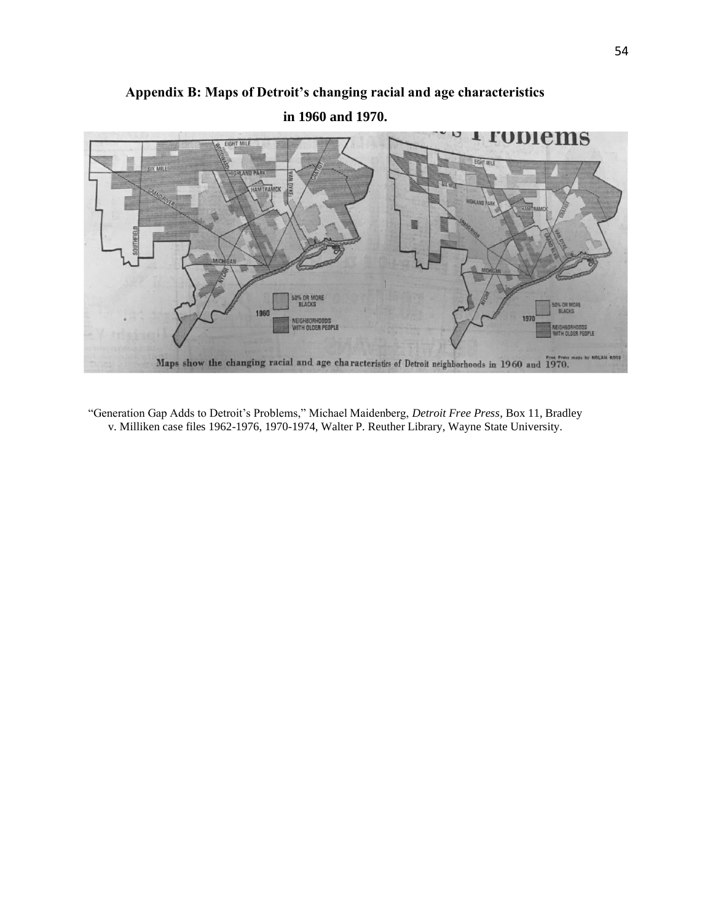

**Appendix B: Maps of Detroit's changing racial and age characteristics** 

"Generation Gap Adds to Detroit's Problems," Michael Maidenberg, *Detroit Free Press*, Box 11, Bradley v. Milliken case files 1962-1976, 1970-1974, Walter P. Reuther Library, Wayne State University.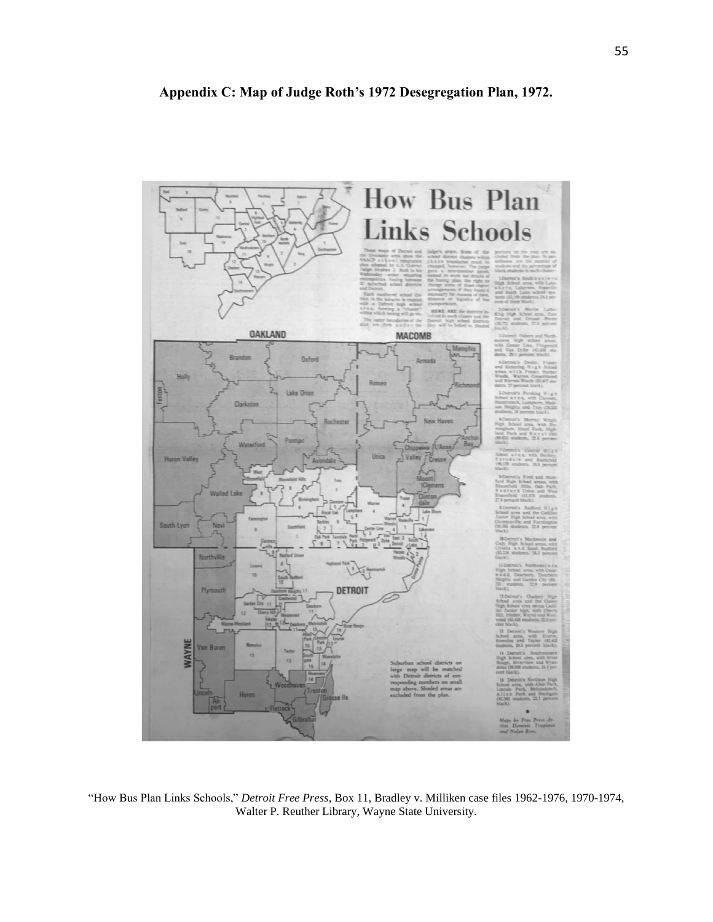

**Appendix C: Map of Judge Roth's 1972 Desegregation Plan, 1972.**

"How Bus Plan Links Schools," *Detroit Free Press*, Box 11, Bradley v. Milliken case files 1962-1976, 1970-1974, Walter P. Reuther Library, Wayne State University.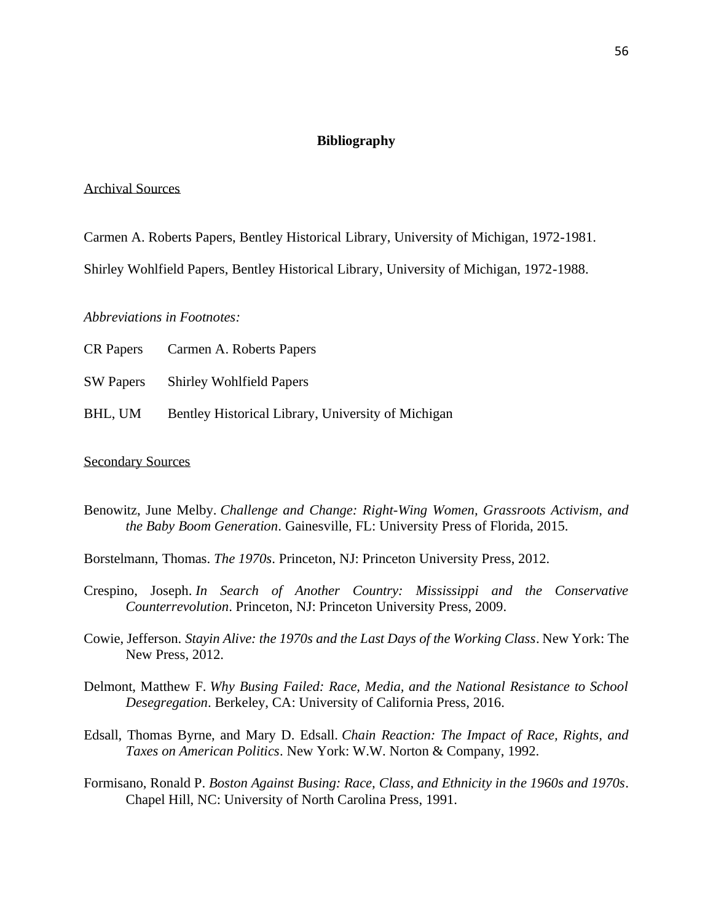# **Bibliography**

# Archival Sources

Carmen A. Roberts Papers, Bentley Historical Library, University of Michigan, 1972-1981.

Shirley Wohlfield Papers, Bentley Historical Library, University of Michigan, 1972-1988.

#### *Abbreviations in Footnotes:*

- CR Papers Carmen A. Roberts Papers
- SW Papers Shirley Wohlfield Papers
- BHL, UM Bentley Historical Library, University of Michigan

#### Secondary Sources

- Benowitz, June Melby. *Challenge and Change: Right-Wing Women, Grassroots Activism, and the Baby Boom Generation*. Gainesville, FL: University Press of Florida, 2015.
- Borstelmann, Thomas. *The 1970s*. Princeton, NJ: Princeton University Press, 2012.
- Crespino, Joseph. *In Search of Another Country: Mississippi and the Conservative Counterrevolution*. Princeton, NJ: Princeton University Press, 2009.
- Cowie, Jefferson. *Stayin Alive: the 1970s and the Last Days of the Working Class*. New York: The New Press, 2012.
- Delmont, Matthew F. *Why Busing Failed: Race, Media, and the National Resistance to School Desegregation*. Berkeley, CA: University of California Press, 2016.
- Edsall, Thomas Byrne, and Mary D. Edsall. *Chain Reaction: The Impact of Race, Rights, and Taxes on American Politics*. New York: W.W. Norton & Company, 1992.
- Formisano, Ronald P. *Boston Against Busing: Race, Class, and Ethnicity in the 1960s and 1970s*. Chapel Hill, NC: University of North Carolina Press, 1991.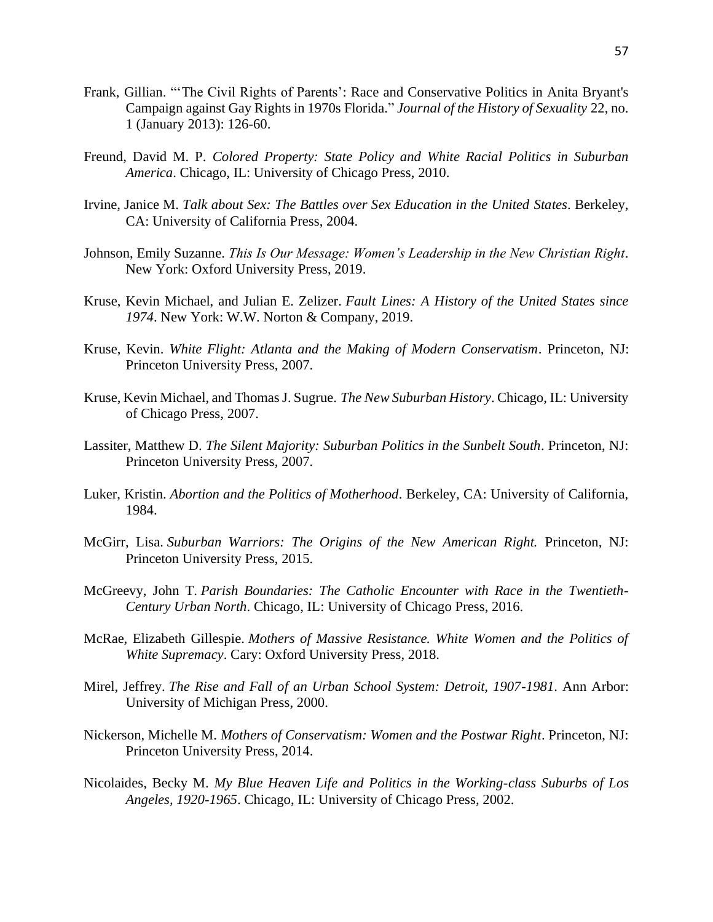- Frank, Gillian. "'The Civil Rights of Parents': Race and Conservative Politics in Anita Bryant's Campaign against Gay Rights in 1970s Florida." *Journal of the History of Sexuality* 22, no. 1 (January 2013): 126-60.
- Freund, David M. P. *Colored Property: State Policy and White Racial Politics in Suburban America*. Chicago, IL: University of Chicago Press, 2010.
- Irvine, Janice M. *Talk about Sex: The Battles over Sex Education in the United States*. Berkeley, CA: University of California Press, 2004.
- Johnson, Emily Suzanne. *This Is Our Message: Women's Leadership in the New Christian Right*. New York: Oxford University Press, 2019.
- Kruse, Kevin Michael, and Julian E. Zelizer. *Fault Lines: A History of the United States since 1974*. New York: W.W. Norton & Company, 2019.
- Kruse, Kevin. *White Flight: Atlanta and the Making of Modern Conservatism*. Princeton, NJ: Princeton University Press, 2007.
- Kruse, Kevin Michael, and Thomas J. Sugrue. *The New Suburban History*. Chicago, IL: University of Chicago Press, 2007.
- Lassiter, Matthew D. *The Silent Majority: Suburban Politics in the Sunbelt South*. Princeton, NJ: Princeton University Press, 2007.
- Luker, Kristin. *Abortion and the Politics of Motherhood*. Berkeley, CA: University of California, 1984.
- McGirr, Lisa. *Suburban Warriors: The Origins of the New American Right.* Princeton, NJ: Princeton University Press, 2015.
- McGreevy, John T. *Parish Boundaries: The Catholic Encounter with Race in the Twentieth-Century Urban North*. Chicago, IL: University of Chicago Press, 2016.
- McRae, Elizabeth Gillespie. *Mothers of Massive Resistance. White Women and the Politics of White Supremacy*. Cary: Oxford University Press, 2018.
- Mirel, Jeffrey. *The Rise and Fall of an Urban School System: Detroit, 1907-1981*. Ann Arbor: University of Michigan Press, 2000.
- Nickerson, Michelle M. *Mothers of Conservatism: Women and the Postwar Right*. Princeton, NJ: Princeton University Press, 2014.
- Nicolaides, Becky M. *My Blue Heaven Life and Politics in the Working-class Suburbs of Los Angeles, 1920-1965*. Chicago, IL: University of Chicago Press, 2002.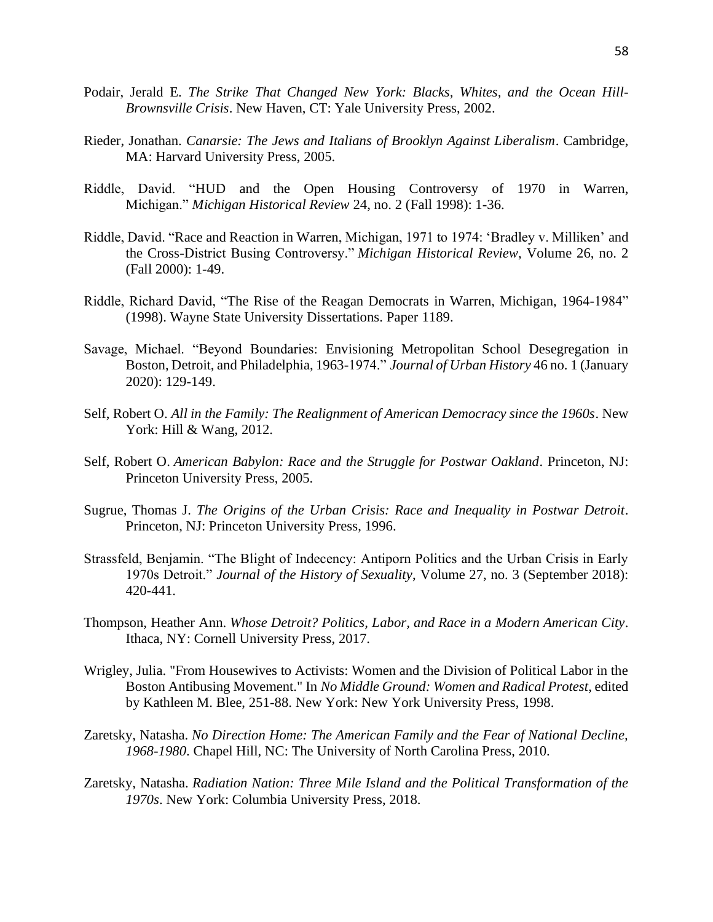- Podair, Jerald E. *The Strike That Changed New York: Blacks, Whites, and the Ocean Hill-Brownsville Crisis*. New Haven, CT: Yale University Press, 2002.
- Rieder, Jonathan. *Canarsie: The Jews and Italians of Brooklyn Against Liberalism*. Cambridge, MA: Harvard University Press, 2005.
- Riddle, David. "HUD and the Open Housing Controversy of 1970 in Warren, Michigan." *Michigan Historical Review* 24, no. 2 (Fall 1998): 1-36.
- Riddle, David. "Race and Reaction in Warren, Michigan, 1971 to 1974: 'Bradley v. Milliken' and the Cross-District Busing Controversy." *Michigan Historical Review*, Volume 26, no. 2 (Fall 2000): 1-49.
- Riddle, Richard David, "The Rise of the Reagan Democrats in Warren, Michigan, 1964-1984" (1998). Wayne State University Dissertations. Paper 1189.
- Savage, Michael. "Beyond Boundaries: Envisioning Metropolitan School Desegregation in Boston, Detroit, and Philadelphia, 1963-1974." *Journal of Urban History* 46 no. 1 (January 2020): 129-149.
- Self, Robert O. *All in the Family: The Realignment of American Democracy since the 1960s*. New York: Hill & Wang, 2012.
- Self, Robert O. *American Babylon: Race and the Struggle for Postwar Oakland*. Princeton, NJ: Princeton University Press, 2005.
- Sugrue, Thomas J. *The Origins of the Urban Crisis: Race and Inequality in Postwar Detroit*. Princeton, NJ: Princeton University Press, 1996.
- Strassfeld, Benjamin. "The Blight of Indecency: Antiporn Politics and the Urban Crisis in Early 1970s Detroit." *Journal of the History of Sexuality*, Volume 27, no. 3 (September 2018): 420-441.
- Thompson, Heather Ann. *Whose Detroit? Politics, Labor, and Race in a Modern American City*. Ithaca, NY: Cornell University Press, 2017.
- Wrigley, Julia. "From Housewives to Activists: Women and the Division of Political Labor in the Boston Antibusing Movement." In *No Middle Ground: Women and Radical Protest*, edited by Kathleen M. Blee, 251-88. New York: New York University Press, 1998.
- Zaretsky, Natasha. *No Direction Home: The American Family and the Fear of National Decline, 1968-1980*. Chapel Hill, NC: The University of North Carolina Press, 2010.
- Zaretsky, Natasha. *Radiation Nation: Three Mile Island and the Political Transformation of the 1970s*. New York: Columbia University Press, 2018.